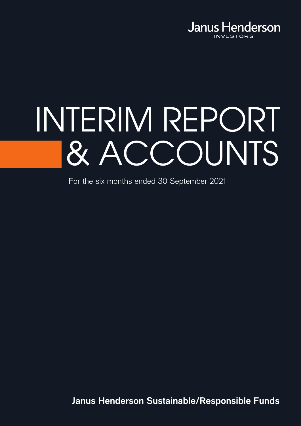

# INTERIM REPORT & ACCOUNTS

For the six months ended 30 September 2021

**Janus Henderson Sustainable/Responsible Funds**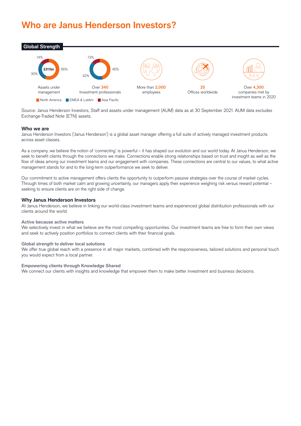# **Who are Janus Henderson Investors?**



Source: Janus Henderson Investors, Staff and assets under management (AUM) data as at 30 September 2021. AUM data excludes Exchange-Traded Note (ETN) assets.

#### **Who we are**

Janus Henderson Investors ('Janus Henderson') is a global asset manager offering a full suite of actively managed investment products across asset classes.

As a company, we believe the notion of 'connecting' is powerful – it has shaped our evolution and our world today. At Janus Henderson, we seek to benefit clients through the connections we make. Connections enable strong relationships based on trust and insight as well as the flow of ideas among our investment teams and our engagement with companies. These connections are central to our values, to what active management stands for and to the long-term outperformance we seek to deliver.

Our commitment to active management offers clients the opportunity to outperform passive strategies over the course of market cycles. Through times of both market calm and growing uncertainty, our managers apply their experience weighing risk versus reward potential – seeking to ensure clients are on the right side of change.

#### **Why Janus Henderson Investors**

At Janus Henderson, we believe in linking our world-class investment teams and experienced global distribution professionals with our clients around the world.

#### **Active because active matters**

We selectively invest in what we believe are the most compelling opportunities. Our investment teams are free to form their own views and seek to actively position portfolios to connect clients with their financial goals.

#### **Global strength to deliver local solutions**

We offer true global reach with a presence in all major markets, combined with the responsiveness, tailored solutions and personal touch you would expect from a local partner.

#### **Empowering clients through Knowledge Shared**

We connect our clients with insights and knowledge that empower them to make better investment and business decisions.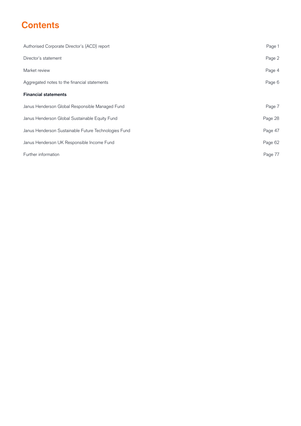# **Contents**

| Authorised Corporate Director's (ACD) report         | Page 1  |
|------------------------------------------------------|---------|
| Director's statement                                 | Page 2  |
| Market review                                        | Page 4  |
| Aggregated notes to the financial statements         | Page 6  |
| <b>Financial statements</b>                          |         |
| Janus Henderson Global Responsible Managed Fund      | Page 7  |
| Janus Henderson Global Sustainable Equity Fund       | Page 28 |
| Janus Henderson Sustainable Future Technologies Fund | Page 47 |
| Janus Henderson UK Responsible Income Fund           | Page 62 |
| Further information                                  | Page 77 |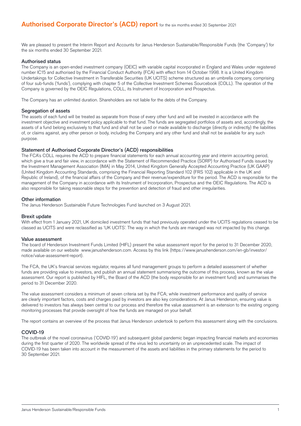We are pleased to present the Interim Report and Accounts for Janus Henderson Sustainable/Responsible Funds (the 'Company') for the six months ended 30 September 2021.

#### Authorised status

The Company is an open-ended investment company (OEIC) with variable capital incorporated in England and Wales under registered number IC15 and authorised by the Financial Conduct Authority (FCA) with effect from 14 October 1998. It is a United Kingdom Undertakings for Collective Investment in Transferable Securities (UK UCITS) scheme structured as an umbrella company, comprising of four sub-funds ('funds'), complying with chapter 5 of the Collective Investment Schemes Sourcebook (COLL). The operation of the Company is governed by the OEIC Regulations, COLL, its Instrument of Incorporation and Prospectus.

The Company has an unlimited duration. Shareholders are not liable for the debts of the Company.

#### Segregation of assets

The assets of each fund will be treated as separate from those of every other fund and will be invested in accordance with the investment objective and investment policy applicable to that fund. The funds are segregated portfolios of assets and, accordingly, the assets of a fund belong exclusively to that fund and shall not be used or made available to discharge (directly or indirectly) the liabilities of, or claims against, any other person or body, including the Company and any other fund and shall not be available for any such purpose.

#### Statement of Authorised Corporate Director's (ACD) responsibilities

The FCA's COLL requires the ACD to prepare financial statements for each annual accounting year and interim accounting period, which give a true and fair view, in accordance with the Statement of Recommended Practice (SORP) for Authorised Funds issued by the Investment Management Association (IMA) in May 2014, United Kingdom Generally Accepted Accounting Practice (UK GAAP) (United Kingdom Accounting Standards, comprising the Financial Reporting Standard 102 (FRS 102) applicable in the UK and Republic of Ireland), of the financial affairs of the Company and their revenue/expenditure for the period. The ACD is responsible for the management of the Company in accordance with its Instrument of Incorporation, Prospectus and the OEIC Regulations. The ACD is also responsible for taking reasonable steps for the prevention and detection of fraud and other irregularities.

#### Other information

The Janus Henderson Sustainable Future Technologies Fund launched on 3 August 2021.

#### Brexit update

With effect from 1 January 2021, UK domiciled investment funds that had previously operated under the UCITS regulations ceased to be classed as UCITS and were reclassified as 'UK UCITS'. The way in which the funds are managed was not impacted by this change.

#### Value assessment

The board of Henderson Investment Funds Limited (HIFL) present the value assessment report for the period to 31 December 2020, made available on our website www.janushenderson.com. Access by this link (https://www.janushenderson.com/en-gb/investor/ notice/value-assessment-report).

The FCA, the UK's financial services regulator, requires all fund management groups to perform a detailed assessment of whether funds are providing value to investors, and publish an annual statement summarising the outcome of this process, known as the value assessment. Our report is published by HIFL, the Board of the ACD (the body responsible for an investment fund) and summarises the period to 31 December 2020.

The value assessment considers a minimum of seven criteria set by the FCA; while investment performance and quality of service are clearly important factors, costs and charges paid by investors are also key considerations. At Janus Henderson, ensuring value is delivered to investors has always been central to our process and therefore the value assessment is an extension to the existing ongoing monitoring processes that provide oversight of how the funds are managed on your behalf.

The report contains an overview of the process that Janus Henderson undertook to perform this assessment along with the conclusions.

#### COVID-19

The outbreak of the novel coronavirus ('COVID-19') and subsequent global pandemic began impacting financial markets and economies during the first quarter of 2020. The worldwide spread of the virus led to uncertainty on an unprecedented scale. The impact of COVID-19 has been taken into account in the measurement of the assets and liabilities in the primary statements for the period to 30 September 2021.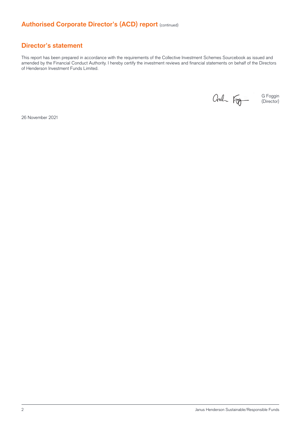# **Authorised Corporate Director's (ACD) report (continued)**

## **Director's statement**

This report has been prepared in accordance with the requirements of the Collective Investment Schemes Sourcebook as issued and amended by the Financial Conduct Authority. I hereby certify the investment reviews and financial statements on behalf of the Directors of Henderson Investment Funds Limited.

Crah Fog

G Foggin (Director)

26 November 2021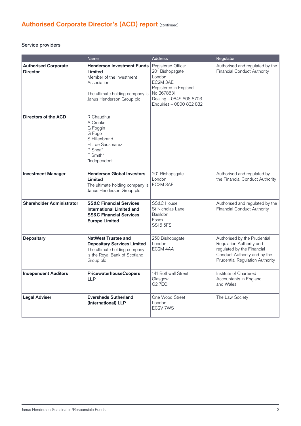# **Authorised Corporate Director's (ACD) report** (continued)

#### Service providers

|                                                | <b>Name</b>                                                                                                                                             | <b>Address</b>                                                                                                                                            | Regulator                                                                                                                                                 |
|------------------------------------------------|---------------------------------------------------------------------------------------------------------------------------------------------------------|-----------------------------------------------------------------------------------------------------------------------------------------------------------|-----------------------------------------------------------------------------------------------------------------------------------------------------------|
| <b>Authorised Corporate</b><br><b>Director</b> | <b>Henderson Investment Funds</b><br>Limited<br>Member of the Investment<br>Association<br>The ultimate holding company is<br>Janus Henderson Group plc | Registered Office:<br>201 Bishopsgate<br>London<br>EC2M 3AE<br>Registered in England<br>No 2678531<br>Dealing - 0845 608 8703<br>Enquiries - 0800 832 832 | Authorised and regulated by the<br><b>Financial Conduct Authority</b>                                                                                     |
| <b>Directors of the ACD</b>                    | R Chaudhuri<br>A Crooke<br>G Foggin<br>G Fogo<br>S Hillenbrand<br>H J de Sausmarez<br>P Shea*<br>F Smith*<br>*Independent                               |                                                                                                                                                           |                                                                                                                                                           |
| <b>Investment Manager</b>                      | <b>Henderson Global Investors</b><br>Limited<br>The ultimate holding company is<br>Janus Henderson Group plc                                            | 201 Bishopsgate<br>London<br>EC2M 3AE                                                                                                                     | Authorised and regulated by<br>the Financial Conduct Authority                                                                                            |
| <b>Shareholder Administrator</b>               | <b>SS&amp;C Financial Services</b><br><b>International Limited and</b><br><b>SS&amp;C Financial Services</b><br><b>Europe Limited</b>                   | <b>SS&amp;C House</b><br>St Nicholas Lane<br><b>Basildon</b><br><b>Essex</b><br><b>SS15 5FS</b>                                                           | Authorised and regulated by the<br><b>Financial Conduct Authority</b>                                                                                     |
| <b>Depositary</b>                              | <b>NatWest Trustee and</b><br><b>Depositary Services Limited</b><br>The ultimate holding company<br>is the Royal Bank of Scotland<br>Group plc          | 250 Bishopsgate<br>London<br>EC2M 4AA                                                                                                                     | Authorised by the Prudential<br>Regulation Authority and<br>regulated by the Financial<br>Conduct Authority and by the<br>Prudential Regulation Authority |
| <b>Independent Auditors</b>                    | <b>PricewaterhouseCoopers</b><br><b>LLP</b>                                                                                                             | 141 Bothwell Street<br>Glasgow<br><b>G2 7EQ</b>                                                                                                           | Institute of Chartered<br>Accountants in England<br>and Wales                                                                                             |
| <b>Legal Adviser</b>                           | <b>Eversheds Sutherland</b><br>(International) LLP                                                                                                      | One Wood Street<br>London<br>EC2V 7WS                                                                                                                     | The Law Society                                                                                                                                           |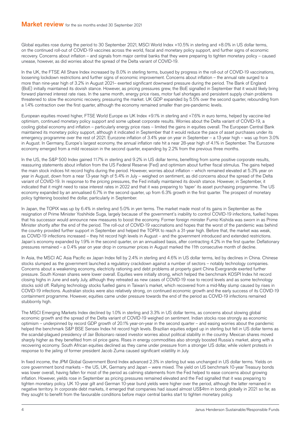Global equities rose during the period to 30 September 2021, MSCI World Index +10.5% in sterling and +8.0% in US dollar terms, on the continued roll-out of COVID-19 vaccines across the world, fiscal and monetary policy support, and further signs of economic recovery. Concerns about inflation – and signals from major central banks that they were preparing to tighten monetary policy – caused unease, however, as did worries about the spread of the Delta variant of COVID-19.

In the UK, the FTSE All Share Index increased by 8.0% in sterling terms, buoyed by progress in the roll-out of COVID-19 vaccinations, loosening lockdown restrictions and further signs of economic improvement. Concerns about inflation – the annual rate surged to a more than nine-year high of 3.2% in August 2021– exerted significant downward pressure during the period. The Bank of England (BoE) initially maintained its dovish stance. However, as pricing pressures grew, the BoE signalled in September that it would likely bring forward planned interest rate rises. In the same month, energy price rises, motor fuel shortages and persistent supply chain problems threatened to slow the economic recovery, pressuring the market. UK GDP expanded by 5.5% over the second quarter, rebounding from a 1.4% contraction over the first quarter, although the economy remained smaller than pre-pandemic levels.

European equities moved higher, FTSE World Europe ex UK Index +9.1% in sterling and +7.6% in euro terms, helped by vaccine-led optimism, continued monetary policy support and some upbeat corporate results. Worries about the Delta variant of COVID-19, a cooling global economy and inflation – particularly energy price rises – limited the gains in equities overall. The European Central Bank maintained its monetary policy support, although it indicated in September that it would reduce the pace of asset purchases under its emergency programme over the rest of 2021. Eurozone inflation of 3.4% year on year in September – a 13-year high – was up from 3.0% in August. In Germany, Europe's largest economy, the annual inflation rate hit a near 28-year high of 4.1% in September. The Eurozone economy emerged from a mild recession in the second quarter, expanding by 2.2% from the previous three months.

In the US, the S&P 500 Index gained 11.7% in sterling and 9.2% in US dollar terms, benefiting from some positive corporate results, reassuring statements about inflation from the US Federal Reserve (Fed) and optimism about further fiscal stimulus. The gains helped the main stock indices hit record highs during the period. However, worries about inflation – which remained elevated at 5.3% year on year in August, down from a near 13-year high of 5.4% in July – weighed on sentiment, as did concerns about the spread of the Delta variant of COVID-19. In response to the pricing pressures, the Fed initially maintained its dovish stance. However, in September, it indicated that it might need to raise interest rates in 2022 and that it was preparing to 'taper' its asset purchasing programme. The US economy expanded by an annualised 6.7% in the second quarter, up from 6.3% growth in the first quarter. The prospect of monetary policy tightening boosted the dollar, particularly in September.

In Japan, the TOPIX was up by 6.4% in sterling and 5.0% in yen terms. The market made most of its gains in September as the resignation of Prime Minister Yoshihide Suga, largely because of the government's inability to control COVID-19 infections, fuelled hopes that his successor would announce new measures to boost the economy. Former foreign minister Fumio Kishida was sworn in as Prime Minister shortly after the end of the period. The roll-out of COVID-19 vaccinations and hopes that the worst of the pandemic was behind the country provided further support in September and helped the TOPIX to reach a 31-year high. Before that, the market was weak, as COVID-19 infections increased – they hit record high levels in August – and the government introduced and extended restrictions. Japan's economy expanded by 1.9% in the second quarter, on an annualised basis, after contracting 4.2% in the first quarter. Deflationary pressures remained – a 0.4% year on year drop in consumer prices in August marked the 11th consecutive month of decline.

In Asia, the MSCI AC Asia Pacific ex Japan Index fell by 2.4% in sterling and 4.6% in US dollar terms, led by declines in China. Chinese stocks slumped as the government launched a regulatory crackdown against a number of sectors – notably technology companies. Concerns about a weakening economy, electricity rationing and debt problems at property giant China Evergrande exerted further pressure. South Korean shares were lower overall. Equities were initially strong, which helped the benchmark KOSPI Index hit record closing highs in June and early July, although they retreated as new cases of COVID-19 rose to record levels and as some technology stocks sold off . Rallying technology stocks fuelled gains in Taiwan's market, which recovered from a mid-May slump caused by rises in COVID-19 infections. Australian stocks were also relatively strong, on continued economic growth and the early success of its COVID-19 containment programme. However, equities came under pressure towards the end of the period as COVID-19 infections remained stubbornly high.

The MSCI Emerging Markets Index declined by 1.0% in sterling and 3.3% in US dollar terms, as concerns about slowing global economic growth and the spread of the Delta variant of COVID-19 weighed on sentiment. Indian stocks rose strongly as economic optimism – underpinned by record GDP growth of 20.1% year-on-year in the second quarter – and easing worries about the pandemic helped the benchmark S&P BSE Sensex Index hit record high levels. Brazilian equities edged up in sterling but fell in US dollar terms as the scandal-plagued presidency of Jair Bolsonaro raised investor worries about political stability in the country. Mexican shares moved sharply higher as they benefited from oil price gains. Rises in energy commodities also strongly boosted Russia's market, along with a recovering economy. South African equities declined as they came under pressure from a stronger US dollar, while violent protests in response to the jailing of former president Jacob Zuma caused significant volatility in July.

In fixed income, the JPM Global Government Bond Index advanced 2.3% in sterling but was unchanged in US dollar terms. Yields on core government bond markets – the US, UK, Germany and Japan – were mixed. The yield on US benchmark 10-year Treasury bonds was lower overall, having fallen for most of the period as calming statements from the Fed helped to ease concerns about growing inflation. However, yields rose in September as pricing pressures remained elevated and the Fed signalled that it was preparing to tighten monetary policy. UK 10-year gilt and German 10-year bund yields were higher over the period, although the latter remained in negative territory. In corporate debt markets, it emerged that companies had issued almost US\$4trn in bonds globally in 2021 so far, as they sought to benefit from the favourable conditions before major central banks start to tighten monetary policy.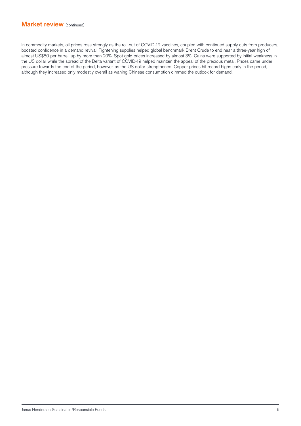## **Market review** (continued)

In commodity markets, oil prices rose strongly as the roll-out of COVID-19 vaccines, coupled with continued supply cuts from producers, boosted confidence in a demand revival. Tightening supplies helped global benchmark Brent Crude to end near a three-year high of almost US\$80 per barrel, up by more than 20%. Spot gold prices increased by almost 3%. Gains were supported by initial weakness in the US dollar while the spread of the Delta variant of COVID-19 helped maintain the appeal of the precious metal. Prices came under pressure towards the end of the period, however, as the US dollar strengthened. Copper prices hit record highs early in the period, although they increased only modestly overall as waning Chinese consumption dimmed the outlook for demand.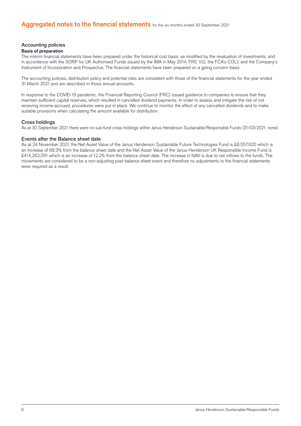#### Accounting policies

#### **Basis of preparation**

The interim financial statements have been prepared under the historical cost basis, as modified by the revaluation of investments, and in accordance with the SORP for UK Authorised Funds issued by the IMA in May 2014, FRS 102, the FCA's COLL and the Company's Instrument of Incorporation and Prospectus. The financial statements have been prepared on a going concern basis.

The accounting policies, distribution policy and potential risks are consistent with those of the financial statements for the year ended 31 March 2021 and are described in those annual accounts.

In response to the COVID-19 pandemic, the Financial Reporting Council (FRC) issued guidance to companies to ensure that they maintain sufficient capital reserves, which resulted in cancelled dividend payments. In order to assess and mitigate the risk of not receiving income accrued, procedures were put in place. We continue to monitor the effect of any cancelled dividends and to make suitable provisions when calculating the amount available for distribution.

#### Cross holdings

As at 30 September 2021 there were no sub-fund cross holdings within Janus Henderson Sustainable/Responsible Funds (31/03/2021: none).

#### Events after the Balance sheet date

As at 24 November 2021, the Net Asset Value of the Janus Henderson Sustainable Future Technologies Fund is £8,557,820 which is an increase of 68.3% from the balance sheet date and the Net Asset Value of the Janus Henderson UK Responsible Income Fund is £414,263,091 which is an increase of 12.2% from the balance sheet date. The increase in NAV is due to net inflows to the funds. The movements are considered to be a non-adjusting post balance sheet event and therefore no adjustments to the financial statements were required as a result.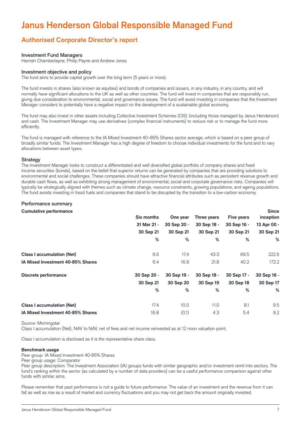# **Janus Henderson Global Responsible Managed Fund**

# **Authorised Corporate Director's report**

#### Investment Fund Managers

Hamish Chamberlayne, Philip Payne and Andrew Jones

#### Investment objective and policy

The fund aims to provide capital growth over the long term (5 years or more).

The fund invests in shares (also known as equities) and bonds of companies and issuers, in any industry, in any country, and will normally have significant allocations to the UK as well as other countries. The fund will invest in companies that are responsibly run, giving due consideration to environmental, social and governance issues. The fund will avoid investing in companies that the Investment Manager considers to potentially have a negative impact on the development of a sustainable global economy.

The fund may also invest in other assets including Collective Investment Schemes (CIS) (including those managed by Janus Henderson) and cash. The Investment Manager may use derivatives (complex financial instruments) to reduce risk or to manage the fund more efficiently.

The fund is managed with reference to the IA Mixed Investment 40–85% Shares sector average, which is based on a peer group of broadly similar funds. The Investment Manager has a high degree of freedom to choose individual investments for the fund and to vary allocations between asset types.

#### **Strategy**

The Investment Manager looks to construct a differentiated and well diversified global portfolio of company shares and fixed income securities (bonds), based on the belief that superior returns can be generated by companies that are providing solutions to environmental and social challenges. These companies should have attractive financial attributes such as persistent revenue growth and durable cash flows, as well as exhibiting strong management of environmental, social and corporate governance risks. Companies will typically be strategically aligned with themes such as climate change, resource constraints, growing populations, and ageing populations. The fund avoids investing in fossil fuels and companies that stand to be disrupted by the transition to a low-carbon economy.

#### Performance summary

#### **Cumulative performance**

| Camalative performance            | Six months  | One year    | Three years | <b>Five years</b> | -----<br>inception |
|-----------------------------------|-------------|-------------|-------------|-------------------|--------------------|
|                                   | 31 Mar 21 - | 30 Sep 20 - | 30 Sep 18 - | 30 Sep 16 -       | 13 Apr 00 -        |
|                                   | 30 Sep 21   | 30 Sep 21   | 30 Sep 21   | 30 Sep 21         | 30 Sep 21          |
|                                   | %           | %           | %           | %                 | %                  |
| <b>Class I accumulation (Net)</b> | 8.6         | 17.4        | 43.3        | 69.5              | 222.6              |
| IA Mixed Investment 40-85% Shares | 6.4         | 16.8        | 21.8        | 40.2              | 172.2              |
| Discrete performance              | 30 Sep 20 - | 30 Sep 19 - | 30 Sep 18 - | 30 Sep 17 -       | 30 Sep 16 -        |
|                                   | 30 Sep 21   | 30 Sep 20   | 30 Sep 19   | 30 Sep 18         | 30 Sep 17          |
|                                   | %           | %           | %           | %                 | %                  |
| <b>Class I accumulation (Net)</b> | 17.4        | 10.0        | 11.0        | 8.1               | 9.5                |
| IA Mixed Investment 40-85% Shares | 16.8        | (0.1)       | 4.3         | 5.4               | 9.2                |

#### Source: Morningstar

Class I accumulation (Net), NAV to NAV, net of fees and net income reinvested as at 12 noon valuation point.

Class I accumulation is disclosed as it is the representative share class.

#### **Benchmark usage**

Peer group: IA Mixed Investment 40-85% Shares

Peer group usage: Comparator

Peer group description: The Investment Association (IA) groups funds with similar geographic and/or investment remit into sectors. The fund's ranking within the sector (as calculated by a number of data providers) can be a useful performance comparison against other funds with similar aims.

Please remember that past performance is not a guide to future performance. The value of an investment and the revenue from it can fall as well as rise as a result of market and currency fluctuations and you may not get back the amount originally invested.

**Since**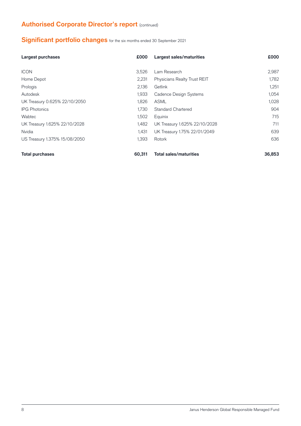# **Authorised Corporate Director's report (continued)**

# **Significant portfolio changes** for the six months ended 30 September 2021

| Largest purchases             | £000   | Largest sales/maturities      | <b>COO0</b> |
|-------------------------------|--------|-------------------------------|-------------|
| <b>ICON</b>                   | 3,526  | Lam Research                  | 2,987       |
| Home Depot                    | 2,231  | Physicians Realty Trust REIT  | 1,782       |
| Prologis                      | 2,136  | Getlink                       | 1,251       |
| Autodesk                      | 1,933  | Cadence Design Systems        | 1,054       |
| UK Treasury 0.625% 22/10/2050 | 1,826  | <b>ASML</b>                   | 1,028       |
| <b>IPG Photonics</b>          | 1.730  | <b>Standard Chartered</b>     | 904         |
| <b>Wabtec</b>                 | 1,502  | Equinix                       | 715         |
| UK Treasury 1.625% 22/10/2028 | 1,482  | UK Treasury 1.625% 22/10/2028 | 711         |
| Nvidia                        | 1.431  | UK Treasury 1.75% 22/01/2049  | 639         |
| US Treasury 1.375% 15/08/2050 | 1,393  | Rotork                        | 636         |
| <b>Total purchases</b>        | 60.311 | <b>Total sales/maturities</b> | 36,853      |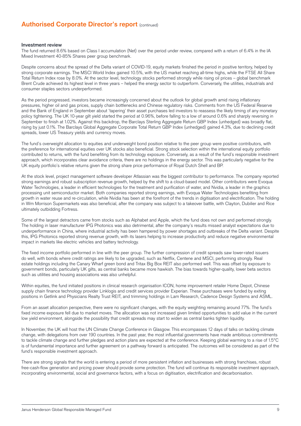## **Authorised Corporate Director's report (continued)**

#### Investment review

The fund returned 8.6% based on Class I accumulation (Net) over the period under review, compared with a return of 6.4% in the IA Mixed Investment 40-85% Shares peer group benchmark.

Despite concerns about the spread of the Delta variant of COVID-19, equity markets finished the period in positive territory, helped by strong corporate earnings. The MSCI World Index gained 10.5%, with the US market reaching all-time highs, while the FTSE All Share Total Return Index rose by 8.0%. At the sector level, technology stocks performed strongly while rising oil prices – global benchmark Brent Crude achieved its highest level in three years – helped the energy sector to outperform. Conversely, the utilities, industrials and consumer staples sectors underperformed.

As the period progressed, investors became increasingly concerned about the outlook for global growth amid rising inflationary pressures, higher oil and gas prices, supply chain bottlenecks and Chinese regulatory risks. Comments from the US Federal Reserve and the Bank of England in September about 'tapering' their asset purchases led investors to reassess the likely timing of any monetary policy tightening. The UK 10-year gilt yield started the period at 0.96%, before falling to a low of around 0.6% and sharply reversing in September to finish at 1.02%. Against this backdrop, the Barclays Sterling Aggregate Return GBP Index (unhedged) was broadly flat, rising by just 0.1%. The Barclays Global Aggregate Corporate Total Return GBP Index (unhedged) gained 4.3%, due to declining credit spreads, lower US Treasury yields and currency moves.

The fund's overweight allocation to equities and underweight bond position relative to the peer group were positive contributors, with the preference for international equities over UK stocks also beneficial. Strong stock selection within the international equity portfolio contributed to returns, with the fund benefiting from its technology exposure. Conversely, as a result of the fund's responsible investment approach, which incorporates clear avoidance criteria, there are no holdings in the energy sector. This was particularly negative for the UK equity portfolio's relative returns given the strong share price performance of Royal Dutch Shell and BP.

At the stock level, project management software developer Atlassian was the biggest contributor to performance. The company reported strong earnings and robust subscription revenue growth, helped by the shift to a cloud-based model. Other contributors were Evoqua Water Technologies, a leader in efficient technologies for the treatment and purification of water, and Nvidia, a leader in the graphics processing unit semiconductor market. Both companies reported strong earnings, with Evoqua Water Technologies benefiting from growth in water reuse and re-circulation, while Nvidia has been at the forefront of the trends in digitisation and electrification. The holding in Wm Morrison Supermarkets was also beneficial, after the company was subject to a takeover battle, with Clayton, Dubilier and Rice ultimately outbidding Fortress.

Some of the largest detractors came from stocks such as Alphabet and Apple, which the fund does not own and performed strongly. The holding in laser manufacturer IPG Photonics was also detrimental, after the company's results missed analyst expectations due to underperformance in China, where industrial activity has been hampered by power shortages and outbreaks of the Delta variant. Despite this, IPG Photonics reported strong revenue growth, with its lasers helping to increase productivity and reduce negative environmental impact in markets like electric vehicles and battery technology.

The fixed income portfolio performed in line with the peer group. The further compression of credit spreads saw lower-rated issuers do well, with bonds where credit ratings are likely to be upgraded, such as Netflix, Centene and MSCI, performing strongly. Real estate holdings including the Canary Wharf green bond and Tritax Big Box REIT also performed well. This was offset by exposure to government bonds, particularly UK gilts, as central banks became more hawkish. The bias towards higher-quality, lower beta sectors such as utilities and housing associations was also unhelpful.

Within equities, the fund initiated positions in clinical research organisation ICON, home improvement retailer Home Depot, Chinese supply chain finance technology provider Linklogis and credit services provider Experian. These purchases were funded by exiting positions in Getlink and Physicians Realty Trust REIT, and trimming holdings in Lam Research, Cadence Design Systems and ASML.

From an asset allocation perspective, there were no significant changes, with the equity weighting remaining around 77%. The fund's fixed income exposure fell due to market moves. The allocation was not increased given limited opportunities to add value in the current low yield environment, alongside the possibility that credit spreads may start to widen as central banks tighten liquidity.

In November, the UK will host the UN Climate Change Conference in Glasgow. This encompasses 12 days of talks on tackling climate change, with delegations from over 190 countries. In the past year, the most influential governments have made ambitious commitments to tackle climate change and further pledges and action plans are expected at the conference. Keeping global warming to a rise of 1.5°C is of fundamental importance and further agreement on a pathway forward is anticipated. The outcomes will be considered as part of the fund's responsible investment approach.

There are strong signals that the world is entering a period of more persistent inflation and businesses with strong franchises, robust free-cash-flow generation and pricing power should provide some protection. The fund will continue its responsible investment approach, incorporating environmental, social and governance factors, with a focus on digitisation, electrification and decarbonisation.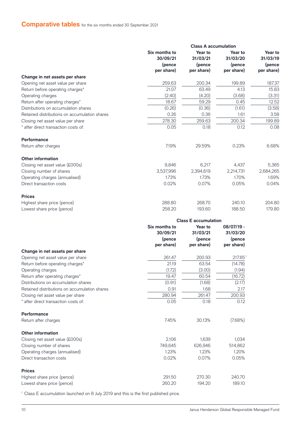## **Comparative tables** for the six months ended 30 September 2021

|                                               |                           | <b>Class A accumulation</b> |                     |                     |
|-----------------------------------------------|---------------------------|-----------------------------|---------------------|---------------------|
|                                               | Six months to<br>30/09/21 | Year to<br>31/03/21         | Year to<br>31/03/20 | Year to<br>31/03/19 |
|                                               | (pence                    | (pence                      | (pence              | (pence              |
|                                               | per share)                | per share)                  | per share)          | per share)          |
| Change in net assets per share                |                           |                             |                     |                     |
| Opening net asset value per share             | 259.63                    | 200.34                      | 199.89              | 187.37              |
| Return before operating charges*              | 21.07                     | 63.49                       | 4.13                | 15.83               |
| Operating charges                             | (2.40)                    | (4.20)                      | (3.68)              | (3.31)              |
| Return after operating charges*               | 18.67                     | 59.29                       | 0.45                | 12.52               |
| Distributions on accumulation shares          | (0.26)                    | (0.36)                      | (1.61)              | (3.58)              |
| Retained distributions on accumulation shares | 0.26                      | 0.36                        | 1.61                | 3.58                |
| Closing net asset value per share             | 278.30                    | 259.63                      | 200.34              | 199.89              |
| * after direct transaction costs of:          | 0.05                      | 0.18                        | 0.12                | 0.08                |
| <b>Performance</b>                            |                           |                             |                     |                     |
| Return after charges                          | 7.19%                     | 29.59%                      | 0.23%               | 6.68%               |
| <b>Other information</b>                      |                           |                             |                     |                     |
| Closing net asset value (£000s)               | 9,846                     | 6,217                       | 4,437               | 5,365               |
| Closing number of shares                      | 3,537,996                 | 2,394,619                   | 2,214,731           | 2,684,265           |
| Operating charges (annualised)                | 1.73%                     | 1.73%                       | 1.70%               | 1.69%               |
| Direct transaction costs                      | 0.02%                     | 0.07%                       | 0.05%               | 0.04%               |
| <b>Prices</b>                                 |                           |                             |                     |                     |
| Highest share price (pence)                   | 288.80                    | 268.70                      | 240.10              | 204.80              |
| Lowest share price (pence)                    | 258.20                    | 193.60                      | 188.50              | 179.80              |
|                                               |                           | <b>Class E accumulation</b> |                     |                     |
|                                               | Six months to             | Year to                     | 08/07/19 -          |                     |
|                                               | 30/09/21                  | 31/03/21                    | 31/03/20            |                     |
|                                               | (pence                    | (pence                      | (pence              |                     |
|                                               | per share)                | per share)                  | per share)          |                     |
| Change in net assets per share                |                           |                             |                     |                     |
| Opening net asset value per share             | 261.47                    | 200.93                      | 217.651             |                     |
| Return before operating charges*              | 21.19                     | 63.54                       | (14.78)             |                     |
| Operating charges                             | (1.72)                    | (3.00)                      | (1.94)              |                     |
| Return after operating charges*               | 19.47                     | 60.54                       | (16.72)             |                     |
| Distributions on accumulation shares          | (0.91)                    | (1.68)                      | (2.17)              |                     |
| Retained distributions on accumulation shares | 0.91                      | 1.68                        | 2.17                |                     |
| Closing net asset value per share             | 280.94                    | 261.47                      | 200.93              |                     |
| * after direct transaction costs of:          | 0.05                      | 0.18                        | 0.12                |                     |

#### **Performance**

Return after charges **1.45%** 30.13% (7.68%) **Other information**

## Closing net asset value (£000s) 2,106 1,639 1,034 Closing number of shares 749,645 626,946 514,862<br>
Operating charges (annualised) 626,946 514,862 Operating charges (annualised) 1.23% 1.23% 1.23% 1.20% Direct transaction costs 6.02% 0.07% 0.05% 0.05% 0.05% 0.05% 0.05% 0.05% 0.05% 0.05% 0.05% 0.05% 0.05% 0.05% 0.05% 0.05% 0.05% 0.05% 0.05% 0.05% 0.05% 0.05% 0.05% 0.05% 0.05% 0.05% 0.05% 0.05% 0.05% 0.05% 0.05% 0.05% 0.05% **Prices**

Highest share price (pence) 291.50 270.30 240.70 Lowest share price (pence) 260.20 194.20 189.10

<sup>1</sup> Class E accumulation launched on 8 July 2019 and this is the first published price.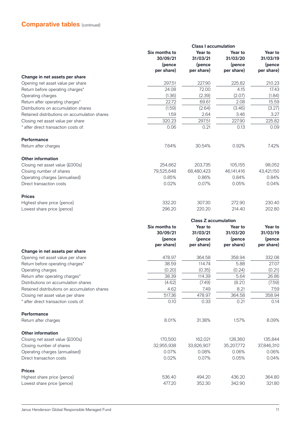# **Comparative tables** (continued)

| Six months to<br>Year to<br>Year to<br>30/09/21<br>31/03/21<br>31/03/20<br>(pence<br>(pence<br>(pence<br>per share)<br>per share)<br>per share)<br>Change in net assets per share<br>297.51<br>227.90<br>225.82<br>Opening net asset value per share<br>72.00<br>Return before operating charges*<br>24.08<br>4.15<br>Operating charges<br>(1.36)<br>(2.39)<br>(2.07)<br>Return after operating charges*<br>22.72<br>69.61<br>2.08<br>(1.59)<br>Distributions on accumulation shares<br>(2.64)<br>(3.46)<br>Retained distributions on accumulation shares<br>1.59<br>2.64<br>3.46<br>320.23<br>297.51<br>227.90<br>Closing net asset value per share<br>* after direct transaction costs of:<br>0.06<br>0.21<br>0.13<br><b>Performance</b> | Year to<br>31/03/19<br>(pence<br>per share)<br>210.23<br>17.43<br>(1.84)<br>15.59 |          |          |          |                      |
|--------------------------------------------------------------------------------------------------------------------------------------------------------------------------------------------------------------------------------------------------------------------------------------------------------------------------------------------------------------------------------------------------------------------------------------------------------------------------------------------------------------------------------------------------------------------------------------------------------------------------------------------------------------------------------------------------------------------------------------------|-----------------------------------------------------------------------------------|----------|----------|----------|----------------------|
|                                                                                                                                                                                                                                                                                                                                                                                                                                                                                                                                                                                                                                                                                                                                            |                                                                                   |          |          |          |                      |
|                                                                                                                                                                                                                                                                                                                                                                                                                                                                                                                                                                                                                                                                                                                                            |                                                                                   |          |          |          |                      |
|                                                                                                                                                                                                                                                                                                                                                                                                                                                                                                                                                                                                                                                                                                                                            |                                                                                   |          |          |          |                      |
|                                                                                                                                                                                                                                                                                                                                                                                                                                                                                                                                                                                                                                                                                                                                            |                                                                                   |          |          |          |                      |
|                                                                                                                                                                                                                                                                                                                                                                                                                                                                                                                                                                                                                                                                                                                                            |                                                                                   |          |          |          |                      |
|                                                                                                                                                                                                                                                                                                                                                                                                                                                                                                                                                                                                                                                                                                                                            |                                                                                   |          |          |          |                      |
|                                                                                                                                                                                                                                                                                                                                                                                                                                                                                                                                                                                                                                                                                                                                            |                                                                                   |          |          |          |                      |
|                                                                                                                                                                                                                                                                                                                                                                                                                                                                                                                                                                                                                                                                                                                                            |                                                                                   |          |          |          |                      |
|                                                                                                                                                                                                                                                                                                                                                                                                                                                                                                                                                                                                                                                                                                                                            | (3.27)                                                                            |          |          |          |                      |
|                                                                                                                                                                                                                                                                                                                                                                                                                                                                                                                                                                                                                                                                                                                                            | 3.27                                                                              |          |          |          |                      |
|                                                                                                                                                                                                                                                                                                                                                                                                                                                                                                                                                                                                                                                                                                                                            | 225.82                                                                            |          |          |          |                      |
|                                                                                                                                                                                                                                                                                                                                                                                                                                                                                                                                                                                                                                                                                                                                            | 0.09                                                                              |          |          |          |                      |
|                                                                                                                                                                                                                                                                                                                                                                                                                                                                                                                                                                                                                                                                                                                                            |                                                                                   |          |          |          |                      |
|                                                                                                                                                                                                                                                                                                                                                                                                                                                                                                                                                                                                                                                                                                                                            | 7.42%                                                                             | 0.92%    | 30.54%   | 7.64%    | Return after charges |
| <b>Other information</b>                                                                                                                                                                                                                                                                                                                                                                                                                                                                                                                                                                                                                                                                                                                   |                                                                                   |          |          |          |                      |
| 254,662<br>203,735<br>105,155<br>Closing net asset value (£000s)                                                                                                                                                                                                                                                                                                                                                                                                                                                                                                                                                                                                                                                                           | 98,052                                                                            |          |          |          |                      |
| Closing number of shares<br>79,525,648<br>68,480,423<br>46,141,416                                                                                                                                                                                                                                                                                                                                                                                                                                                                                                                                                                                                                                                                         | 43,421,150                                                                        |          |          |          |                      |
| Operating charges (annualised)<br>0.85%<br>0.86%<br>0.84%                                                                                                                                                                                                                                                                                                                                                                                                                                                                                                                                                                                                                                                                                  | 0.84%                                                                             |          |          |          |                      |
| Direct transaction costs<br>0.02%<br>0.07%<br>0.05%                                                                                                                                                                                                                                                                                                                                                                                                                                                                                                                                                                                                                                                                                        | 0.04%                                                                             |          |          |          |                      |
| <b>Prices</b>                                                                                                                                                                                                                                                                                                                                                                                                                                                                                                                                                                                                                                                                                                                              |                                                                                   |          |          |          |                      |
| 332.20<br>307.30<br>272.90<br>Highest share price (pence)                                                                                                                                                                                                                                                                                                                                                                                                                                                                                                                                                                                                                                                                                  | 230.40                                                                            |          |          |          |                      |
| 296.20<br>220.20<br>Lowest share price (pence)<br>214.40                                                                                                                                                                                                                                                                                                                                                                                                                                                                                                                                                                                                                                                                                   | 202.80                                                                            |          |          |          |                      |
| <b>Class Z accumulation</b>                                                                                                                                                                                                                                                                                                                                                                                                                                                                                                                                                                                                                                                                                                                |                                                                                   |          |          |          |                      |
| Six months to<br>Year to<br>Year to                                                                                                                                                                                                                                                                                                                                                                                                                                                                                                                                                                                                                                                                                                        | Year to                                                                           |          |          |          |                      |
|                                                                                                                                                                                                                                                                                                                                                                                                                                                                                                                                                                                                                                                                                                                                            | 31/03/19                                                                          |          |          |          |                      |
|                                                                                                                                                                                                                                                                                                                                                                                                                                                                                                                                                                                                                                                                                                                                            |                                                                                   | 31/03/20 | 31/03/21 | 30/09/21 |                      |
| (pence<br>(pence<br>(pence                                                                                                                                                                                                                                                                                                                                                                                                                                                                                                                                                                                                                                                                                                                 | (pence                                                                            |          |          |          |                      |
| per share)<br>per share)<br>per share)                                                                                                                                                                                                                                                                                                                                                                                                                                                                                                                                                                                                                                                                                                     | per share)                                                                        |          |          |          |                      |
| Change in net assets per share                                                                                                                                                                                                                                                                                                                                                                                                                                                                                                                                                                                                                                                                                                             |                                                                                   |          |          |          |                      |
| Opening net asset value per share<br>478.97<br>364.58<br>358.94                                                                                                                                                                                                                                                                                                                                                                                                                                                                                                                                                                                                                                                                            | 332.08                                                                            |          |          |          |                      |
| 5.88<br>Return before operating charges*<br>38.59<br>114.74                                                                                                                                                                                                                                                                                                                                                                                                                                                                                                                                                                                                                                                                                | 27.07                                                                             |          |          |          |                      |
| (0.20)<br>(0.35)<br>(0.24)<br>Operating charges                                                                                                                                                                                                                                                                                                                                                                                                                                                                                                                                                                                                                                                                                            | (0.21)                                                                            |          |          |          |                      |
| 5.64<br>38.39<br>114.39<br>Return after operating charges*                                                                                                                                                                                                                                                                                                                                                                                                                                                                                                                                                                                                                                                                                 | 26.86                                                                             |          |          |          |                      |
| (4.62)<br>(8.21)<br>Distributions on accumulation shares<br>(7.49)                                                                                                                                                                                                                                                                                                                                                                                                                                                                                                                                                                                                                                                                         | (7.59)                                                                            |          |          |          |                      |
| 8.21<br>Retained distributions on accumulation shares<br>4.62<br>7.49                                                                                                                                                                                                                                                                                                                                                                                                                                                                                                                                                                                                                                                                      | 7.59                                                                              |          |          |          |                      |
| 517.36<br>364.58<br>Closing net asset value per share<br>478.97                                                                                                                                                                                                                                                                                                                                                                                                                                                                                                                                                                                                                                                                            | 358.94                                                                            |          |          |          |                      |
| * after direct transaction costs of:<br>0.10<br>0.33<br>0.21                                                                                                                                                                                                                                                                                                                                                                                                                                                                                                                                                                                                                                                                               | 0.14                                                                              |          |          |          |                      |
| Performance                                                                                                                                                                                                                                                                                                                                                                                                                                                                                                                                                                                                                                                                                                                                |                                                                                   |          |          |          |                      |
| 8.01%<br>31.38%<br>1.57%<br>Return after charges                                                                                                                                                                                                                                                                                                                                                                                                                                                                                                                                                                                                                                                                                           | 8.09%                                                                             |          |          |          |                      |
| <b>Other information</b>                                                                                                                                                                                                                                                                                                                                                                                                                                                                                                                                                                                                                                                                                                                   |                                                                                   |          |          |          |                      |
| 162,021<br>Closing net asset value (£000s)<br>170,500<br>128,360                                                                                                                                                                                                                                                                                                                                                                                                                                                                                                                                                                                                                                                                           | 135,844                                                                           |          |          |          |                      |
| 32,955,938<br>Closing number of shares<br>33,826,907<br>35,207,772                                                                                                                                                                                                                                                                                                                                                                                                                                                                                                                                                                                                                                                                         | 37,846,310                                                                        |          |          |          |                      |
| Operating charges (annualised)<br>0.07%<br>0.06%<br>0.08%                                                                                                                                                                                                                                                                                                                                                                                                                                                                                                                                                                                                                                                                                  | 0.06%                                                                             |          |          |          |                      |
| 0.02%<br>0.07%<br>Direct transaction costs<br>0.05%                                                                                                                                                                                                                                                                                                                                                                                                                                                                                                                                                                                                                                                                                        | 0.04%                                                                             |          |          |          |                      |
| <b>Prices</b>                                                                                                                                                                                                                                                                                                                                                                                                                                                                                                                                                                                                                                                                                                                              |                                                                                   |          |          |          |                      |
| Highest share price (pence)<br>536.40<br>494.20<br>436.20                                                                                                                                                                                                                                                                                                                                                                                                                                                                                                                                                                                                                                                                                  | 364.80                                                                            |          |          |          |                      |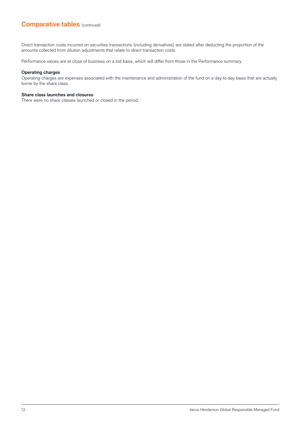## **Comparative tables** (continued)

Direct transaction costs incurred on securities transactions (including derivatives) are stated after deducting the proportion of the amounts collected from dilution adjustments that relate to direct transaction costs.

Performance values are at close of business on a bid basis, which will differ from those in the Performance summary.

#### **Operating charges**

Operating charges are expenses associated with the maintenance and administration of the fund on a day-to-day basis that are actually borne by the share class.

#### **Share class launches and closures**

There were no share classes launched or closed in the period.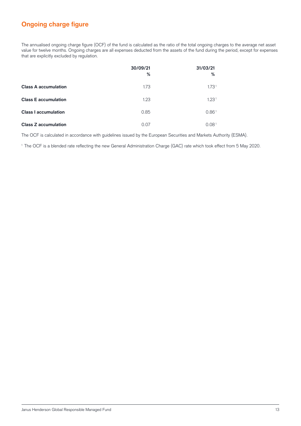# **Ongoing charge figure**

The annualised ongoing charge figure (OCF) of the fund is calculated as the ratio of the total ongoing charges to the average net asset value for twelve months. Ongoing charges are all expenses deducted from the assets of the fund during the period, except for expenses that are explicitly excluded by regulation.

|                             | 30/09/21<br>% | 31/03/21<br>%     |
|-----------------------------|---------------|-------------------|
| <b>Class A accumulation</b> | 1.73          | 1.73 <sup>1</sup> |
| <b>Class E accumulation</b> | 1.23          | 1.23 <sup>1</sup> |
| <b>Class I accumulation</b> | 0.85          | 0.86 <sup>1</sup> |
| <b>Class Z accumulation</b> | 0.07          | 0.08 <sup>1</sup> |

The OCF is calculated in accordance with guidelines issued by the European Securities and Markets Authority (ESMA).

<sup>1</sup> The OCF is a blended rate reflecting the new General Administration Charge (GAC) rate which took effect from 5 May 2020.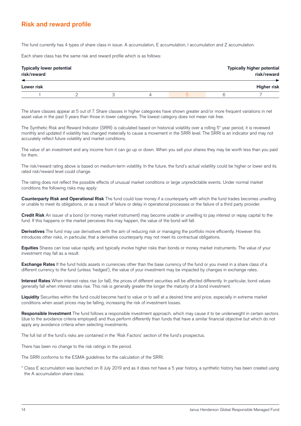# **Risk and reward profile**

The fund currently has 4 types of share class in issue: A accumulation, E accumulation, I accumulation and Z accumulation.

Each share class has the same risk and reward profile which is as follows:

| <b>Typically lower potential</b><br>risk/reward |  |  |  | <b>Typically higher potential</b><br>risk/reward |
|-------------------------------------------------|--|--|--|--------------------------------------------------|
| Lower risk                                      |  |  |  | <b>Higher risk</b>                               |
|                                                 |  |  |  |                                                  |

The share classes appear at 5 out of 7. Share classes in higher categories have shown greater and/or more frequent variations in net asset value in the past 5 years than those in lower categories. The lowest category does not mean risk free.

The Synthetic Risk and Reward Indicator (SRRI) is calculated based on historical volatility over a rolling 5\* year period, it is reviewed monthly and updated if volatility has changed materially to cause a movement in the SRRI level. The SRRI is an indicator and may not accurately reflect future volatility and market conditions.

The value of an investment and any income from it can go up or down. When you sell your shares they may be worth less than you paid for them.

The risk/reward rating above is based on medium-term volatility. In the future, the fund's actual volatility could be higher or lower and its rated risk/reward level could change.

The rating does not reflect the possible effects of unusual market conditions or large unpredictable events. Under normal market conditions the following risks may apply:

**Counterparty Risk and Operational Risk** The fund could lose money if a counterparty with which the fund trades becomes unwilling or unable to meet its obligations, or as a result of failure or delay in operational processes or the failure of a third party provider.

**Credit Risk** An issuer of a bond (or money market instrument) may become unable or unwilling to pay interest or repay capital to the fund. If this happens or the market perceives this may happen, the value of the bond will fall.

**Derivatives** The fund may use derivatives with the aim of reducing risk or managing the portfolio more efficiently. However this introduces other risks, in particular, that a derivative counterparty may not meet its contractual obligations.

**Equities** Shares can lose value rapidly, and typically involve higher risks than bonds or money market instruments. The value of your investment may fall as a result.

**Exchange Rates** If the fund holds assets in currencies other than the base currency of the fund or you invest in a share class of a different currency to the fund (unless 'hedged'), the value of your investment may be impacted by changes in exchange rates.

**Interest Rates** When interest rates rise (or fall), the prices of different securities will be affected differently. In particular, bond values generally fall when interest rates rise. This risk is generally greater the longer the maturity of a bond investment.

**Liquidity** Securities within the fund could become hard to value or to sell at a desired time and price, especially in extreme market conditions when asset prices may be falling, increasing the risk of investment losses.

**Responsible Investment** The fund follows a responsible investment approach, which may cause it to be underweight in certain sectors (due to the avoidance criteria employed) and thus perform differently than funds that have a similar financial objective but which do not apply any avoidance criteria when selecting investments.

The full list of the fund's risks are contained in the 'Risk Factors' section of the fund's prospectus.

There has been no change to the risk ratings in the period.

The SRRI conforms to the ESMA guidelines for the calculation of the SRRI.

\* Class E accumulation was launched on 8 July 2019 and as it does not have a 5 year history, a synthetic history has been created using the A accumulation share class.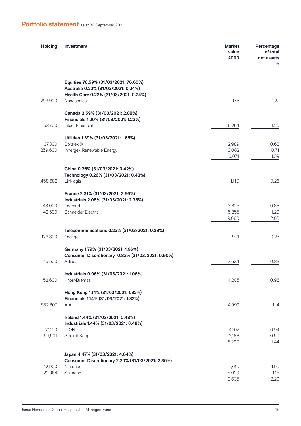# **Portfolio statement** as at 30 September 2021

| <b>Holding</b> | Investment                                                                  | Market<br>value<br>£000 | Percentage<br>of total<br>net assets<br>% |
|----------------|-----------------------------------------------------------------------------|-------------------------|-------------------------------------------|
|                | Equities 76.59% (31/03/2021: 76.60%)<br>Australia 0.22% (31/03/2021: 0.24%) |                         |                                           |
| 293,900        | Health Care 0.22% (31/03/2021: 0.24%)<br><b>Nanosonics</b>                  | 976                     | 0.22                                      |
|                | Canada 2.59% (31/03/2021: 2.88%)<br>Financials 1.20% (31/03/2021: 1.23%)    |                         |                                           |
| 53,700         | <b>Intact Financial</b>                                                     | 5,254                   | 1.20                                      |
|                | Utilities 1.39% (31/03/2021: 1.65%)                                         |                         |                                           |
| 137,300        | Boralex 'A'                                                                 | 2,989                   | 0.68                                      |
| 259,600        | Innergex Renewable Energy                                                   | 3,082<br>6,071          | 0.71<br>1.39                              |
|                |                                                                             |                         |                                           |
|                | China 0.26% (31/03/2021: 0.42%)                                             |                         |                                           |
|                | Technology 0.26% (31/03/2021: 0.42%)                                        |                         |                                           |
| 1,458,682      | Linklogis                                                                   | 1,110                   | 0.26                                      |
|                | France 2.31% (31/03/2021: 2.66%)<br>Industrials 2.08% (31/03/2021: 2.38%)   |                         |                                           |
| 48,000         | Legrand                                                                     | 3,825                   | 0.88                                      |
| 42,500         | Schneider Electric                                                          | 5,255                   | 1.20                                      |
|                |                                                                             | 9,080                   | 2.08                                      |
|                | Telecommunications 0.23% (31/03/2021: 0.28%)                                |                         |                                           |
| 123,300        | Orange                                                                      | 991                     | 0.23                                      |
|                | Germany 1.79% (31/03/2021: 1.96%)                                           |                         |                                           |
|                | Consumer Discretionary 0.83% (31/03/2021: 0.90%)                            |                         |                                           |
| 15,500         | Adidas                                                                      | 3,634                   | 0.83                                      |
|                |                                                                             |                         |                                           |
| 52,600         | Industrials 0.96% (31/03/2021: 1.06%)<br>Knorr-Bremse                       | 4,205                   | 0.96                                      |
|                |                                                                             |                         |                                           |
|                | Hong Kong 1.14% (31/03/2021: 1.32%)                                         |                         |                                           |
|                | Financials 1.14% (31/03/2021: 1.32%)                                        |                         |                                           |
| 582,807        | AIA                                                                         | 4,992                   | 1.14                                      |
|                | Ireland 1.44% (31/03/2021: 0.48%)<br>Industrials 1.44% (31/03/2021: 0.48%)  |                         |                                           |
| 21,100         | <b>ICON</b>                                                                 | 4,102                   | 0.94                                      |
| 56,501         | Smurfit Kappa                                                               | 2,188                   | 0.50                                      |
|                |                                                                             | 6,290                   | 1.44                                      |
|                | Japan 4.47% (31/03/2021: 4.64%)                                             |                         |                                           |
|                | Consumer Discretionary 2.20% (31/03/2021: 2.36%)                            |                         |                                           |
| 12,900         | Nintendo                                                                    | 4,615                   | 1.05                                      |
| 22,964         | Shimano                                                                     | 5,020                   | 1.15                                      |
|                |                                                                             | 9,635                   | 2.20                                      |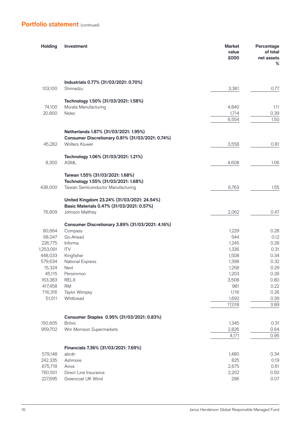| <b>Holding</b> | Investment                                                                                | <b>Market</b><br>value<br>£000 | Percentage<br>of total<br>net assets<br>% |
|----------------|-------------------------------------------------------------------------------------------|--------------------------------|-------------------------------------------|
|                | Industrials 0.77% (31/03/2021: 0.70%)                                                     |                                |                                           |
| 103,100        | Shimadzu                                                                                  | 3,361                          | 0.77                                      |
|                | Technology 1.50% (31/03/2021: 1.58%)                                                      |                                |                                           |
| 74,100         | Murata Manufacturing                                                                      | 4,840                          | 1.11                                      |
| 20,800         | Nidec                                                                                     | 1,714                          | 0.39                                      |
|                |                                                                                           | 6,554                          | 1.50                                      |
|                | Netherlands 1.87% (31/03/2021: 1.95%)<br>Consumer Discretionary 0.81% (31/03/2021: 0.74%) |                                |                                           |
| 45,282         | <b>Wolters Kluwer</b>                                                                     | 3,558                          | 0.81                                      |
| 8,300          | Technology 1.06% (31/03/2021: 1.21%)<br><b>ASML</b>                                       | 4,608                          | 1.06                                      |
|                |                                                                                           |                                |                                           |
|                | Taiwan 1.55% (31/03/2021: 1.68%)                                                          |                                |                                           |
| 438,000        | Technology 1.55% (31/03/2021: 1.68%)<br>Taiwan Semiconductor Manufacturing                | 6,763                          | 1.55                                      |
|                |                                                                                           |                                |                                           |
|                | United Kingdom 23.24% (31/03/2021: 24.54%)<br>Basic Materials 0.47% (31/03/2021: 0.57%)   |                                |                                           |
| 76,809         | Johnson Matthey                                                                           | 2,062                          | 0.47                                      |
|                | Consumer Discretionary 3.89% (31/03/2021: 4.16%)                                          |                                |                                           |
| 80,664         | Compass                                                                                   | 1,229                          | 0.28                                      |
| 68,047         | Go-Ahead                                                                                  | 544                            | 0.12                                      |
| 226,775        | Informa                                                                                   | 1,245                          | 0.28                                      |
| 1,253,091      | <b>ITV</b>                                                                                | 1,336                          | 0.31                                      |
| 448,033        | Kingfisher                                                                                | 1,508                          | 0.34                                      |
| 579,634        | <b>National Express</b>                                                                   | 1,398                          | 0.32                                      |
| 15,324         | Next                                                                                      | 1,258                          | 0.29                                      |
| 45,115         | Persimmon                                                                                 | 1,203                          | 0.28                                      |
| 163,383        | <b>RELX</b>                                                                               | 3,508                          | 0.80                                      |
| 417,458        | <b>RM</b>                                                                                 | 981                            | 0.22                                      |
| 716,316        | Taylor Wimpey                                                                             | 1,116                          | 0.26                                      |
| 51,011         | Whitbread                                                                                 | 1,692                          | 0.39                                      |
|                |                                                                                           | 17,018                         | 3.89                                      |
|                | Consumer Staples 0.95% (31/03/2021: 0.83%)                                                |                                |                                           |
| 150,605        | <b>Britvic</b>                                                                            | 1,345                          | 0.31                                      |
| 959,702        | Wm Morrison Supermarkets                                                                  | 2,826                          | 0.64                                      |
|                |                                                                                           | 4,171                          | 0.95                                      |
|                | Financials 7.36% (31/03/2021: 7.69%)                                                      |                                |                                           |
| 579,148        | abrdn                                                                                     | 1,480                          | 0.34                                      |
| 242,335        | Ashmore                                                                                   | 825                            | 0.19                                      |
| 675,718        | Aviva                                                                                     | 2,675                          | 0.61                                      |
| 760,501        | Direct Line Insurance                                                                     | 2,202                          | 0.50                                      |
| 227,695        | Greencoat UK Wind                                                                         | 296                            | 0.07                                      |
|                |                                                                                           |                                |                                           |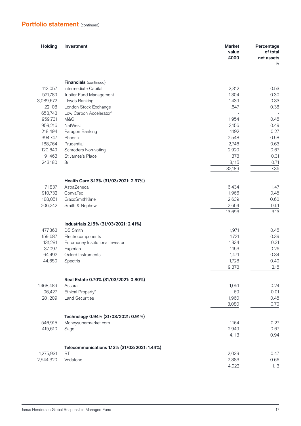| <b>Holding</b>     | Investment                                                   | <b>Market</b><br>value<br>£000 | Percentage<br>of total<br>net assets<br>% |
|--------------------|--------------------------------------------------------------|--------------------------------|-------------------------------------------|
|                    |                                                              |                                |                                           |
|                    | <b>Financials</b> (continued)                                |                                |                                           |
| 113,057            | Intermediate Capital                                         | 2,312                          | 0.53                                      |
| 521,789            | Jupiter Fund Management                                      | 1,304                          | 0.30                                      |
| 3,089,672          | Lloyds Banking                                               | 1,439                          | 0.33                                      |
| 22,108             | London Stock Exchange                                        | 1,647                          | 0.38                                      |
| 658,743            | Low Carbon Accelerator <sup>1</sup><br>M&G                   | 1,954                          | 0.45                                      |
| 959,731<br>959,216 | NatWest                                                      | 2,156                          | 0.49                                      |
| 218,494            | Paragon Banking                                              | 1,192                          | 0.27                                      |
| 394,747            | Phoenix                                                      | 2,548                          | 0.58                                      |
| 188,764            | Prudential                                                   | 2,746                          | 0.63                                      |
| 120,649            | Schroders Non-voting                                         | 2,920                          | 0.67                                      |
| 91,463             | St James's Place                                             | 1,378                          | 0.31                                      |
| 243,180            | 3i                                                           | 3,115                          | 0.71                                      |
|                    |                                                              | 32,189                         | 7.36                                      |
|                    |                                                              |                                |                                           |
|                    | Health Care 3.13% (31/03/2021: 2.97%)                        |                                |                                           |
| 71,837             | AstraZeneca                                                  | 6,434                          | 1.47                                      |
| 910,732            | ConvaTec                                                     | 1,966                          | 0.45                                      |
| 188,051            | GlaxoSmithKline                                              | 2,639                          | 0.60                                      |
| 206,242            | Smith & Nephew                                               | 2,654                          | 0.61                                      |
|                    |                                                              | 13,693                         | 3.13                                      |
|                    | Industrials 2.15% (31/03/2021: 2.41%)                        |                                |                                           |
| 477,363            | <b>DS Smith</b>                                              | 1,971                          | 0.45                                      |
| 159,687            | Electrocomponents                                            | 1,721                          | 0.39                                      |
| 131,281            | Euromoney Institutional Investor                             | 1,334                          | 0.31                                      |
| 37,097             | Experian                                                     | 1,153                          | 0.26                                      |
| 64,492             | Oxford Instruments                                           | 1,471                          | 0.34                                      |
| 44,650             | Spectris                                                     | 1,728                          | 0.40                                      |
|                    |                                                              | 9,378                          | 2.15                                      |
|                    | Real Estate 0.70% (31/03/2021: 0.80%)                        |                                |                                           |
| 1,468,489          | Assura                                                       | 1,051                          | 0.24                                      |
| 96,427             | Ethical Property <sup>2</sup>                                | 69                             | 0.01                                      |
| 281,209            | <b>Land Securities</b>                                       | 1,960                          | 0.45                                      |
|                    |                                                              | 3,080                          | 0.70                                      |
|                    |                                                              |                                |                                           |
| 546,915            | Technology 0.94% (31/03/2021: 0.91%)<br>Moneysupermarket.com | 1,164                          | 0.27                                      |
| 415,610            | Sage                                                         | 2,949                          | 0.67                                      |
|                    |                                                              | 4,113                          | 0.94                                      |
|                    |                                                              |                                |                                           |
|                    | Telecommunications 1.13% (31/03/2021: 1.44%)                 |                                |                                           |
| 1,275,931          | <b>BT</b>                                                    | 2,039                          | 0.47                                      |
| 2,544,320          | Vodafone                                                     | 2,883                          | 0.66                                      |
|                    |                                                              | 4,922                          | 1.13                                      |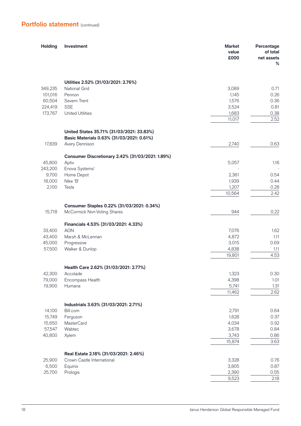| <b>Holding</b> | Investment                                       | <b>Market</b><br>value<br>£000 | Percentage<br>of total<br>net assets<br>% |
|----------------|--------------------------------------------------|--------------------------------|-------------------------------------------|
|                |                                                  |                                |                                           |
|                | Utilities 2.52% (31/03/2021: 2.76%)              |                                |                                           |
| 349,235        | National Grid                                    | 3,089                          | 0.71                                      |
| 101,016        | Pennon                                           | 1,145                          | 0.26                                      |
| 60,504         | Severn Trent                                     | 1,576                          | 0.36                                      |
| 224,419        | <b>SSE</b>                                       | 3,524                          | 0.81                                      |
| 173,767        | <b>United Utilities</b>                          | 1,683<br>11,017                | 0.38<br>2.52                              |
|                |                                                  |                                |                                           |
|                | United States 35.71% (31/03/2021: 33.83%)        |                                |                                           |
|                | Basic Materials 0.63% (31/03/2021: 0.61%)        |                                |                                           |
| 17,839         | Avery Dennison                                   | 2,740                          | 0.63                                      |
|                | Consumer Discretionary 2.42% (31/03/2021: 1.89%) |                                |                                           |
| 45,800         | Aptiv                                            | 5,057                          | 1.16                                      |
| 243,200        | Enova Systems <sup>1</sup>                       |                                |                                           |
| 9,700          | Home Depot                                       | 2,361                          | 0.54                                      |
| 18,000         | Nike 'B'                                         | 1,939                          | 0.44                                      |
| 2,100          | Tesla                                            | 1,207                          | 0.28                                      |
|                |                                                  | 10,564                         | 2.42                                      |
|                | Consumer Staples 0.22% (31/03/2021: 0.34%)       |                                |                                           |
| 15,718         | McCormick Non-Voting Shares                      | 944                            | 0.22                                      |
|                |                                                  |                                |                                           |
|                | Financials 4.53% (31/03/2021: 4.33%)             |                                |                                           |
| 33,400         | <b>AON</b>                                       | 7,076                          | 1.62                                      |
| 43,400         | Marsh & McLennan                                 | 4,872                          | 1.11                                      |
| 45,000         | Progressive                                      | 3,015                          | 0.69                                      |
| 57,500         | Walker & Dunlop                                  | 4,838                          | 1.11                                      |
|                |                                                  | 19,801                         | 4.53                                      |
|                | Health Care 2.62% (31/03/2021: 2.77%)            |                                |                                           |
| 42,300         | Accolade                                         | 1,323                          | 0.30                                      |
| 79,000         | Encompass Health                                 | 4,398                          | 1.01                                      |
| 19,900         | Humana                                           | 5,741                          | 1.31                                      |
|                |                                                  | 11,462                         | 2.62                                      |
|                |                                                  |                                |                                           |
|                | Industrials 3.63% (31/03/2021: 2.71%)            |                                |                                           |
| 14,100         | Bill.com                                         | 2,791                          | 0.64                                      |
| 15,749         | Ferguson                                         | 1,628                          | 0.37                                      |
| 15,650         | <b>MasterCard</b>                                | 4,034                          | 0.92                                      |
| 57,547         | Wabtec                                           | 3,678                          | 0.84                                      |
| 40,800         | Xylem                                            | 3,743                          | 0.86                                      |
|                |                                                  | 15,874                         | 3.63                                      |
|                | Real Estate 2.18% (31/03/2021: 2.46%)            |                                |                                           |
| 25,900         | Crown Castle International                       | 3,328                          | 0.76                                      |
| 6,500          | Equinix                                          | 3,805                          | 0.87                                      |
| 25,700         | Prologis                                         | 2,390                          | 0.55                                      |
|                |                                                  | 9,523                          | 2.18                                      |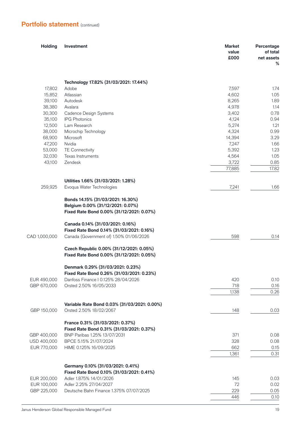| <b>Holding</b> | Investment                                                                                                          | <b>Market</b><br>value<br>£000 | Percentage<br>of total<br>net assets<br>% |
|----------------|---------------------------------------------------------------------------------------------------------------------|--------------------------------|-------------------------------------------|
|                |                                                                                                                     |                                |                                           |
| 17,802         | Technology 17.82% (31/03/2021: 17.44%)<br>Adobe                                                                     | 7,597                          | 1.74                                      |
| 15,852         | Atlassian                                                                                                           | 4,602                          | 1.05                                      |
| 39,100         | Autodesk                                                                                                            | 8,265                          | 1.89                                      |
| 38,380         | Avalara                                                                                                             | 4,978                          | 1.14                                      |
| 30,300         | Cadence Design Systems                                                                                              | 3,402                          | 0.78                                      |
| 35,100         | <b>IPG Photonics</b>                                                                                                | 4,124                          | 0.94                                      |
| 12,500         | Lam Research                                                                                                        | 5,274                          | 1.21                                      |
| 38,000         | Microchip Technology                                                                                                | 4,324                          | 0.99                                      |
| 68,900         | Microsoft                                                                                                           | 14,394                         | 3.29                                      |
| 47,200         | Nvidia                                                                                                              | 7,247                          | 1.66                                      |
| 53,000         | <b>TE Connectivity</b>                                                                                              | 5,392                          | 1.23                                      |
| 32,030         | Texas Instruments                                                                                                   | 4,564                          | 1.05                                      |
| 43,100         | Zendesk                                                                                                             | 3,722                          | 0.85                                      |
|                |                                                                                                                     | 77,885                         | 17.82                                     |
|                | Utilities 1.66% (31/03/2021: 1.28%)                                                                                 |                                |                                           |
| 259,925        | Evoqua Water Technologies                                                                                           | 7,241                          | 1.66                                      |
|                |                                                                                                                     |                                |                                           |
|                | Bonds 14.15% (31/03/2021: 16.30%)<br>Belgium 0.00% (31/12/2021: 0.07%)<br>Fixed Rate Bond 0.00% (31/12/2021: 0.07%) |                                |                                           |
|                |                                                                                                                     |                                |                                           |
|                | Canada 0.14% (31/03/2021: 0.16%)                                                                                    |                                |                                           |
|                | Fixed Rate Bond 0.14% (31/03/2021: 0.16%)                                                                           |                                |                                           |
| CAD 1,000,000  | Canada (Government of) 1.50% 01/06/2026                                                                             | 598                            | 0.14                                      |
|                | Czech Republic 0.00% (31/12/2021: 0.05%)                                                                            |                                |                                           |
|                | Fixed Rate Bond 0.00% (31/12/2021: 0.05%)                                                                           |                                |                                           |
|                | Denmark 0.29% (31/03/2021: 0.23%)                                                                                   |                                |                                           |
|                | Fixed Rate Bond 0.26% (31/03/2021: 0.23%)                                                                           |                                |                                           |
| EUR 490,000    | Danfoss Finance I 0.125% 28/04/2026                                                                                 | 420                            | 0.10                                      |
| GBP 670,000    | Orsted 2.50% 16/05/2033                                                                                             | 718                            | 0.16                                      |
|                |                                                                                                                     | 1,138                          | 0.26                                      |
|                | Variable Rate Bond 0.03% (31/03/2021: 0.00%)                                                                        |                                |                                           |
| GBP 150,000    | Orsted 2.50% 18/02/2067                                                                                             | 148                            | 0.03                                      |
|                |                                                                                                                     |                                |                                           |
|                | France 0.31% (31/03/2021: 0.37%)                                                                                    |                                |                                           |
|                | Fixed Rate Bond 0.31% (31/03/2021: 0.37%)                                                                           |                                |                                           |
| GBP 400,000    | BNP Paribas 1.25% 13/07/2031                                                                                        | 371                            | 0.08                                      |
| USD 400,000    | BPCE 5.15% 21/07/2024                                                                                               | 328                            | 0.08                                      |
| EUR 770,000    | HIME 0.125% 16/09/2025                                                                                              | 662                            | 0.15                                      |
|                |                                                                                                                     | 1,361                          | 0.31                                      |
|                | Germany 0.10% (31/03/2021: 0.41%)                                                                                   |                                |                                           |
|                | Fixed Rate Bond 0.10% (31/03/2021: 0.41%)                                                                           |                                |                                           |
| EUR 200,000    | Adler 1.875% 14/01/2026                                                                                             | 145                            | 0.03                                      |
| EUR 100,000    | Adler 2.25% 27/04/2027                                                                                              | 72                             | 0.02                                      |
| GBP 225,000    | Deutsche Bahn Finance 1.375% 07/07/2025                                                                             | 229                            | 0.05                                      |
|                |                                                                                                                     | 446                            | 0.10                                      |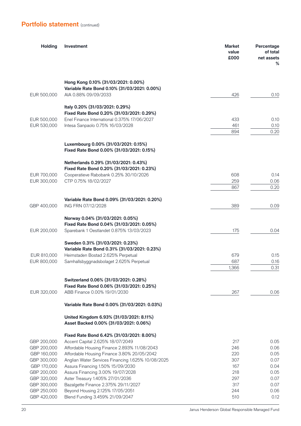| <b>Holding</b>             | <b>Investment</b>                                                                       | <b>Market</b><br>value<br>£000 | Percentage<br>of total<br>net assets<br>% |
|----------------------------|-----------------------------------------------------------------------------------------|--------------------------------|-------------------------------------------|
|                            | Hong Kong 0.10% (31/03/2021: 0.00%)<br>Variable Rate Bond 0.10% (31/03/2021: 0.00%)     |                                |                                           |
| EUR 500,000                | AIA 0.88% 09/09/2033                                                                    | 426                            | 0.10                                      |
|                            | Italy 0.20% (31/03/2021: 0.29%)                                                         |                                |                                           |
|                            | Fixed Rate Bond 0.20% (31/03/2021: 0.29%)                                               |                                |                                           |
| EUR 500,000                | Enel Finance International 0.375% 17/06/2027                                            | 433                            | 0.10                                      |
| EUR 530,000                | Intesa Sanpaolo 0.75% 16/03/2028                                                        | 461<br>894                     | 0.10<br>0.20                              |
|                            |                                                                                         |                                |                                           |
|                            | Luxembourg 0.00% (31/03/2021: 0.15%)<br>Fixed Rate Bond 0.00% (31/03/2021: 0.15%)       |                                |                                           |
|                            | Netherlands 0.29% (31/03/2021: 0.43%)                                                   |                                |                                           |
|                            | Fixed Rate Bond 0.20% (31/03/2021: 0.23%)                                               |                                |                                           |
| EUR 700,000                | Cooperatieve Rabobank 0.25% 30/10/2026                                                  | 608                            | 0.14                                      |
| EUR 300,000                | CTP 0.75% 18/02/2027                                                                    | 259<br>867                     | 0.06<br>0.20                              |
|                            |                                                                                         |                                |                                           |
|                            | Variable Rate Bond 0.09% (31/03/2021: 0.20%)                                            |                                |                                           |
| GBP 400,000                | ING FRN 07/12/2028                                                                      | 389                            | 0.09                                      |
|                            | Norway 0.04% (31/03/2021: 0.05%)                                                        |                                |                                           |
|                            | Fixed Rate Bond 0.04% (31/03/2021: 0.05%)                                               |                                |                                           |
| EUR 200,000                | Sparebank 1 Oestlandet 0.875% 13/03/2023                                                | 175                            | 0.04                                      |
|                            | Sweden 0.31% (31/03/2021: 0.23%)                                                        |                                |                                           |
|                            | Variable Rate Bond 0.31% (31/03/2021: 0.23%)                                            |                                |                                           |
| EUR 810,000                | Heimstaden Bostad 2.625% Perpetual                                                      | 679                            | 0.15                                      |
| EUR 800,000                | Samhallsbyggnadsbolaget 2.625% Perpetual                                                | 687<br>1,366                   | 0.16<br>0.31                              |
|                            |                                                                                         |                                |                                           |
|                            | Switzerland 0.06% (31/03/2021: 0.28%)<br>Fixed Rate Bond 0.06% (31/03/2021: 0.25%)      |                                |                                           |
| EUR 320,000                | ABB Finance 0.00% 19/01/2030                                                            | 267                            | 0.06                                      |
|                            | Variable Rate Bond 0.00% (31/03/2021: 0.03%)                                            |                                |                                           |
|                            | United Kingdom 6.93% (31/03/2021: 8.11%)<br>Asset Backed 0.00% (31/03/2021: 0.06%)      |                                |                                           |
|                            | Fixed Rate Bond 6.42% (31/03/2021: 8.00%)                                               |                                |                                           |
| GBP 200,000                | Accent Capital 2.625% 18/07/2049                                                        | 217                            | 0.05                                      |
| GBP 200,000                | Affordable Housing Finance 2.893% 11/08/2043                                            | 246                            | 0.06                                      |
| GBP 160,000                | Affordable Housing Finance 3.80% 20/05/2042                                             | 220                            | 0.05                                      |
| GBP 300,000<br>GBP 170,000 | Anglian Water Services Financing 1.625% 10/08/2025<br>Assura Financing 1.50% 15/09/2030 | 307<br>167                     | 0.07<br>0.04                              |
| GBP 200,000                | Assura Financing 3.00% 19/07/2028                                                       | 218                            | 0.05                                      |
| GBP 320,000                | Aster Treasury 1.405% 27/01/2036                                                        | 297                            | 0.07                                      |
| GBP 300,000                | Bazalgette Finance 2.375% 29/11/2027                                                    | 317                            | 0.07                                      |
| GBP 250,000                | Beyond Housing 2.125% 17/05/2051                                                        | 244                            | 0.06                                      |
| GBP 420,000                | Blend Funding 3.459% 21/09/2047                                                         | 510                            | 0.12                                      |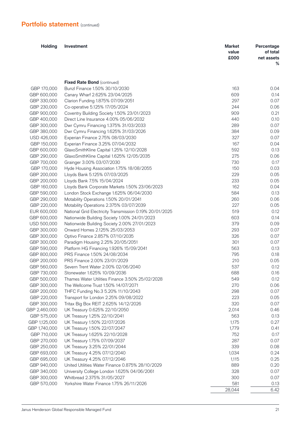| <b>Holding</b>             | Investment                                                                           | <b>Market</b><br>value<br>£000 | Percentage<br>of total<br>net assets<br>% |
|----------------------------|--------------------------------------------------------------------------------------|--------------------------------|-------------------------------------------|
|                            |                                                                                      |                                |                                           |
|                            | <b>Fixed Rate Bond (continued)</b>                                                   |                                |                                           |
| GBP 170,000                | Bunzl Finance 1.50% 30/10/2030                                                       | 163                            | 0.04                                      |
| GBP 600,000                | Canary Wharf 2.625% 23/04/2025                                                       | 609                            | 0.14                                      |
| GBP 330,000                | Clarion Funding 1.875% 07/09/2051                                                    | 297                            | 0.07                                      |
| GBP 230,000                | Co-operative 5.125% 17/05/2024                                                       | 244                            | 0.06                                      |
| GBP 900,000<br>GBP 400,000 | Coventry Building Society 1.50% 23/01/2023<br>Direct Line Insurance 4.00% 05/06/2032 | 909<br>440                     | 0.21<br>0.10                              |
| GBP 300,000                | Dwr Cymru Financing 1.375% 31/03/2033                                                | 289                            | 0.07                                      |
| GBP 380,000                | Dwr Cymru Financing 1.625% 31/03/2026                                                | 384                            | 0.09                                      |
| USD 426,000                | Experian Finance 2.75% 08/03/2030                                                    | 327                            | 0.07                                      |
| GBP 150,000                | Experian Finance 3.25% 07/04/2032                                                    | 167                            | 0.04                                      |
| GBP 600,000                | GlaxoSmithKline Capital 1.25% 12/10/2028                                             | 592                            | 0.13                                      |
| GBP 290,000                | GlaxoSmithKline Capital 1.625% 12/05/2035                                            | 275                            | 0.06                                      |
| GBP 700,000                | Grainger 3.00% 03/07/2030                                                            | 730                            | 0.17                                      |
| GBP 170,000                | Hyde Housing Association 1.75% 18/08/2055                                            | 150                            | 0.03                                      |
| GBP 200,000                | Lloyds Bank 5.125% 07/03/2025                                                        | 229                            | 0.05                                      |
| GBP 200,000                | Lloyds Bank 7.5% 15/04/2024                                                          | 233                            | 0.05                                      |
| GBP 160,000                | Lloyds Bank Corporate Markets 1.50% 23/06/2023                                       | 162                            | 0.04                                      |
| GBP 590,000                | London Stock Exchange 1.625% 06/04/2030                                              | 584                            | 0.13                                      |
| GBP 290,000                | Motability Operations 1.50% 20/01/2041                                               | 260                            | 0.06                                      |
| GBP 220,000                | Motability Operations 2.375% 03/07/2039                                              | 227                            | 0.05                                      |
| EUR 600,000                | National Grid Electricity Transmission 0.19% 20/01/2025                              | 519                            | 0.12                                      |
| GBP 600,000                | Nationwide Building Society 1.00% 24/01/2023                                         | 603                            | 0.14                                      |
| USD 500,000                | Nationwide Building Society 2.00% 27/01/2023                                         | 379                            | 0.09                                      |
| GBP 300,000                | Onward Homes 2.125% 25/03/2053                                                       | 293                            | 0.07                                      |
| GBP 300,000                | Optivo Finance 2.857% 07/10/2035                                                     | 326                            | 0.07                                      |
| GBP 300,000                | Paradigm Housing 2.25% 20/05/2051                                                    | 301                            | 0.07                                      |
| GBP 590,000                | Platform HG Financing 1.926% 15/09/2041                                              | 563                            | 0.13                                      |
| GBP 800,000                | PRS Finance 1.50% 24/08/2034                                                         | 795                            | 0.18                                      |
| GBP 200,000                | PRS Finance 2.00% 23/01/2029                                                         | 210                            | 0.05                                      |
| GBP 560,000                | Severn Trent Water 2.00% 02/06/2040                                                  | 537                            | 0.12                                      |
| GBP 730,000                | Stonewater 1.625% 10/09/2036                                                         | 688                            | 0.16                                      |
| GBP 500,000                | Thames Water Utilities Finance 3.50% 25/02/2028                                      | 549                            | 0.12                                      |
| GBP 300,000                | The Wellcome Trust 1.50% 14/07/2071                                                  | 270                            | 0.06                                      |
| GBP 200,000<br>GBP 220,000 | THFC Funding No.3 5.20% 11/10/2043<br>Transport for London 2.25% 09/08/2022          | 298<br>223                     | 0.07<br>0.05                              |
| GBP 300,000                | Tritax Big Box REIT 2.625% 14/12/2026                                                | 320                            | 0.07                                      |
| GBP 2,460,000              | UK Treasury 0.625% 22/10/2050                                                        | 2,014                          | 0.46                                      |
| GBP 575,000                | UK Treasury 1.25% 22/10/2041                                                         | 563                            | 0.13                                      |
| GBP 1,125,000              | UK Treasury 1.50% 22/07/2026                                                         | 1,175                          | 0.27                                      |
| GBP 1,740,000              | UK Treasury 1.50% 22/07/2047                                                         | 1,779                          | 0.41                                      |
| GBP 710,000                | UK Treasury 1.625% 22/10/2028                                                        | 752                            | 0.17                                      |
| GBP 270,000                | UK Treasury 1.75% 07/09/2037                                                         | 287                            | 0.07                                      |
| GBP 250,000                | UK Treasury 3.25% 22/01/2044                                                         | 339                            | 0.08                                      |
| GBP 693,000                | UK Treasury 4.25% 07/12/2040                                                         | 1,034                          | 0.24                                      |
| GBP 695,000                | UK Treasury 4.25% 07/12/2046                                                         | 1,115                          | 0.25                                      |
| GBP 940,000                | United Utilities Water Finance 0.875% 28/10/2029                                     | 889                            | 0.20                                      |
| GBP 340,000                | University College London 1.625% 04/06/2061                                          | 328                            | 0.07                                      |
| GBP 300,000                | Whitbread 2.375% 31/05/2027                                                          | 300                            | 0.07                                      |
| GBP 570,000                | Yorkshire Water Finance 1.75% 26/11/2026                                             | 581                            | 0.13                                      |
|                            |                                                                                      | 28,044                         | 6.42                                      |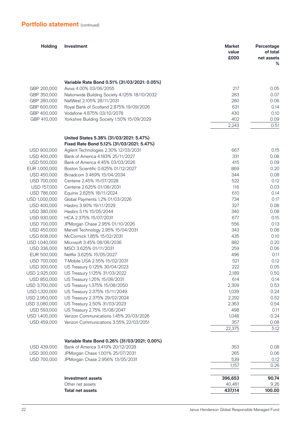| <b>Holding</b>             | Investment                                      | <b>Market</b><br>value<br>£000 | Percentage<br>of total<br>net assets<br>℅ |
|----------------------------|-------------------------------------------------|--------------------------------|-------------------------------------------|
|                            | Variable Rate Bond 0.51% (31/03/2021: 0.05%)    |                                |                                           |
| GBP 200,000                | Aviva 4.00% 03/06/2055                          | 217                            | 0.05                                      |
| GBP 350,000                | Nationwide Building Society 4.125% 18/10/2032   | 283                            | 0.07                                      |
| GBP 280,000                | NatWest 2.105% 28/11/2031                       | 280                            | 0.06                                      |
| GBP 600,000                | Royal Bank of Scotland 2.875% 19/09/2026        | 631                            | 0.14                                      |
| GBP 400,000                | Vodafone 4.875% 03/10/2078                      | 430                            | 0.10                                      |
| GBP 410,000                | Yorkshire Building Society 1.50% 15/09/2029     | 402                            | 0.09                                      |
|                            |                                                 | 2,243                          | 0.51                                      |
|                            | United States 5.38% (31/03/2021: 5.47%)         |                                |                                           |
|                            | Fixed Rate Bond 5.12% (31/03/2021: 5.47%)       |                                |                                           |
| USD 900,000                | Agilent Technologies 2.30% 12/03/2031           | 667                            | 0.15                                      |
| USD 400,000                | Bank of America 4.183% 25/11/2027               | 331                            | 0.08                                      |
| <b>USD 500,000</b>         | Bank of America 4.45% 03/03/2026                | 415                            | 0.09                                      |
| EUR 1,000,000              | Boston Scientific 0.625% 01/12/2027             | 869                            | 0.20                                      |
| USD 450,000                | Broadcom 3.469% 15/04/2034                      | 344                            | 0.08                                      |
| USD 700,000                | Centene 2.45% 15/07/2028                        | 522                            | 0.12                                      |
| USD 157,000                | Centene 2.625% 01/08/2031                       | 116                            | 0.03                                      |
| USD 786,000                | Equinix 2.625% 18/11/2024                       | 610                            | 0.14                                      |
| USD 1,000,000              | Global Payments 1.2% 01/03/2026                 | 734                            | 0.17                                      |
| USD 400,000                | Hasbro 3.90% 19/11/2029                         | 327<br>340                     | 0.08                                      |
| USD 380,000<br>USD 930,000 | Hasbro 5.1% 15/05/2044<br>HCA 2.375% 15/07/2031 | 677                            | 0.08<br>0.15                              |
| USD 700,000                | JPMorgan Chase 2.95% 01/10/2026                 | 556                            | 0.13                                      |
| USD 450,000                | Marvell Technology 2.95% 15/04/2031             | 343                            | 0.08                                      |
| USD 608,000                | McCormick 1.85% 15/02/2031                      | 435                            | 0.10                                      |
| USD 1,040,000              | Microsoft 3.45% 08/08/2036                      | 882                            | 0.20                                      |
| USD 336,000                | MSCI 3.625% 01/11/2031                          | 259                            | 0.06                                      |
| EUR 500,000                | Netflix 3.625% 15/05/2027                       | 496                            | 0.11                                      |
| USD 700,000                | T-Mobile USA 2.55% 15/02/2031                   | 521                            | 0.12                                      |
| USD 300,000                | US Treasury 0.125% 30/04/2023                   | 222                            | 0.05                                      |
| USD 2,925,000              | US Treasury 1.125% 31/03/2022                   | 2,189                          | 0.50                                      |
| USD 850,000                | US Treasury 1.25% 15/08/2031                    | 614                            | 0.14                                      |
| USD 3,700,000              | US Treasury 1.375% 15/08/2050                   | 2,309                          | 0.53                                      |
| USD 1,320,000              | US Treasury 2.375% 15/11/2049                   | 1,039                          | 0.24                                      |
| USD 2,950,000              | US Treasury 2.375% 29/02/2024                   | 2,292                          | 0.52                                      |
| USD 3,080,000              | US Treasury 2.50% 31/03/2023                    | 2,363                          | 0.54                                      |
| USD 593,000                | US Treasury 2.75% 15/08/2047                    | 498                            | 0.11                                      |
| USD 1,400,000              | Verizon Communications 1.45% 20/03/2026         | 1,048                          | 0.24                                      |
| USD 459,000                | Verizon Communications 3.55% 22/03/2051         | 357                            | 0.08                                      |
|                            |                                                 | 22,375                         | 5.12                                      |
|                            | Variable Rate Bond 0.26% (31/03/2021: 0.00%)    |                                |                                           |
| USD 439,000                | Bank of America 3.419% 20/12/2028               | 353                            | 0.08                                      |
| USD 300,000                | JPMorgan Chase 1.001% 25/07/2031                | 265                            | 0.06                                      |
| USD 700,000                | JPMorgan Chase 2.956% 13/05/2031                | 539                            | 0.12                                      |
|                            |                                                 | 1,157                          | 0.26                                      |
|                            | <b>Investment assets</b>                        | 396,653                        | 90.74                                     |
|                            | Other net assets                                | 40,461                         | 9.26                                      |
|                            | <b>Total net assets</b>                         | 437,114                        | 100.00                                    |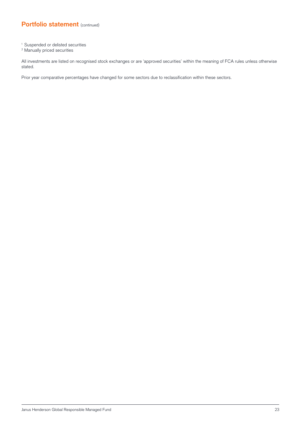- 1 Suspended or delisted securities
- 2 Manually priced securities

All investments are listed on recognised stock exchanges or are 'approved securities' within the meaning of FCA rules unless otherwise stated.

Prior year comparative percentages have changed for some sectors due to reclassification within these sectors.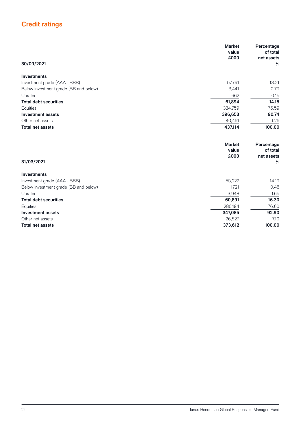# **Credit ratings**

|                                       | <b>Market</b><br>value<br>£000 | Percentage<br>of total<br>net assets |
|---------------------------------------|--------------------------------|--------------------------------------|
| 30/09/2021                            |                                | %                                    |
| <b>Investments</b>                    |                                |                                      |
| Investment grade (AAA - BBB)          | 57,791                         | 13.21                                |
| Below investment grade (BB and below) | 3,441                          | 0.79                                 |
| Unrated                               | 662                            | 0.15                                 |
| <b>Total debt securities</b>          | 61,894                         | 14.15                                |
| Equities                              | 334,759                        | 76.59                                |
| <b>Investment assets</b>              | 396,653                        | 90.74                                |
| Other net assets                      | 40,461                         | 9.26                                 |
| <b>Total net assets</b>               | 437,114                        | 100.00                               |
|                                       | <b>Market</b>                  | Percentage                           |
|                                       | value                          | of total                             |
|                                       | £000                           | net assets                           |
| 31/03/2021                            |                                | %                                    |
| <b>Investments</b>                    |                                |                                      |
| Investment grade (AAA - BBB)          | 55,222                         | 14.19                                |
| Below investment grade (BB and below) | 1,721                          | 0.46                                 |
| Unrated                               | 3,948                          | 1.65                                 |
| <b>Total debt securities</b>          | 60,891                         | 16.30                                |
| Equities                              | 286,194                        | 76.60                                |
| <b>Investment assets</b>              | 347,085                        | 92.90                                |
| Other net assets                      | 26,527                         | 7.10                                 |
| <b>Total net assets</b>               | 373,612                        | 100.00                               |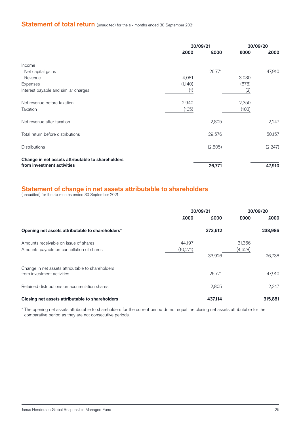# **Statement of total return** (unaudited) for the six months ended 30 September 2021

|                                                   |         | 30/09/21 | 30/09/20 |          |
|---------------------------------------------------|---------|----------|----------|----------|
|                                                   | £000    | £000     | £000     | £000     |
| Income                                            |         |          |          |          |
| Net capital gains                                 |         | 26,771   |          | 47,910   |
| Revenue                                           | 4,081   |          | 3,030    |          |
| Expenses                                          | (1,140) |          | (678)    |          |
| Interest payable and similar charges              | (1)     |          | (2)      |          |
| Net revenue before taxation                       | 2,940   |          | 2,350    |          |
| Taxation                                          | (135)   |          | (103)    |          |
| Net revenue after taxation                        |         | 2,805    |          | 2,247    |
| Total return before distributions                 |         | 29,576   |          | 50,157   |
| <b>Distributions</b>                              |         | (2,805)  |          | (2, 247) |
| Change in net assets attributable to shareholders |         |          |          |          |
| from investment activities                        |         | 26,771   |          | 47,910   |

## **Statement of change in net assets attributable to shareholders**

(unaudited) for the six months ended 30 September 2021

|                                                                                    | 30/09/21            |         | 30/09/20          |         |
|------------------------------------------------------------------------------------|---------------------|---------|-------------------|---------|
|                                                                                    | £000                | £000    | £000              | £000    |
| Opening net assets attributable to shareholders*                                   |                     | 373,612 |                   | 238,986 |
| Amounts receivable on issue of shares<br>Amounts payable on cancellation of shares | 44,197<br>(10, 271) |         | 31,366<br>(4,628) |         |
|                                                                                    |                     | 33,926  |                   | 26,738  |
| Change in net assets attributable to shareholders<br>from investment activities    |                     | 26,771  |                   | 47.910  |
| Retained distributions on accumulation shares                                      |                     | 2,805   |                   | 2.247   |
| Closing net assets attributable to shareholders                                    |                     | 437,114 |                   | 315,881 |

\* The opening net assets attributable to shareholders for the current period do not equal the closing net assets attributable for the comparative period as they are not consecutive periods.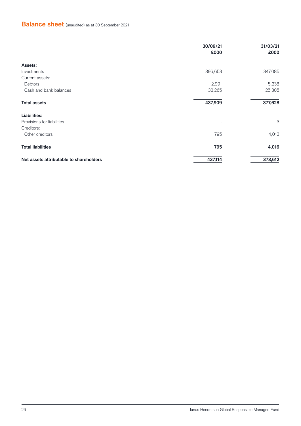# **Balance sheet** (unaudited) as at 30 September 2021

|                                         | 30/09/21<br>£000 | 31/03/21<br>£000 |
|-----------------------------------------|------------------|------------------|
| Assets:                                 |                  |                  |
| Investments                             | 396,653          | 347,085          |
| Current assets:                         |                  |                  |
| Debtors                                 | 2,991            | 5,238            |
| Cash and bank balances                  | 38,265           | 25,305           |
| <b>Total assets</b>                     | 437,909          | 377,628          |
| <b>Liabilities:</b>                     |                  |                  |
| Provisions for liabilities              |                  | 3                |
| Creditors:                              |                  |                  |
| Other creditors                         | 795              | 4,013            |
| <b>Total liabilities</b>                | 795              | 4,016            |
| Net assets attributable to shareholders | 437,114          | 373,612          |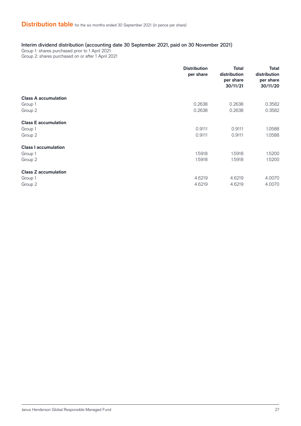### Interim dividend distribution (accounting date 30 September 2021, paid on 30 November 2021)

Group 1: shares purchased prior to 1 April 2021

Group 2: shares purchased on or after 1 April 2021

|                             | <b>Distribution</b><br>per share | <b>Total</b><br>distribution<br>per share<br>30/11/21 | <b>Total</b><br>distribution<br>per share<br>30/11/20 |
|-----------------------------|----------------------------------|-------------------------------------------------------|-------------------------------------------------------|
| <b>Class A accumulation</b> |                                  |                                                       |                                                       |
| Group 1                     | 0.2638                           | 0.2638                                                | 0.3582                                                |
| Group 2                     | 0.2638                           | 0.2638                                                | 0.3582                                                |
| <b>Class E accumulation</b> |                                  |                                                       |                                                       |
| Group 1                     | 0.9111                           | 0.9111                                                | 1.0588                                                |
| Group 2                     | 0.9111                           | 0.9111                                                | 1.0588                                                |
| <b>Class I accumulation</b> |                                  |                                                       |                                                       |
| Group 1                     | 1.5918                           | 1.5918                                                | 1.5200                                                |
| Group 2                     | 1.5918                           | 1.5918                                                | 1.5200                                                |
| <b>Class Z accumulation</b> |                                  |                                                       |                                                       |
| Group 1                     | 4.6219                           | 4.6219                                                | 4.0070                                                |
| Group 2                     | 4.6219                           | 4.6219                                                | 4.0070                                                |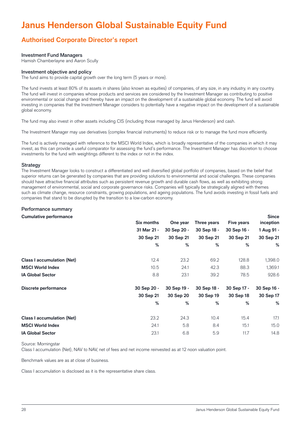# **Janus Henderson Global Sustainable Equity Fund**

# **Authorised Corporate Director's report**

#### Investment Fund Managers

Hamish Chamberlayne and Aaron Scully

#### Investment objective and policy

The fund aims to provide capital growth over the long term (5 years or more).

The fund invests at least 80% of its assets in shares (also known as equities) of companies, of any size, in any industry, in any country. The fund will invest in companies whose products and services are considered by the Investment Manager as contributing to positive environmental or social change and thereby have an impact on the development of a sustainable global economy. The fund will avoid investing in companies that the Investment Manager considers to potentially have a negative impact on the development of a sustainable global economy.

The fund may also invest in other assets including CIS (including those managed by Janus Henderson) and cash.

The Investment Manager may use derivatives (complex financial instruments) to reduce risk or to manage the fund more efficiently.

The fund is actively managed with reference to the MSCI World Index, which is broadly representative of the companies in which it may invest, as this can provide a useful comparator for assessing the fund's performance. The Investment Manager has discretion to choose investments for the fund with weightings different to the index or not in the index.

#### **Strategy**

The Investment Manager looks to construct a differentiated and well diversified global portfolio of companies, based on the belief that superior returns can be generated by companies that are providing solutions to environmental and social challenges. These companies should have attractive financial attributes such as persistent revenue growth and durable cash flows, as well as exhibiting strong management of environmental, social and corporate governance risks. Companies will typically be strategically aligned with themes such as climate change, resource constraints, growing populations, and ageing populations. The fund avoids investing in fossil fuels and companies that stand to be disrupted by the transition to a low-carbon economy.

#### Performance summary

#### **Cumulative performance**

|                                   | Six months  | One year    | Three years | Five years  | inception   |
|-----------------------------------|-------------|-------------|-------------|-------------|-------------|
|                                   | 31 Mar 21 - | 30 Sep 20 - | 30 Sep 18 - | 30 Sep 16 - | 1 Aug 91 -  |
|                                   | 30 Sep 21   | 30 Sep 21   | 30 Sep 21   | 30 Sep 21   | 30 Sep 21   |
|                                   | %           | %           | %           | %           | %           |
| <b>Class I accumulation (Net)</b> | 12.4        | 23.2        | 69.2        | 128.8       | 1,398.0     |
| <b>MSCI World Index</b>           | 10.5        | 24.1        | 42.3        | 88.3        | 1,369.1     |
| <b>IA Global Sector</b>           | 8.8         | 23.1        | 39.2        | 78.5        | 928.6       |
| Discrete performance              | 30 Sep 20 - | 30 Sep 19 - | 30 Sep 18 - | 30 Sep 17 - | 30 Sep 16 - |
|                                   | 30 Sep 21   | 30 Sep 20   | 30 Sep 19   | 30 Sep 18   | 30 Sep 17   |
|                                   | %           | %           | %           | %           | %           |
| <b>Class I accumulation (Net)</b> | 23.2        | 24.3        | 10.4        | 15.4        | 17.1        |
| <b>MSCI World Index</b>           | 24.1        | 5.8         | 8.4         | 15.1        | 15.0        |
| <b>IA Global Sector</b>           | 23.1        | 6.8         | 5.9         | 11.7        | 14.8        |

#### Source: Morningstar

Class I accumulation (Net), NAV to NAV, net of fees and net income reinvested as at 12 noon valuation point.

Benchmark values are as at close of business.

Class I accumulation is disclosed as it is the representative share class.

**Since**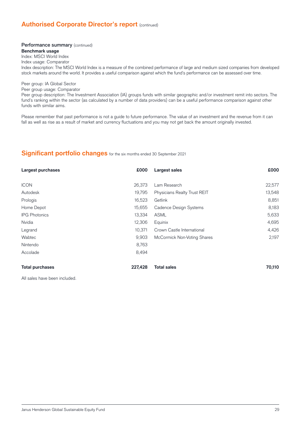## **Authorised Corporate Director's report (continued)**

# Performance summary (continued)

## **Benchmark usage**

Index: MSCI World Index Index usage: Comparator Index description: The MSCI World Index is a measure of the combined performance of large and medium sized companies from developed stock markets around the world. It provides a useful comparison against which the fund's performance can be assessed over time.

#### Peer group: IA Global Sector

Peer group usage: Comparator

Peer group description: The Investment Association (IA) groups funds with similar geographic and/or investment remit into sectors. The fund's ranking within the sector (as calculated by a number of data providers) can be a useful performance comparison against other funds with similar aims.

Please remember that past performance is not a guide to future performance. The value of an investment and the revenue from it can fall as well as rise as a result of market and currency fluctuations and you may not get back the amount originally invested.

#### **Significant portfolio changes** for the six months ended 30 September 2021

| Largest purchases      | £000    | Largest sales                | £000   |
|------------------------|---------|------------------------------|--------|
|                        |         |                              |        |
| <b>ICON</b>            | 26,373  | Lam Research                 | 22,577 |
| Autodesk               | 19,795  | Physicians Realty Trust REIT | 13,548 |
| Prologis               | 16,523  | Getlink                      | 8,851  |
| Home Depot             | 15,655  | Cadence Design Systems       | 8,183  |
| <b>IPG Photonics</b>   | 13,334  | <b>ASML</b>                  | 5,633  |
| Nvidia                 | 12,306  | Equinix                      | 4,695  |
| Legrand                | 10.371  | Crown Castle International   | 4,426  |
| Wabtec                 | 9,903   | McCormick Non-Voting Shares  | 2,197  |
| Nintendo               | 8,763   |                              |        |
| Accolade               | 8,494   |                              |        |
| <b>Total purchases</b> | 227,428 | <b>Total sales</b>           | 70,110 |

All sales have been included.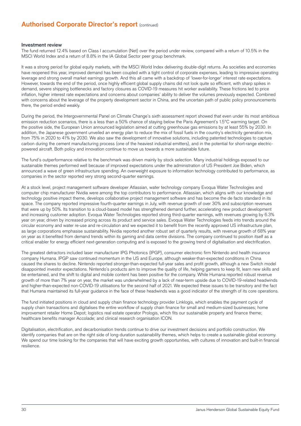## **Authorised Corporate Director's report (continued)**

#### Investment review

The fund returned 12.4% based on Class I accumulation (Net) over the period under review, compared with a return of 10.5% in the MSCI World Index and a return of 8.8% in the IA Global Sector peer group benchmark.

It was a strong period for global equity markets, with the MSCI World Index delivering double-digit returns. As societies and economies have reopened this year, improved demand has been coupled with a tight control of corporate expenses, leading to impressive operating leverage and strong overall market earnings growth. And this all came with a backdrop of 'lower-for-longer' interest rate expectations. However, towards the end of the period, once highly efficient global supply chains did not look quite so efficient, with sharp spikes in demand, severe shipping bottlenecks and factory closures as COVID-19 measures hit worker availability. These frictions led to price inflation, higher interest rate expectations and concerns about companies' ability to deliver the volumes previously expected. Combined with concerns about the leverage of the property development sector in China, and the uncertain path of public policy pronouncements there, the period ended weakly.

During the period, the Intergovernmental Panel on Climate Change's sixth assessment report showed that even under its most ambitious emission reduction scenarios, there is a less than a 50% chance of staying below the Paris Agreement's 1.5°C warming target. On the positive side, the European Union announced legislation aimed at cutting greenhouse gas emissions by at least 55% by 2030. In addition, the Japanese government unveiled an energy plan to reduce the mix of fossil fuels in the country's electricity generation mix, from 75% in 2020 to 41% by 2030. We also saw the development of innovative solutions, including patented technologies to capture carbon during the cement manufacturing process (one of the heaviest industrial emitters), and in the potential for short-range electricpowered aircraft. Both policy and innovation continue to move us towards a more sustainable future.

The fund's outperformance relative to the benchmark was driven mainly by stock selection. Many industrial holdings exposed to our sustainable themes performed well because of improved expectations under the administration of US President Joe Biden, which announced a wave of green infrastructure spending. An overweight exposure to information technology contributed to performance, as companies in the sector reported very strong second-quarter earnings.

At a stock level, project management software developer Atlassian, water technology company Evoqua Water Technologies and computer chip manufacturer Nvidia were among the top contributors to performance. Atlassian, which aligns with our knowledge and technology positive impact theme, develops collaborative project management software and has become the de facto standard in its space. The company reported impressive fourth-quarter earnings in July, with revenue growth of over 30% and subscription revenues that were up by 50%. Its transition to a cloud-based model has strengthened demand further, accelerating new product development and increasing customer adoption. Evoqua Water Technologies reported strong third-quarter earnings, with revenues growing by 6.3% year on year, driven by increased pricing across its product and service sales. Evoqua Water Technologies feeds into trends around the circular economy and water re-use and re-circulation and we expected it to benefit from the recently approved US infrastructure plan, as large corporations emphasise sustainability. Nvidia reported another robust set of quarterly results, with revenue growth of 68% year on year as it benefited from demand trends within its gaming and data centre divisions. The company continued to position itself as a critical enabler for energy efficient next-generation computing and is exposed to the growing trend of digitalisation and electrification.

The greatest detractors included laser manufacturer IPG Photonics (IPGP), consumer electronic firm Nintendo and health insurance company Humana. IPGP saw continued momentum in the US and Europe, although weaker-than-expected conditions in China caused the shares to decline. Nintendo reported stronger-than-expected full-year sales and profi t growth, although a new Switch model disappointed investor expectations. Nintendo's products aim to improve the quality of life, helping gamers to keep fit, learn new skills and be entertained, and the shift to digital and mobile content has been positive for the company. While Humana reported robust revenue growth of more than 7% year on year, the market was underwhelmed by a lack of near-term upside due to COVID-19-related headwinds and higher-than-expected non-COVID-19 utilisations for the second half of 2021. We expected these issues to be transitory and the fact that Humana maintained its full-year guidance in the face of these headwinds was a good indicator of the strength of its core operations.

The fund initiated positions in cloud and supply chain finance technology provider Linklogis, which enables the payment cycle of supply chain transactions and digitalises the entire workflow of supply chain finance for small and medium-sized businesses; home improvement retailer Home Depot; logistics real estate operator Prologis, which fits our sustainable property and finance theme; healthcare benefits manager Accolade; and clinical research organisation ICON.

Digitalisation, electrification, and decarbonisation trends continue to drive our investment decisions and portfolio construction. We identify companies that are on the right side of long-duration sustainability themes, which helps to create a sustainable global economy. We spend our time looking for the companies that will have exciting growth opportunities, with cultures of innovation and built-in financial resilience.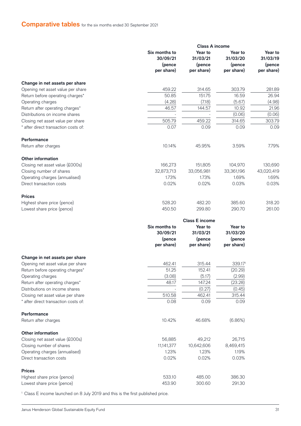# **Comparative tables** for the six months ended 30 September 2021

|                                                                           |                           | <b>Class A income</b> |                      |                      |
|---------------------------------------------------------------------------|---------------------------|-----------------------|----------------------|----------------------|
|                                                                           | Six months to<br>30/09/21 | Year to<br>31/03/21   | Year to<br>31/03/20  | Year to<br>31/03/19  |
|                                                                           | (pence<br>per share)      | (pence<br>per share)  | (pence<br>per share) | (pence<br>per share) |
| Change in net assets per share                                            |                           |                       |                      |                      |
|                                                                           | 459.22                    |                       | 303.79               | 281.89               |
| Opening net asset value per share<br>Return before operating charges*     | 50.85                     | 314.65<br>151.75      | 16.59                | 26.94                |
| Operating charges                                                         | (4.28)                    | (7.18)                | (5.67)               | (4.98)               |
| Return after operating charges*                                           | 46.57                     | 144.57                | 10.92                | 21.96                |
| Distributions on income shares                                            |                           |                       | (0.06)               | (0.06)               |
|                                                                           | 505.79                    | 459.22                |                      |                      |
| Closing net asset value per share<br>* after direct transaction costs of: | 0.07                      | 0.09                  | 314.65<br>0.09       | 303.79<br>0.09       |
|                                                                           |                           |                       |                      |                      |
| <b>Performance</b>                                                        |                           |                       |                      |                      |
| Return after charges                                                      | 10.14%                    | 45.95%                | 3.59%                | 7.79%                |
| <b>Other information</b>                                                  |                           |                       |                      |                      |
| Closing net asset value (£000s)                                           | 166,273                   | 151,805               | 104,970              | 130,690              |
| Closing number of shares                                                  | 32,873,713                | 33,056,981            | 33,361,196           | 43,020,419           |
| Operating charges (annualised)                                            | 1.73%                     | 1.73%                 | 1.69%                | 1.69%                |
| Direct transaction costs                                                  | 0.02%                     | 0.02%                 | 0.03%                | 0.03%                |
| <b>Prices</b>                                                             |                           |                       |                      |                      |
| Highest share price (pence)                                               | 528.20                    | 482.20                | 385.60               | 318.20               |
| Lowest share price (pence)                                                | 450.50                    | 299.80                | 290.70               | 261.00               |
|                                                                           |                           | <b>Class E income</b> |                      |                      |
|                                                                           | Six months to             | Year to               | Year to              |                      |
|                                                                           | 30/09/21                  | 31/03/21              | 31/03/20             |                      |
|                                                                           | (pence                    | (pence                | (pence               |                      |
|                                                                           | per share)                | per share)            | per share)           |                      |
| Change in net assets per share                                            |                           |                       |                      |                      |
| Opening net asset value per share                                         | 462.41                    | 315.44                | 339.171              |                      |
| Return before operating charges*                                          | 51.25                     | 152.41                | (20.29)              |                      |
| Operating charges                                                         | (3.08)                    | (5.17)                | (2.99)               |                      |
| Return after operating charges*                                           | 48.17                     | 147.24                | (23.28)              |                      |
| Distributions on income shares                                            |                           | (0.27)                | (0.45)               |                      |
| Closing net asset value per share                                         | 510.58                    | 462.41                | 315.44               |                      |
| * after direct transaction costs of:                                      | 0.08                      | 0.09                  | 0.09                 |                      |
| Performance                                                               |                           |                       |                      |                      |
| Return after charges                                                      | 10.42%                    | 46.68%                | (6.86%)              |                      |
| <b>Other information</b>                                                  |                           |                       |                      |                      |
| Closing net asset value (£000s)                                           | 56,885                    | 49,212                | 26,715               |                      |
| Closing number of shares                                                  | 11,141,377                | 10,642,606            | 8,469,415            |                      |
| Operating charges (annualised)                                            | 1.23%                     | 1.23%                 | 1.19%                |                      |
| Direct transaction costs                                                  | 0.02%                     | 0.02%                 | 0.03%                |                      |
|                                                                           |                           |                       |                      |                      |
| <b>Prices</b><br>Highest share price (pence)                              | 533.10                    | 485.00                | 386.30               |                      |
| Lowest share price (pence)                                                | 453.90                    | 300.60                | 291.30               |                      |
|                                                                           |                           |                       |                      |                      |

<sup>1</sup> Class E income launched on 8 July 2019 and this is the first published price.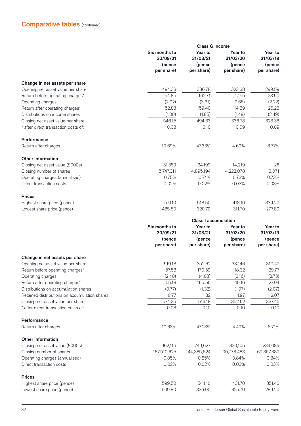# **Comparative tables** (continued)

|                                                                         | <b>Class G income</b>                             |                                             |                                             |                                             |
|-------------------------------------------------------------------------|---------------------------------------------------|---------------------------------------------|---------------------------------------------|---------------------------------------------|
|                                                                         | Six months to<br>30/09/21<br>(pence<br>per share) | Year to<br>31/03/21<br>(pence<br>per share) | Year to<br>31/03/20<br>(pence<br>per share) | Year to<br>31/03/19<br>(pence<br>per share) |
|                                                                         |                                                   |                                             |                                             |                                             |
|                                                                         |                                                   |                                             |                                             |                                             |
| Change in net assets per share                                          |                                                   |                                             |                                             |                                             |
| Opening net asset value per share                                       | 494.33                                            | 336.78                                      | 323.38                                      | 299.59                                      |
| Return before operating charges*                                        | 54.85                                             | 162.71                                      | 17.55                                       | 28.50                                       |
| Operating charges                                                       | (2.02)                                            | (3.31)                                      | (2.66)                                      | (2.22)                                      |
| Return after operating charges*                                         | 52.83                                             | 159.40                                      | 14.89                                       | 26.28                                       |
| Distributions on income shares                                          | (1.00)                                            | (1.85)                                      | (1.49)                                      | (2.49)                                      |
| Closing net asset value per share                                       | 546.15                                            | 494.33                                      | 336.78                                      | 323.38                                      |
| * after direct transaction costs of:                                    | 0.08                                              | 0.10                                        | 0.09                                        | 0.09                                        |
| <b>Performance</b>                                                      |                                                   |                                             |                                             |                                             |
| Return after charges                                                    | 10.69%                                            | 47.33%                                      | 4.60%                                       | 8.77%                                       |
| <b>Other information</b>                                                |                                                   |                                             |                                             |                                             |
| Closing net asset value (£000s)                                         | 31,389                                            | 24,199                                      | 14,219                                      | 26                                          |
| Closing number of shares                                                | 5,747,311                                         | 4,895,194                                   | 4,222,078                                   | 8,071                                       |
| Operating charges (annualised)                                          | 0.75%                                             | 0.74%                                       | 0.73%                                       | 0.73%                                       |
| Direct transaction costs                                                | 0.02%                                             | 0.02%                                       | 0.03%                                       | 0.03%                                       |
| <b>Prices</b>                                                           |                                                   |                                             |                                             |                                             |
| Highest share price (pence)                                             | 571.10                                            | 518.50                                      | 413.10                                      | 339.20                                      |
| Lowest share price (pence)                                              | 485.50                                            | 320.70                                      | 311.70                                      | 277.80                                      |
|                                                                         | <b>Class I accumulation</b>                       |                                             |                                             |                                             |
|                                                                         | Six months to                                     | Year to                                     | Year to                                     | Year to                                     |
|                                                                         | 30/09/21                                          | 31/03/21                                    | 31/03/20                                    | 31/03/19                                    |
|                                                                         | (pence<br>per share)                              | (pence<br>per share)                        | (pence<br>per share)                        | (pence<br>per share)                        |
|                                                                         |                                                   |                                             |                                             |                                             |
| Change in net assets per share                                          |                                                   |                                             |                                             |                                             |
| Opening net asset value per share                                       | 519.18<br>57.58                                   | 352.62<br>170.59                            | 337.46<br>18.32                             | 310.42<br>29.77                             |
| Return before operating charges*                                        |                                                   |                                             |                                             |                                             |
| Operating charges                                                       | (2.40)<br>55.18                                   | (4.03)<br>166.56                            | (3.16)<br>15.16                             | (2.73)<br>27.04                             |
| Return after operating charges*<br>Distributions on accumulation shares | (0.77)                                            | (1.32)                                      | (1.97)                                      | (2.07)                                      |
| Retained distributions on accumulation shares                           | 0.77                                              | 1.32                                        | 1.97                                        | 2.07                                        |
| Closing net asset value per share                                       | 574.36                                            | 519.18                                      | 352.62                                      | 337.46                                      |
| * after direct transaction costs of:                                    | 0.08                                              | 0.10                                        | 0.10                                        | 0.10                                        |
| Performance                                                             |                                                   |                                             |                                             |                                             |
| Return after charges                                                    | 10.63%                                            | 47.23%                                      | 4.49%                                       | 8.71%                                       |
| <b>Other information</b>                                                |                                                   |                                             |                                             |                                             |
| Closing net asset value (£000s)                                         | 962,116                                           | 749,627                                     | 320,105                                     | 234,089                                     |
| Closing number of shares                                                | 167,510,625                                       | 144,385,624                                 | 90,778,483                                  | 69,367,389                                  |
| Operating charges (annualised)                                          | 0.85%                                             | 0.85%                                       | 0.84%                                       | 0.84%                                       |
| Direct transaction costs                                                | 0.02%                                             | 0.02%                                       | 0.03%                                       | 0.03%                                       |
| <b>Prices</b>                                                           |                                                   |                                             |                                             |                                             |
| Highest share price (pence)                                             | 599.50                                            | 544.10                                      | 431.70                                      | 351.40                                      |
| Lowest share price (pence)                                              | 509.80                                            | 336.00                                      | 325.70                                      | 289.20                                      |
|                                                                         |                                                   |                                             |                                             |                                             |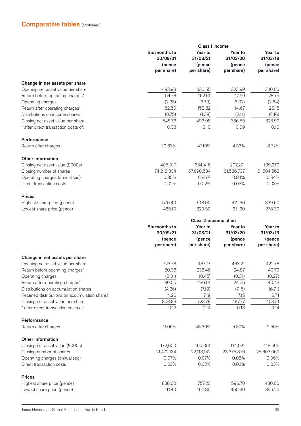|                                               |                           | <b>Class I income</b>       |                      |                      |
|-----------------------------------------------|---------------------------|-----------------------------|----------------------|----------------------|
|                                               | Six months to<br>30/09/21 | Year to<br>31/03/21         | Year to<br>31/03/20  | Year to<br>31/03/19  |
|                                               | (pence<br>per share)      | (pence<br>per share)        | (pence<br>per share) | (pence<br>per share) |
|                                               |                           |                             |                      |                      |
| Change in net assets per share                |                           |                             |                      |                      |
| Opening net asset value per share             | 493.98                    | 336.55                      | 323.99               | 300.00               |
| Return before operating charges*              | 54.78                     | 162.61                      | 17.69                | 28.79                |
| Operating charges                             | (2.28)                    | (3.79)                      | (3.02)               | (2.64)               |
| Return after operating charges*               | 52.50                     | 158.82                      | 14.67                | 26.15                |
| Distributions on income shares                | (0.75)                    | (1.39)                      | (2.11)               | (2.16)               |
| Closing net asset value per share             | 545.73                    | 493.98                      | 336.55               | 323.99               |
| after direct transaction costs of:            | 0.08                      | 0.10                        | 0.09                 | 0.10                 |
| <b>Performance</b>                            |                           |                             |                      |                      |
| Return after charges                          | 10.63%                    | 47.19%                      | 4.53%                | 8.72%                |
| <b>Other information</b>                      |                           |                             |                      |                      |
| Closing net asset value (£000s)               | 405,017                   | 334,416                     | 207,271              | 199,270              |
| Closing number of shares                      | 74,216,304                | 67,698,534                  | 61,586,737           | 61,504,563           |
| Operating charges (annualised)                | 0.85%                     | 0.85%                       | 0.84%                | 0.84%                |
| Direct transaction costs                      | 0.02%                     | 0.02%                       | 0.03%                | 0.03%                |
| <b>Prices</b>                                 |                           |                             |                      |                      |
| Highest share price (pence)                   | 570.40                    | 518.00                      | 412.60               | 339.60               |
| Lowest share price (pence)                    | 485.10                    | 320.50                      | 311.30               | 278.30               |
|                                               |                           | <b>Class Z accumulation</b> |                      |                      |
|                                               | Six months to             | Year to                     | Year to              | Year to              |
|                                               | 30/09/21                  | 31/03/21                    | 31/03/20             | 31/03/19             |
|                                               | (pence                    | (pence                      | (pence               | (pence               |
|                                               | per share)                | per share)                  | per share)           | per share)           |
| Change in net assets per share                |                           |                             |                      |                      |
| Opening net asset value per share             | 723.78                    | 487.77                      | 463.21               | 422.78               |
| Return before operating charges*              | 80.36                     | 236.46                      | 24.87                | 40.70                |
| Operating charges                             | (0.31)                    | (0.45)                      | (0.31)               | (0.27)               |
| Return after operating charges*               | 80.05                     | 236.01                      | 24.56                | 40.43                |
| Distributions on accumulation shares          | (4.26)                    | (7.19)                      | (7.15)               | (6.71)               |
| Retained distributions on accumulation shares | 4.26                      | 7.19                        | 7.15                 | 6.71                 |
| Closing net asset value per share             | 803.83                    | 723.78                      | 487.77               | 463.21               |
| after direct transaction costs of:            | 0.12                      | 0.14                        | 0.13                 | 0.14                 |
| Performance                                   |                           |                             |                      |                      |
| Return after charges                          | 11.06%                    | 48.39%                      | 5.30%                | 9.56%                |
| <b>Other information</b>                      |                           |                             |                      |                      |
| Closing net asset value (£000s)               | 172,600                   | 160,051                     | 114,021              | 118,596              |
| Closing number of shares                      | 21,472,134                | 22,113,142                  | 23,375,876           | 25,603,069           |
| Operating charges (annualised)                | 0.07%                     | 0.07%                       | 0.06%                | 0.06%                |
| Direct transaction costs                      | 0.02%                     | 0.02%                       | 0.03%                | 0.03%                |
| <b>Prices</b>                                 |                           |                             |                      |                      |
| Highest share price (pence)                   | 838.60                    | 757.20                      | 596.70               | 480.00               |
| Lowest share price (pence)                    | 711.40                    | 464.80                      | 450.40               | 396.20               |
|                                               |                           |                             |                      |                      |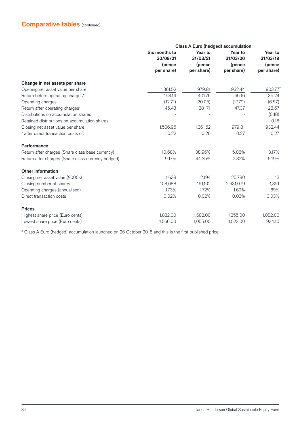|                                                    | <b>Class A Euro (hedged) accumulation</b>         |                                             |                                             |                                             |
|----------------------------------------------------|---------------------------------------------------|---------------------------------------------|---------------------------------------------|---------------------------------------------|
|                                                    | Six months to<br>30/09/21<br>(pence<br>per share) | Year to<br>31/03/21<br>(pence<br>per share) | Year to<br>31/03/20<br>(pence<br>per share) | Year to<br>31/03/19<br>(pence<br>per share) |
|                                                    |                                                   |                                             |                                             |                                             |
| Change in net assets per share                     |                                                   |                                             |                                             |                                             |
| Opening net asset value per share                  | 1,361.52                                          | 979.81                                      | 932.44                                      | 903.772                                     |
| Return before operating charges*                   | 158.14                                            | 401.76                                      | 65.16                                       | 35.24                                       |
| Operating charges                                  | (12.71)                                           | (20.05)                                     | (17.79)                                     | (6.57)                                      |
| Return after operating charges*                    | 145.43                                            | 381.71                                      | 47.37                                       | 28.67                                       |
| Distributions on accumulation shares               |                                                   |                                             |                                             | (0.18)                                      |
| Retained distributions on accumulation shares      |                                                   |                                             |                                             | 0.18                                        |
| Closing net asset value per share                  | 1,506.95                                          | 1,361.52                                    | 979.81                                      | 932.44                                      |
| * after direct transaction costs of:               | 0.22                                              | 0.26                                        | 0.27                                        | 0.27                                        |
| Performance                                        |                                                   |                                             |                                             |                                             |
| Return after charges (Share class base currency)   | 10.68%                                            | 38.96%                                      | 5.08%                                       | 3.17%                                       |
| Return after charges (Share class currency hedged) | 9.17%                                             | 44.35%                                      | 2.32%                                       | 6.19%                                       |
| <b>Other information</b>                           |                                                   |                                             |                                             |                                             |
| Closing net asset value (£000s)                    | 1,638                                             | 2,194                                       | 25,780                                      | 13                                          |
| Closing number of shares                           | 108,688                                           | 161,102                                     | 2,631,079                                   | 1,391                                       |
| Operating charges (annualised)                     | 1.73%                                             | 1.72%                                       | 1.69%                                       | 1.69%                                       |
| Direct transaction costs                           | 0.02%                                             | 0.02%                                       | 0.03%                                       | 0.03%                                       |
| <b>Prices</b>                                      |                                                   |                                             |                                             |                                             |
| Highest share price (Euro cents)                   | 1,832.00                                          | 1,682.00                                    | 1,355.00                                    | 1,082.00                                    |
| Lowest share price (Euro cents)                    | 1,566.00                                          | 1,055.00                                    | 1,022.00                                    | 934.10                                      |

 $^{\rm 2}$  Class A Euro (hedged) accumulation launched on 26 October 2018 and this is the first published price.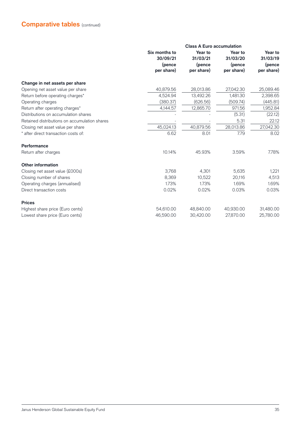|                                               | <b>Class A Euro accumulation</b>                  |                                             |                                             |                                             |  |
|-----------------------------------------------|---------------------------------------------------|---------------------------------------------|---------------------------------------------|---------------------------------------------|--|
|                                               | Six months to<br>30/09/21<br>(pence<br>per share) | Year to<br>31/03/21<br>(pence<br>per share) | Year to<br>31/03/20<br>(pence<br>per share) | Year to<br>31/03/19<br>(pence<br>per share) |  |
|                                               |                                                   |                                             |                                             |                                             |  |
| Change in net assets per share                |                                                   |                                             |                                             |                                             |  |
| Opening net asset value per share             | 40,879.56                                         | 28,013.86                                   | 27,042.30                                   | 25,089.46                                   |  |
| Return before operating charges*              | 4,524.94                                          | 13,492.26                                   | 1,481.30                                    | 2,398.65                                    |  |
| Operating charges                             | (380.37)                                          | (626.56)                                    | (509.74)                                    | (445.81)                                    |  |
| Return after operating charges*               | 4,144.57                                          | 12,865.70                                   | 971.56                                      | 1,952.84                                    |  |
| Distributions on accumulation shares          |                                                   |                                             | (5.31)                                      | (22.12)                                     |  |
| Retained distributions on accumulation shares |                                                   |                                             | 5.31                                        | 22.12                                       |  |
| Closing net asset value per share             | 45,024.13                                         | 40,879.56                                   | 28,013.86                                   | 27,042.30                                   |  |
| * after direct transaction costs of:          | 6.62                                              | 8.01                                        | 7.79                                        | 8.02                                        |  |
| Performance                                   |                                                   |                                             |                                             |                                             |  |
| Return after charges                          | 10.14%                                            | 45.93%                                      | 3.59%                                       | 7.78%                                       |  |
| <b>Other information</b>                      |                                                   |                                             |                                             |                                             |  |
| Closing net asset value (£000s)               | 3,768                                             | 4,301                                       | 5,635                                       | 1,221                                       |  |
| Closing number of shares                      | 8,369                                             | 10,522                                      | 20,116                                      | 4,513                                       |  |
| Operating charges (annualised)                | 1.73%                                             | 1.73%                                       | 1.69%                                       | 1.69%                                       |  |
| Direct transaction costs                      | 0.02%                                             | 0.02%                                       | 0.03%                                       | 0.03%                                       |  |
| <b>Prices</b>                                 |                                                   |                                             |                                             |                                             |  |
| Highest share price (Euro cents)              | 54,610.00                                         | 48,840.00                                   | 40,930.00                                   | 31,480.00                                   |  |
| Lowest share price (Euro cents)               | 46,590.00                                         | 30,420.00                                   | 27.870.00                                   | 25,780.00                                   |  |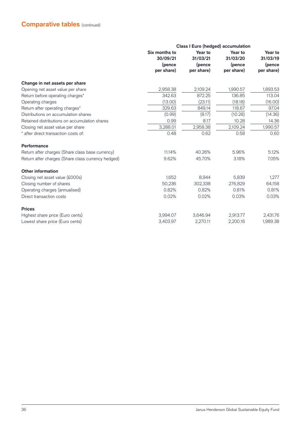|                                                    | <b>Class I Euro (hedged) accumulation</b>         |                                             |                                             |                                             |
|----------------------------------------------------|---------------------------------------------------|---------------------------------------------|---------------------------------------------|---------------------------------------------|
|                                                    | Six months to<br>30/09/21<br>(pence<br>per share) | Year to<br>31/03/21<br>(pence<br>per share) | Year to<br>31/03/20<br>(pence<br>per share) | Year to<br>31/03/19<br>(pence<br>per share) |
| Change in net assets per share                     |                                                   |                                             |                                             |                                             |
| Opening net asset value per share                  | 2,958.38                                          | 2,109.24                                    | 1,990.57                                    | 1,893.53                                    |
| Return before operating charges*                   | 342.63                                            | 872.25                                      | 136.85                                      | 113.04                                      |
| Operating charges                                  | (13.00)                                           | (23.11)                                     | (18.18)                                     | (16.00)                                     |
| Return after operating charges*                    | 329.63                                            | 849.14                                      | 118.67                                      | 97.04                                       |
| Distributions on accumulation shares               | (0.99)                                            | (8.17)                                      | (10.28)                                     | (14.36)                                     |
| Retained distributions on accumulation shares      | 0.99                                              | 8.17                                        | 10.28                                       | 14.36                                       |
| Closing net asset value per share                  | 3,288.01                                          | 2,958.38                                    | 2,109.24                                    | 1,990.57                                    |
| * after direct transaction costs of:               | 0.48                                              | 0.62                                        | 0.58                                        | 0.60                                        |
| Performance                                        |                                                   |                                             |                                             |                                             |
| Return after charges (Share class base currency)   | 11.14%                                            | 40.26%                                      | 5.96%                                       | 5.12%                                       |
| Return after charges (Share class currency hedged) | 9.62%                                             | 45.70%                                      | 3.18%                                       | 7.05%                                       |
| <b>Other information</b>                           |                                                   |                                             |                                             |                                             |
| Closing net asset value (£000s)                    | 1,652                                             | 8,944                                       | 5.839                                       | 1,277                                       |
| Closing number of shares                           | 50,236                                            | 302,338                                     | 276,829                                     | 64,158                                      |
| Operating charges (annualised)                     | 0.82%                                             | 0.82%                                       | 0.81%                                       | 0.81%                                       |
| Direct transaction costs                           | 0.02%                                             | 0.02%                                       | 0.03%                                       | 0.03%                                       |
| <b>Prices</b>                                      |                                                   |                                             |                                             |                                             |
| Highest share price (Euro cents)                   | 3,994.07                                          | 3,646.94                                    | 2,913.77                                    | 2,431.76                                    |
| Lowest share price (Euro cents)                    | 3,403.97                                          | 2,270.11                                    | 2,200.16                                    | 1,989.38                                    |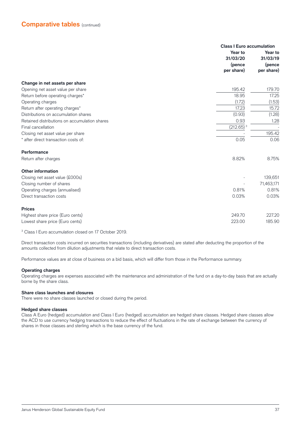|                                               | <b>Class I Euro accumulation</b><br>Year to<br>Year to |                                  |  |
|-----------------------------------------------|--------------------------------------------------------|----------------------------------|--|
|                                               | 31/03/20<br>(pence<br>per share)                       | 31/03/19<br>(pence<br>per share) |  |
| Change in net assets per share                |                                                        |                                  |  |
| Opening net asset value per share             | 195.42                                                 | 179.70                           |  |
| Return before operating charges*              | 18.95                                                  | 17.25                            |  |
| Operating charges                             | (1.72)                                                 | (1.53)                           |  |
| Return after operating charges*               | 17.23                                                  | 15.72                            |  |
| Distributions on accumulation shares          | (0.93)                                                 | (1.28)                           |  |
| Retained distributions on accumulation shares | 0.93                                                   | 1.28                             |  |
| Final cancellation                            | $(212.65)$ <sup>3</sup>                                |                                  |  |
| Closing net asset value per share             |                                                        | 195.42                           |  |
| * after direct transaction costs of:          | 0.05                                                   | 0.06                             |  |
| Performance                                   |                                                        |                                  |  |
| Return after charges                          | 8.82%                                                  | 8.75%                            |  |
| <b>Other information</b>                      |                                                        |                                  |  |
| Closing net asset value (£000s)               |                                                        | 139,651                          |  |
| Closing number of shares                      |                                                        | 71,463,171                       |  |
| Operating charges (annualised)                | 0.81%                                                  | 0.81%                            |  |
| Direct transaction costs                      | 0.03%                                                  | 0.03%                            |  |
| <b>Prices</b>                                 |                                                        |                                  |  |
| Highest share price (Euro cents)              | 249.70                                                 | 227.20                           |  |
| Lowest share price (Euro cents)               | 223.00                                                 | 185.90                           |  |

3 Class I Euro accumulation closed on 17 October 2019.

Direct transaction costs incurred on securities transactions (including derivatives) are stated after deducting the proportion of the amounts collected from dilution adjustments that relate to direct transaction costs.

Performance values are at close of business on a bid basis, which will differ from those in the Performance summary.

#### **Operating charges**

Operating charges are expenses associated with the maintenance and administration of the fund on a day-to-day basis that are actually borne by the share class.

#### **Share class launches and closures**

There were no share classes launched or closed during the period.

#### **Hedged share classes**

Class A Euro (hedged) accumulation and Class I Euro (hedged) accumulation are hedged share classes. Hedged share classes allow the ACD to use currency hedging transactions to reduce the effect of fluctuations in the rate of exchange between the currency of shares in those classes and sterling which is the base currency of the fund.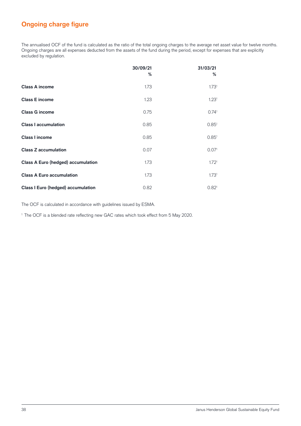### **Ongoing charge figure**

The annualised OCF of the fund is calculated as the ratio of the total ongoing charges to the average net asset value for twelve months. Ongoing charges are all expenses deducted from the assets of the fund during the period, except for expenses that are explicitly excluded by regulation.

|                                           | 30/09/21<br>% | 31/03/21<br>%     |
|-------------------------------------------|---------------|-------------------|
| <b>Class A income</b>                     | 1.73          | 1.73 <sup>1</sup> |
| <b>Class E income</b>                     | 1.23          | 1.23 <sup>1</sup> |
| <b>Class G income</b>                     | 0.75          | 0.74 <sup>1</sup> |
| <b>Class I accumulation</b>               | 0.85          | 0.85 <sup>1</sup> |
| <b>Class I income</b>                     | 0.85          | 0.85 <sup>1</sup> |
| <b>Class Z accumulation</b>               | 0.07          | 0.07 <sup>1</sup> |
| <b>Class A Euro (hedged) accumulation</b> | 1.73          | 1.72 <sup>1</sup> |
| <b>Class A Euro accumulation</b>          | 1.73          | 1.73 <sup>1</sup> |
| <b>Class I Euro (hedged) accumulation</b> | 0.82          | 0.82 <sup>1</sup> |

The OCF is calculated in accordance with guidelines issued by ESMA.

<sup>1</sup> The OCF is a blended rate reflecting new GAC rates which took effect from 5 May 2020.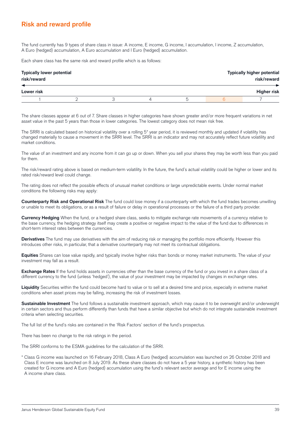### **Risk and reward profile**

The fund currently has 9 types of share class in issue: A income, E income, G income, I accumulation, I income, Z accumulation, A Euro (hedged) accumulation, A Euro accumulation and I Euro (hedged) accumulation.

Each share class has the same risk and reward profile which is as follows:

| <b>Typically lower potential</b><br>risk/reward |  | <b>Typically higher potential</b><br>risk/reward |  |                    |
|-------------------------------------------------|--|--------------------------------------------------|--|--------------------|
| Lower risk                                      |  |                                                  |  | <b>Higher risk</b> |
|                                                 |  | $\mathsf{h}$                                     |  |                    |

The share classes appear at 6 out of 7. Share classes in higher categories have shown greater and/or more frequent variations in net asset value in the past 5 years than those in lower categories. The lowest category does not mean risk free.

The SRRI is calculated based on historical volatility over a rolling 5\* year period, it is reviewed monthly and updated if volatility has changed materially to cause a movement in the SRRI level. The SRRI is an indicator and may not accurately reflect future volatility and market conditions.

The value of an investment and any income from it can go up or down. When you sell your shares they may be worth less than you paid for them.

The risk/reward rating above is based on medium-term volatility. In the future, the fund's actual volatility could be higher or lower and its rated risk/reward level could change.

The rating does not reflect the possible effects of unusual market conditions or large unpredictable events. Under normal market conditions the following risks may apply:

**Counterparty Risk and Operational Risk** The fund could lose money if a counterparty with which the fund trades becomes unwilling or unable to meet its obligations, or as a result of failure or delay in operational processes or the failure of a third party provider.

**Currency Hedging** When the fund, or a hedged share class, seeks to mitigate exchange rate movements of a currency relative to the base currency, the hedging strategy itself may create a positive or negative impact to the value of the fund due to differences in short-term interest rates between the currencies.

Derivatives The fund may use derivatives with the aim of reducing risk or managing the portfolio more efficiently. However this introduces other risks, in particular, that a derivative counterparty may not meet its contractual obligations.

**Equities** Shares can lose value rapidly, and typically involve higher risks than bonds or money market instruments. The value of your investment may fall as a result.

**Exchange Rates** If the fund holds assets in currencies other than the base currency of the fund or you invest in a share class of a different currency to the fund (unless 'hedged'), the value of your investment may be impacted by changes in exchange rates.

**Liquidity** Securities within the fund could become hard to value or to sell at a desired time and price, especially in extreme market conditions when asset prices may be falling, increasing the risk of investment losses.

**Sustainable Investment** The fund follows a sustainable investment approach, which may cause it to be overweight and/or underweight in certain sectors and thus perform differently than funds that have a similar objective but which do not integrate sustainable investment criteria when selecting securities.

The full list of the fund's risks are contained in the 'Risk Factors' section of the fund's prospectus.

There has been no change to the risk ratings in the period.

The SRRI conforms to the ESMA guidelines for the calculation of the SRRI.

\* Class G income was launched on 16 February 2018, Class A Euro (hedged) accumulation was launched on 26 October 2018 and Class E income was launched on 8 July 2019. As these share classes do not have a 5 year history, a synthetic history has been created for G income and A Euro (hedged) accumulation using the fund's relevant sector average and for E income using the A income share class.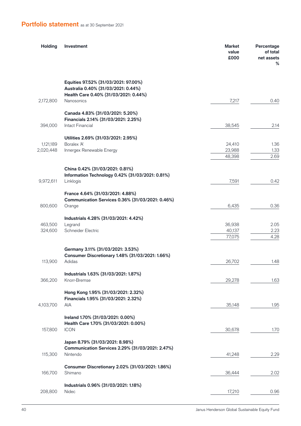## **Portfolio statement** as at 30 September 2021

| <b>Holding</b> | Investment                                                                                                                                | <b>Market</b><br>value<br>£000 | Percentage<br>of total<br>net assets<br>% |
|----------------|-------------------------------------------------------------------------------------------------------------------------------------------|--------------------------------|-------------------------------------------|
| 2,172,800      | Equities 97.52% (31/03/2021: 97.00%)<br>Australia 0.40% (31/03/2021: 0.44%)<br>Health Care 0.40% (31/03/2021: 0.44%)<br><b>Nanosonics</b> | 7,217                          | 0.40                                      |
|                | Canada 4.83% (31/03/2021: 5.20%)<br>Financials 2.14% (31/03/2021: 2.25%)                                                                  |                                |                                           |
| 394,000        | Intact Financial                                                                                                                          | 38,545                         | 2.14                                      |
|                | Utilities 2.69% (31/03/2021: 2.95%)                                                                                                       |                                |                                           |
| 1,121,189      | Boralex 'A'                                                                                                                               | 24,410                         | 1.36                                      |
| 2,020,448      | Innergex Renewable Energy                                                                                                                 | 23,988<br>48,398               | 1.33<br>2.69                              |
|                |                                                                                                                                           |                                |                                           |
|                | China 0.42% (31/03/2021: 0.81%)                                                                                                           |                                |                                           |
| 9,972,611      | Information Technology 0.42% (31/03/2021: 0.81%)                                                                                          |                                | 0.42                                      |
|                | Linklogis                                                                                                                                 | 7,591                          |                                           |
|                | France 4.64% (31/03/2021: 4.88%)                                                                                                          |                                |                                           |
| 800,600        | Communication Services 0.36% (31/03/2021: 0.46%)<br>Orange                                                                                | 6,435                          | 0.36                                      |
|                |                                                                                                                                           |                                |                                           |
|                | Industrials 4.28% (31/03/2021: 4.42%)                                                                                                     |                                |                                           |
| 463,500        | Legrand                                                                                                                                   | 36,938                         | 2.05                                      |
| 324,600        | Schneider Electric                                                                                                                        | 40,137<br>77,075               | 2.23<br>4.28                              |
|                |                                                                                                                                           |                                |                                           |
|                | Germany 3.11% (31/03/2021: 3.53%)                                                                                                         |                                |                                           |
| 113,900        | Consumer Discretionary 1.48% (31/03/2021: 1.66%)<br>Adidas                                                                                | 26,702                         | 1.48                                      |
|                |                                                                                                                                           |                                |                                           |
|                | Industrials 1.63% (31/03/2021: 1.87%)                                                                                                     |                                |                                           |
| 366,200        | Knorr-Bremse                                                                                                                              | 29,278                         | 1.63                                      |
|                | Hong Kong 1.95% (31/03/2021: 2.32%)                                                                                                       |                                |                                           |
| 4,103,700      | Financials 1.95% (31/03/2021: 2.32%)<br>AIA                                                                                               | 35,148                         | 1.95                                      |
|                |                                                                                                                                           |                                |                                           |
|                | Ireland 1.70% (31/03/2021: 0.00%)                                                                                                         |                                |                                           |
|                | Health Care 1.70% (31/03/2021: 0.00%)                                                                                                     |                                |                                           |
| 157,800        | <b>ICON</b>                                                                                                                               | 30,678                         | 1.70                                      |
|                | Japan 8.79% (31/03/2021: 8.98%)                                                                                                           |                                |                                           |
|                | Communication Services 2.29% (31/03/2021: 2.47%)                                                                                          |                                |                                           |
| 115,300        | Nintendo                                                                                                                                  | 41,248                         | 2.29                                      |
|                | Consumer Discretionary 2.02% (31/03/2021: 1.86%)                                                                                          |                                |                                           |
| 166,700        | Shimano                                                                                                                                   | 36,444                         | 2.02                                      |
|                |                                                                                                                                           |                                |                                           |
|                | Industrials 0.96% (31/03/2021: 1.18%)                                                                                                     |                                |                                           |
| 208,800        | Nidec                                                                                                                                     | 17,210                         | 0.96                                      |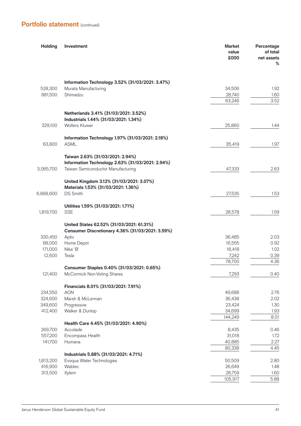| <b>Holding</b> | Investment                                                                                    | <b>Market</b><br>value<br>£000 | Percentage<br>of total<br>net assets<br>℅ |
|----------------|-----------------------------------------------------------------------------------------------|--------------------------------|-------------------------------------------|
|                | Information Technology 3.52% (31/03/2021: 3.47%)                                              |                                |                                           |
| 528,300        | Murata Manufacturing                                                                          | 34,506                         | 1.92                                      |
| 881,500        | Shimadzu                                                                                      | 28,740                         | 1.60                                      |
|                |                                                                                               | 63,246                         | 3.52                                      |
|                | Netherlands 3.41% (31/03/2021: 3.52%)<br>Industrials 1.44% (31/03/2021: 1.34%)                |                                |                                           |
| 329,100        | <b>Wolters Kluwer</b>                                                                         | 25,860                         | 1.44                                      |
|                | Information Technology 1.97% (31/03/2021: 2.18%)                                              |                                |                                           |
| 63,800         | <b>ASML</b>                                                                                   | 35,419                         | 1.97                                      |
|                | Taiwan 2.63% (31/03/2021: 2.94%)<br>Information Technology 2.63% (31/03/2021: 2.94%)          |                                |                                           |
| 3,065,700      | Taiwan Semiconductor Manufacturing                                                            | 47,333                         | 2.63                                      |
|                | United Kingdom 3.12% (31/03/2021: 3.07%)<br>Materials 1.53% (31/03/2021: 1.36%)               |                                |                                           |
| 6,668,600      | <b>DS Smith</b>                                                                               | 27,535                         | 1.53                                      |
|                | Utilities 1.59% (31/03/2021: 1.71%)                                                           |                                |                                           |
| 1,819,700      | <b>SSE</b>                                                                                    | 28,578                         | 1.59                                      |
|                | United States 62.52% (31/03/2021: 61.31%)<br>Consumer Discretionary 4.36% (31/03/2021: 3.59%) |                                |                                           |
| 330,450        | Aptiv                                                                                         | 36,485                         | 2.03                                      |
| 68,000         | Home Depot                                                                                    | 16,555                         | 0.92                                      |
| 171,000        | Nike 'B'                                                                                      | 18,418                         | 1.02                                      |
| 12,600         | Tesla                                                                                         | 7,242                          | 0.39                                      |
|                |                                                                                               | 78,700                         | 4.36                                      |
| 121,400        | Consumer Staples 0.40% (31/03/2021: 0.65%)<br>McCormick Non-Voting Shares                     | 7,293                          | 0.40                                      |
|                | Financials 8.01% (31/03/2021: 7.91%)                                                          |                                |                                           |
| 234,550        | <b>AON</b>                                                                                    | 49,688                         | 2.76                                      |
| 324,600        | Marsh & McLennan                                                                              | 36,438                         | 2.02                                      |
| 349,600        | Progressive                                                                                   | 23,424                         | 1.30                                      |
| 412,400        | Walker & Dunlop                                                                               | 34,699                         | 1.93                                      |
|                |                                                                                               | 144,249                        | 8.01                                      |
|                | Health Care 4.45% (31/03/2021: 4.90%)                                                         |                                |                                           |
| 269,700        | Accolade                                                                                      | 8,435                          | 0.46                                      |
| 557,200        | Encompass Health                                                                              | 31,018                         | 1.72                                      |
| 141,700        | Humana                                                                                        | 40,885                         | 2.27                                      |
|                | Industrials 5.88% (31/03/2021: 4.71%)                                                         | 80,338                         | 4.45                                      |
| 1,813,200      | Evoqua Water Technologies                                                                     | 50,509                         | 2.80                                      |
| 416,900        | Wabtec                                                                                        | 26,649                         | 1.48                                      |
| 313,500        | Xylem                                                                                         | 28,759                         | 1.60                                      |
|                |                                                                                               | 105,917                        | 5.88                                      |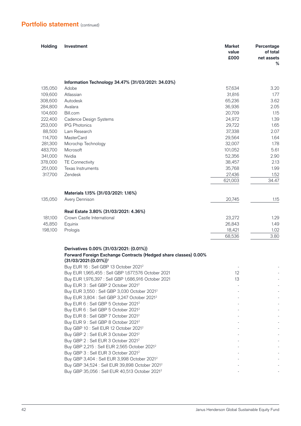| <b>Holding</b> | Investment                                                                                                 | <b>Market</b><br>value<br>£000 | Percentage<br>of total<br>net assets<br>% |
|----------------|------------------------------------------------------------------------------------------------------------|--------------------------------|-------------------------------------------|
|                | Information Technology 34.47% (31/03/2021: 34.03%)                                                         |                                |                                           |
| 135,050        | Adobe                                                                                                      | 57,634                         | 3.20                                      |
| 109,600        | Atlassian                                                                                                  | 31,816                         | 1.77                                      |
| 308,600        | Autodesk                                                                                                   | 65,236                         | 3.62                                      |
| 284,800        | Avalara                                                                                                    | 36,936                         | 2.05                                      |
| 104,600        | Bill.com                                                                                                   | 20,709                         | 1.15                                      |
| 222,400        | Cadence Design Systems                                                                                     | 24,972                         | 1.39                                      |
| 253,000        | <b>IPG Photonics</b>                                                                                       | 29,722                         | 1.65                                      |
| 88,500         | Lam Research                                                                                               | 37,338                         | 2.07                                      |
| 114,700        | <b>MasterCard</b>                                                                                          | 29,564                         | 1.64                                      |
| 281,300        | Microchip Technology                                                                                       | 32,007                         | 1.78                                      |
| 483,700        | Microsoft                                                                                                  | 101,052                        | 5.61                                      |
| 341,000        | Nvidia                                                                                                     | 52,356                         | 2.90                                      |
| 378,000        | <b>TE Connectivity</b>                                                                                     | 38,457                         | 2.13                                      |
| 251,000        | Texas Instruments                                                                                          | 35,768                         | 1.99                                      |
| 317,700        | Zendesk                                                                                                    | 27,436                         | 1.52                                      |
|                |                                                                                                            | 621,003                        | 34.47                                     |
|                |                                                                                                            |                                |                                           |
| 135,050        | Materials 1.15% (31/03/2021: 1.16%)                                                                        |                                | 1.15                                      |
|                | Avery Dennison                                                                                             | 20,745                         |                                           |
|                | Real Estate 3.80% (31/03/2021: 4.36%)                                                                      |                                |                                           |
| 181,100        | Crown Castle International                                                                                 | 23,272                         | 1.29                                      |
| 45,850         | Equinix                                                                                                    | 26,843                         | 1.49                                      |
| 198,100        | Prologis                                                                                                   | 18,421                         | 1.02                                      |
|                |                                                                                                            | 68,536                         | 3.80                                      |
|                |                                                                                                            |                                |                                           |
|                | Derivatives 0.00% (31/03/2021: (0.01%))<br>Forward Foreign Exchange Contracts (Hedged share classes) 0.00% |                                |                                           |
|                | $(31/03/2021:(0.01%))$ <sup>1</sup>                                                                        |                                |                                           |
|                | Buy EUR 16 : Sell GBP 13 October 2021 <sup>2</sup>                                                         |                                |                                           |
|                | Buy EUR 1,965,455 : Sell GBP 1,677,576 October 2021                                                        | 12                             |                                           |
|                | Buy EUR 1,976,397 : Sell GBP 1,686,916 October 2021                                                        | 13                             |                                           |
|                | Buy EUR 3 : Sell GBP 2 October 2021 <sup>2</sup>                                                           |                                |                                           |
|                | Buy EUR 3,550 : Sell GBP 3,030 October 2021 <sup>2</sup>                                                   |                                |                                           |
|                | Buy EUR 3,804 : Sell GBP 3,247 October 2021 <sup>2</sup>                                                   |                                |                                           |
|                | Buy EUR 6 : Sell GBP 5 October 2021 <sup>2</sup>                                                           |                                |                                           |
|                | Buy EUR 6 : Sell GBP 5 October 2021 <sup>2</sup>                                                           |                                |                                           |
|                | Buy EUR 8 : Sell GBP 7 October 2021 <sup>2</sup>                                                           |                                |                                           |
|                | Buy EUR 9 : Sell GBP 8 October 2021 <sup>2</sup>                                                           |                                |                                           |
|                | Buy GBP 10 : Sell EUR 12 October 2021 <sup>2</sup>                                                         |                                |                                           |
|                | Buy GBP 2 : Sell EUR 3 October 2021 <sup>2</sup>                                                           |                                |                                           |
|                | Buy GBP 2 : Sell EUR 3 October 2021 <sup>2</sup>                                                           |                                |                                           |
|                | Buy GBP 2,215 : Sell EUR 2,565 October 2021 <sup>2</sup>                                                   |                                |                                           |
|                | Buy GBP 3 : Sell EUR 3 October 2021 <sup>2</sup>                                                           |                                |                                           |
|                | Buy GBP 3,404 : Sell EUR 3,998 October 2021 <sup>2</sup>                                                   |                                |                                           |
|                | Buy GBP 34,524 : Sell EUR 39,898 October 2021 <sup>2</sup>                                                 |                                |                                           |
|                | Buy GBP 35,056 : Sell EUR 40,513 October 2021 <sup>2</sup>                                                 |                                |                                           |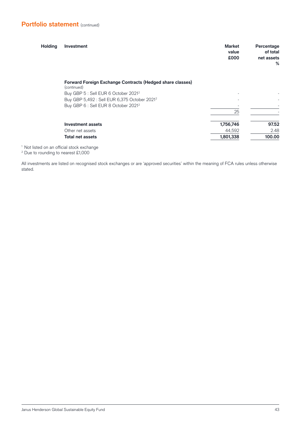| <b>Holding</b> | Investment                                                               | <b>Market</b><br>value<br>£000 | Percentage<br>of total<br>net assets<br>% |
|----------------|--------------------------------------------------------------------------|--------------------------------|-------------------------------------------|
|                | Forward Foreign Exchange Contracts (Hedged share classes)<br>(continued) |                                |                                           |
|                | Buy GBP 5 : Sell EUR 6 October 2021 <sup>2</sup>                         |                                |                                           |
|                | Buy GBP 5,492 : Sell EUR 6,375 October 2021 <sup>2</sup>                 |                                |                                           |
|                | Buy GBP 6 : Sell EUR 8 October 2021 <sup>2</sup>                         |                                |                                           |
|                |                                                                          | 25                             |                                           |
|                | <b>Investment assets</b>                                                 | 1,756,746                      | 97.52                                     |
|                | Other net assets                                                         | 44,592                         | 2.48                                      |
|                | <b>Total net assets</b>                                                  | 1,801,338                      | 100.00                                    |

 $^1$  Not listed on an official stock exchange<br> $^2$  Due to rounding to pearest £1,000

<sup>2</sup> Due to rounding to nearest £1,000

All investments are listed on recognised stock exchanges or are 'approved securities' within the meaning of FCA rules unless otherwise stated.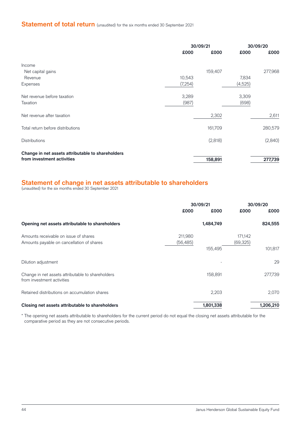## **Statement of total return** (unaudited) for the six months ended 30 September 2021

|                                                   |         | 30/09/21 |         | 30/09/20 |  |
|---------------------------------------------------|---------|----------|---------|----------|--|
|                                                   | £000    | £000     | £000    | £000     |  |
| Income                                            |         |          |         |          |  |
| Net capital gains                                 |         | 159,407  |         | 277,968  |  |
| Revenue                                           | 10,543  |          | 7,834   |          |  |
| <b>Expenses</b>                                   | (7,254) |          | (4,525) |          |  |
| Net revenue before taxation                       | 3,289   |          | 3,309   |          |  |
| Taxation                                          | (987)   |          | (698)   |          |  |
| Net revenue after taxation                        |         | 2,302    |         | 2,611    |  |
| Total return before distributions                 |         | 161,709  |         | 280,579  |  |
| <b>Distributions</b>                              |         | (2,818)  |         | (2,840)  |  |
| Change in net assets attributable to shareholders |         |          |         |          |  |
| from investment activities                        |         | 158,891  |         | 277,739  |  |

#### **Statement of change in net assets attributable to shareholders**

(unaudited) for the six months ended 30 September 2021

|                                                                                    | 30/09/21             |           | 30/09/20             |           |
|------------------------------------------------------------------------------------|----------------------|-----------|----------------------|-----------|
|                                                                                    | £000                 | £000      | £000                 | £000      |
| Opening net assets attributable to shareholders                                    | 1,484,749            |           |                      | 824,555   |
| Amounts receivable on issue of shares<br>Amounts payable on cancellation of shares | 211,980<br>(56, 485) |           | 171,142<br>(69, 325) |           |
|                                                                                    |                      | 155,495   |                      | 101,817   |
| Dilution adjustment                                                                |                      |           |                      | 29        |
| Change in net assets attributable to shareholders<br>from investment activities    |                      | 158,891   |                      | 277,739   |
| Retained distributions on accumulation shares                                      |                      | 2,203     |                      | 2,070     |
| Closing net assets attributable to shareholders                                    |                      | 1,801,338 |                      | 1,206,210 |

\* The opening net assets attributable to shareholders for the current period do not equal the closing net assets attributable for the comparative period as they are not consecutive periods.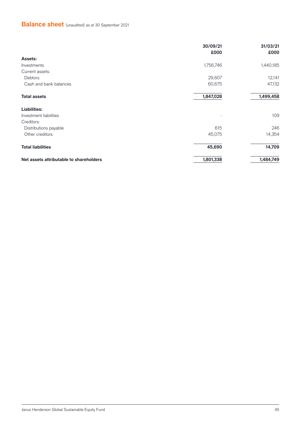## **Balance sheet** (unaudited) as at 30 September 2021

|                                         | 30/09/21<br>£000 | 31/03/21<br>£000 |
|-----------------------------------------|------------------|------------------|
| <b>Assets:</b>                          |                  |                  |
| Investments                             | 1,756,746        | 1,440,185        |
| Current assets:                         |                  |                  |
| Debtors                                 | 29,607           | 12,141           |
| Cash and bank balances                  | 60,675           | 47,132           |
| <b>Total assets</b>                     | 1,847,028        | 1,499,458        |
| <b>Liabilities:</b>                     |                  |                  |
| Investment liabilities                  |                  | 109              |
| Creditors:                              |                  |                  |
| Distributions payable                   | 615              | 246              |
| Other creditors                         | 45,075           | 14,354           |
| <b>Total liabilities</b>                | 45,690           | 14,709           |
| Net assets attributable to shareholders | 1,801,338        | 1,484,749        |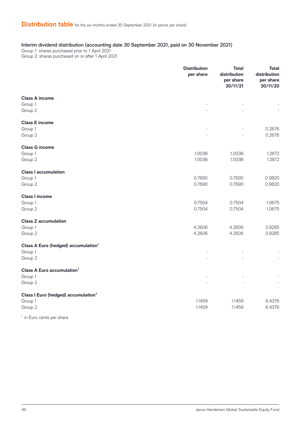#### Interim dividend distribution (accounting date 30 September 2021, paid on 30 November 2021)

Group 1: shares purchased prior to 1 April 2021 Group 2: shares purchased on or after 1 April 2021

**Distribution per share Total distribution per share 30/11/21 Total distribution per share 30/11/20 Class A income** Group 1 - - - Group 2 - - - **Class E income** Group 1 - - 0.2676 Group 2 - - 0.2676 **Class G income** Group 1 1.0038 1.0038 1.2872 Group 2 1.0038 1.0038 1.2872 **Class I accumulation** Group 1 0.7690 0.7690 0.9820 Group 2 0.7690 0.7690 0.9820 **Class I income** Group 1 0.7504 0.7504 1.0675 Group 2 0.7504 0.7504 1.0675 **Class Z accumulation** Group 1 4.2606 4.2606 3.9285 Group 2 4.2606 4.2606 3.9285 **Class A Euro (hedged) accumulation<sup>1</sup>** Group 1 - - - Group 2 - - - **Class A Euro accumulation<sup>1</sup>** Group 1 - - - Group 2 - - - **Class I Euro (hedged) accumulation<sup>1</sup>** Group 1 1.1459 1.1459 6.4376 Group 2 1.1459 1.1459 6.4376 1 in Euro cents per share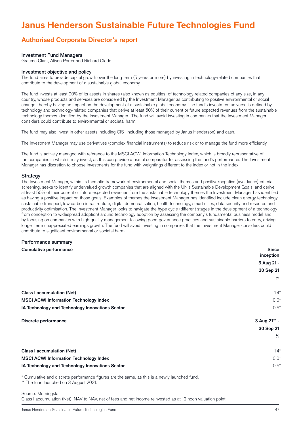# **Janus Henderson Sustainable Future Technologies Fund**

### **Authorised Corporate Director's report**

#### Investment Fund Managers

Graeme Clark, Alison Porter and Richard Clode

#### Investment objective and policy

The fund aims to provide capital growth over the long term (5 years or more) by investing in technology-related companies that contribute to the development of a sustainable global economy.

The fund invests at least 90% of its assets in shares (also known as equities) of technology-related companies of any size, in any country, whose products and services are considered by the Investment Manager as contributing to positive environmental or social change, thereby having an impact on the development of a sustainable global economy. The fund's investment universe is defined by technology and technology-related companies that derive at least 50% of their current or future expected revenues from the sustainable technology themes identified by the Investment Manager. The fund will avoid investing in companies that the Investment Manager considers could contribute to environmental or societal harm.

The fund may also invest in other assets including CIS (including those managed by Janus Henderson) and cash.

The Investment Manager may use derivatives (complex financial instruments) to reduce risk or to manage the fund more efficiently.

The fund is actively managed with reference to the MSCI ACWI Information Technology Index, which is broadly representative of the companies in which it may invest, as this can provide a useful comparator for assessing the fund's performance. The Investment Manager has discretion to choose investments for the fund with weightings different to the index or not in the index.

#### **Strategy**

The Investment Manager, within its thematic framework of environmental and social themes and positive/negative (avoidance) criteria screening, seeks to identify undervalued growth companies that are aligned with the UN's Sustainable Development Goals, and derive at least 50% of their current or future expected revenues from the sustainable technology themes the Investment Manager has identified as having a positive impact on those goals. Examples of themes the Investment Manager has identified include clean energy technology, sustainable transport, low carbon infrastructure, digital democratisation, health technology, smart cities, data security and resource and productivity optimisation. The Investment Manager looks to navigate the hype cycle (different stages in the development of a technology from conception to widespread adoption) around technology adoption by assessing the company's fundamental business model and by focusing on companies with high quality management following good governance practices and sustainable barriers to entry, driving longer term unappreciated earnings growth. The fund will avoid investing in companies that the Investment Manager considers could contribute to significant environmental or societal harm.

#### Performance summary

## **Cumulative performance Since inception 3 Aug 21 - 30 Sep 21 % Class I accumulation (Net)** 1.4\* **MSCI ACWI Information Technology Index** 0.0\* **IA Technology and Technology Innovations Sector** 0.5\* **Discrete performance 3 Aug 21\*\* - 30 Sep 21 % Class I accumulation (Net)** 1.4\* **MSCI ACWI Information Technology Index** 0.0\* **IA Technology and Technology Innovations Sector** 0.5\*

\* Cumulative and discrete performance figures are the same, as this is a newly launched fund.

\*\* The fund launched on 3 August 2021.

 $\overline{a}$ 

Source: Morningstar Class I accumulation (Net), NAV to NAV, net of fees and net income reinvested as at 12 noon valuation point.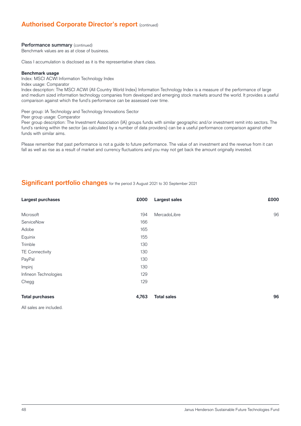### **Authorised Corporate Director's report (continued)**

#### Performance summary (continued)

Benchmark values are as at close of business.

Class I accumulation is disclosed as it is the representative share class.

#### **Benchmark usage**

Index: MSCI ACWI Information Technology Index Index usage: Comparator

Index description: The MSCI ACWI (All Country World Index) Information Technology Index is a measure of the performance of large and medium sized information technology companies from developed and emerging stock markets around the world. It provides a useful comparison against which the fund's performance can be assessed over time.

Peer group: IA Technology and Technology Innovations Sector

Peer group usage: Comparator

Peer group description: The Investment Association (IA) groups funds with similar geographic and/or investment remit into sectors. The fund's ranking within the sector (as calculated by a number of data providers) can be a useful performance comparison against other funds with similar aims.

Please remember that past performance is not a guide to future performance. The value of an investment and the revenue from it can fall as well as rise as a result of market and currency fluctuations and you may not get back the amount originally invested.

#### **Significant portfolio changes** for the period 3 August 2021 to 30 September 2021

| Largest purchases      | £000  | <b>Largest sales</b> | £000 |
|------------------------|-------|----------------------|------|
|                        |       |                      |      |
| Microsoft              | 194   | MercadoLibre         | 96   |
| ServiceNow             | 166   |                      |      |
| Adobe                  | 165   |                      |      |
| Equinix                | 155   |                      |      |
| Trimble                | 130   |                      |      |
| <b>TE Connectivity</b> | 130   |                      |      |
| PayPal                 | 130   |                      |      |
| Impinj                 | 130   |                      |      |
| Infineon Technologies  | 129   |                      |      |
| Chegg                  | 129   |                      |      |
|                        |       |                      |      |
| <b>Total purchases</b> | 4,763 | <b>Total sales</b>   | 96   |
|                        |       |                      |      |

All sales are included.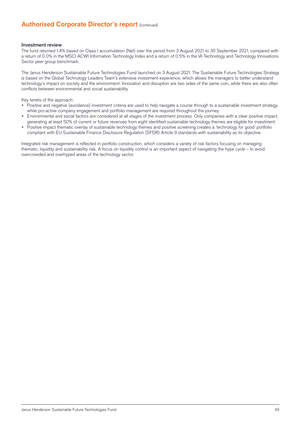### **Authorised Corporate Director's report (continued)**

#### Investment review

The fund returned 1.4% based on Class I accumulation (Net) over the period from 3 August 2021 to 30 September 2021, compared with a return of 0.0% in the MSCI ACWI Information Technology Index and a return of 0.5% in the IA Technology and Technology Innovations Sector peer group benchmark.

The Janus Henderson Sustainable Future Technologies Fund launched on 3 August 2021. The Sustainable Future Technologies Strategy is based on the Global Technology Leaders Team's extensive investment experience, which allows the managers to better understand technology's impact on society and the environment. Innovation and disruption are two sides of the same coin, while there are also often conflicts between environmental and social sustainability.

Key tenets of the approach:

- Positive and negative (avoidance) investment criteria are used to help navigate a course through to a sustainable investment strategy, while pro-active company engagement and portfolio management are required throughout the journey.
- Environmental and social factors are considered at all stages of the investment process. Only companies with a clear positive impact, generating at least 50% of current or future revenues from eight identified sustainable technology themes are eligible for investment.
- Positive impact thematic overlay of sustainable technology themes and positive screening creates a 'technology for good' portfolio compliant with EU Sustainable Finance Disclosure Regulation (SFDR) Article 9 standards with sustainability as its objective.

Integrated risk management is reflected in portfolio construction, which considers a variety of risk factors focusing on managing thematic, liquidity and sustainability risk. A focus on liquidity control is an important aspect of navigating the hype cycle – to avoid overcrowded and overhyped areas of the technology sector.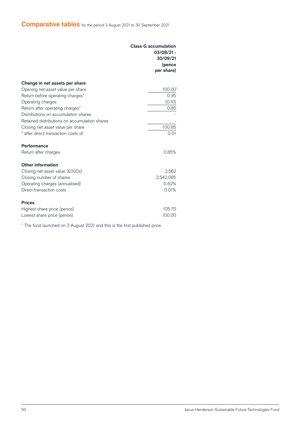|                                               | <b>Class G accumulation</b><br>$03/08/21 -$<br>30/09/21<br>(pence<br>per share) |
|-----------------------------------------------|---------------------------------------------------------------------------------|
| Change in net assets per share                |                                                                                 |
| Opening net asset value per share             | 100.001                                                                         |
| Return before operating charges*              | 0.95                                                                            |
| Operating charges                             | (0.10)                                                                          |
| Return after operating charges*               | 0.85                                                                            |
| Distributions on accumulation shares          |                                                                                 |
| Retained distributions on accumulation shares |                                                                                 |
| Closing net asset value per share             | 100.85                                                                          |
| * after direct transaction costs of:          | 0.01                                                                            |
| Performance                                   |                                                                                 |
| Return after charges                          | 0.85%                                                                           |
| <b>Other information</b>                      |                                                                                 |
| Closing net asset value (£000s)               | 2,562                                                                           |
| Closing number of shares                      | 2,542,085                                                                       |
| Operating charges (annualised)                | 0.62%                                                                           |
| Direct transaction costs                      | 0.01%                                                                           |
| <b>Prices</b>                                 |                                                                                 |
| Highest share price (pence)                   | 105.70                                                                          |
| Lowest share price (pence)                    | 100.00                                                                          |

<sup>1</sup> The fund launched on 3 August 2021 and this is the first published price.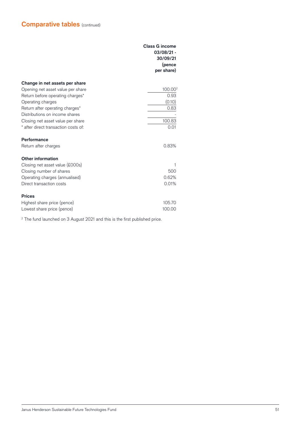|                                      | <b>Class G income</b><br>03/08/21 -<br>30/09/21<br>(pence<br>per share) |
|--------------------------------------|-------------------------------------------------------------------------|
| Change in net assets per share       |                                                                         |
| Opening net asset value per share    | 100.00 <sup>2</sup>                                                     |
| Return before operating charges*     | 0.93                                                                    |
| Operating charges                    | (0.10)                                                                  |
| Return after operating charges*      | 0.83                                                                    |
| Distributions on income shares       |                                                                         |
| Closing net asset value per share    | 100.83                                                                  |
| * after direct transaction costs of: | 0.01                                                                    |
| Performance                          |                                                                         |
| Return after charges                 | 0.83%                                                                   |
| <b>Other information</b>             |                                                                         |
| Closing net asset value (£000s)      | 1                                                                       |
| Closing number of shares             | 500                                                                     |
| Operating charges (annualised)       | 0.62%                                                                   |
| Direct transaction costs             | 0.01%                                                                   |
| <b>Prices</b>                        |                                                                         |
| Highest share price (pence)          | 105.70                                                                  |
| Lowest share price (pence)           | 100.00                                                                  |

<sup>2</sup> The fund launched on 3 August 2021 and this is the first published price.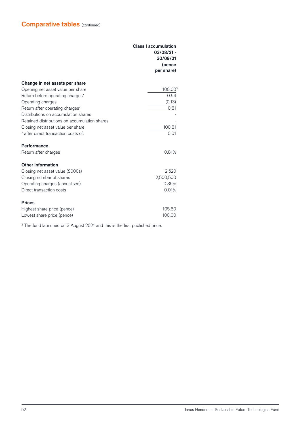|                                               | <b>Class I accumulation</b><br>$03/08/21 -$<br>30/09/21<br>(pence<br>per share) |
|-----------------------------------------------|---------------------------------------------------------------------------------|
| Change in net assets per share                |                                                                                 |
| Opening net asset value per share             | 100.003                                                                         |
| Return before operating charges*              | 0.94                                                                            |
| Operating charges                             | (0.13)                                                                          |
| Return after operating charges*               | 0.81                                                                            |
| Distributions on accumulation shares          |                                                                                 |
| Retained distributions on accumulation shares |                                                                                 |
| Closing net asset value per share             | 100.81                                                                          |
| * after direct transaction costs of:          | 0.01                                                                            |
| Performance                                   |                                                                                 |
| Return after charges                          | 0.81%                                                                           |
| <b>Other information</b>                      |                                                                                 |
| Closing net asset value (£000s)               | 2,520                                                                           |
| Closing number of shares                      | 2,500,500                                                                       |
| Operating charges (annualised)                | 0.85%                                                                           |
| Direct transaction costs                      | 0.01%                                                                           |
| <b>Prices</b>                                 |                                                                                 |
| Highest share price (pence)                   | 105.60                                                                          |
| Lowest share price (pence)                    | 100.00                                                                          |

<sup>3</sup> The fund launched on 3 August 2021 and this is the first published price.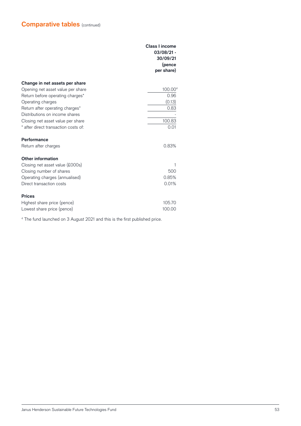|                                      | <b>Class I income</b><br>$03/08/21 -$<br>30/09/21<br>(pence<br>per share) |
|--------------------------------------|---------------------------------------------------------------------------|
| Change in net assets per share       |                                                                           |
| Opening net asset value per share    | 100.004                                                                   |
| Return before operating charges*     | 0.96                                                                      |
| Operating charges                    | (0.13)                                                                    |
| Return after operating charges*      | 0.83                                                                      |
| Distributions on income shares       |                                                                           |
| Closing net asset value per share    | 100.83                                                                    |
| * after direct transaction costs of: | 0.01                                                                      |
| Performance                          |                                                                           |
| Return after charges                 | 0.83%                                                                     |
| Other information                    |                                                                           |
| Closing net asset value (£000s)      | 1                                                                         |
| Closing number of shares             | 500                                                                       |
| Operating charges (annualised)       | 0.85%                                                                     |
| Direct transaction costs             | 0.01%                                                                     |
| <b>Prices</b>                        |                                                                           |
| Highest share price (pence)          | 105.70                                                                    |
| Lowest share price (pence)           | 100.00                                                                    |

<sup>4</sup> The fund launched on 3 August 2021 and this is the first published price.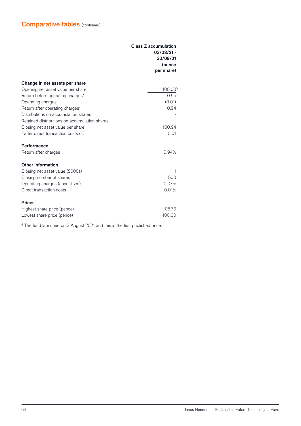|                                               | <b>Class Z accumulation</b><br>$03/08/21 -$<br>30/09/21<br>(pence<br>per share) |
|-----------------------------------------------|---------------------------------------------------------------------------------|
| Change in net assets per share                |                                                                                 |
| Opening net asset value per share             | 100.00 <sup>5</sup>                                                             |
| Return before operating charges*              | 0.95                                                                            |
| Operating charges                             | (0.01)                                                                          |
| Return after operating charges*               | 0.94                                                                            |
| Distributions on accumulation shares          |                                                                                 |
| Retained distributions on accumulation shares |                                                                                 |
| Closing net asset value per share             | 100.94                                                                          |
| * after direct transaction costs of:          | 0.01                                                                            |
| Performance                                   |                                                                                 |
| Return after charges                          | 0.94%                                                                           |
| <b>Other information</b>                      |                                                                                 |
| Closing net asset value (£000s)               | 1                                                                               |
| Closing number of shares                      | 500                                                                             |
| Operating charges (annualised)                | 0.07%                                                                           |
| Direct transaction costs                      | 0.01%                                                                           |
| <b>Prices</b>                                 |                                                                                 |
| Highest share price (pence)                   | 105.70                                                                          |
| Lowest share price (pence)                    | 100.00                                                                          |

<sup>5</sup> The fund launched on 3 August 2021 and this is the first published price.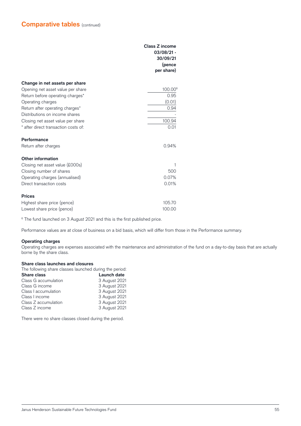|                                      | <b>Class Z income</b><br>$03/08/21 -$<br>30/09/21<br>(pence<br>per share) |
|--------------------------------------|---------------------------------------------------------------------------|
| Change in net assets per share       |                                                                           |
| Opening net asset value per share    | 100.00 <sup>6</sup>                                                       |
| Return before operating charges*     | 0.95                                                                      |
| Operating charges                    | (0.01)                                                                    |
| Return after operating charges*      | 0.94                                                                      |
| Distributions on income shares       |                                                                           |
| Closing net asset value per share    | 100.94                                                                    |
| * after direct transaction costs of: | 0.01                                                                      |
| Performance                          |                                                                           |
| Return after charges                 | 0.94%                                                                     |
| <b>Other information</b>             |                                                                           |
| Closing net asset value (£000s)      | 1                                                                         |
| Closing number of shares             | 500                                                                       |
| Operating charges (annualised)       | 0.07%                                                                     |
| Direct transaction costs             | 0.01%                                                                     |
| <b>Prices</b>                        |                                                                           |
| Highest share price (pence)          | 105.70                                                                    |
| Lowest share price (pence)           | 100.00                                                                    |

<sup>6</sup> The fund launched on 3 August 2021 and this is the first published price.

Performance values are at close of business on a bid basis, which will differ from those in the Performance summary.

#### **Operating charges**

Operating charges are expenses associated with the maintenance and administration of the fund on a day-to-day basis that are actually borne by the share class.

#### **Share class launches and closures**

| The following share classes launched during the period: |                    |  |
|---------------------------------------------------------|--------------------|--|
| <b>Share class</b>                                      | <b>Launch date</b> |  |
| Class G accumulation                                    | 3 August 2021      |  |
| Class G income                                          | 3 August 2021      |  |
| Class I accumulation                                    | 3 August 2021      |  |
| Class I income                                          | 3 August 2021      |  |
| Class Z accumulation                                    | 3 August 2021      |  |
| Class Z income                                          | 3 August 2021      |  |

There were no share classes closed during the period.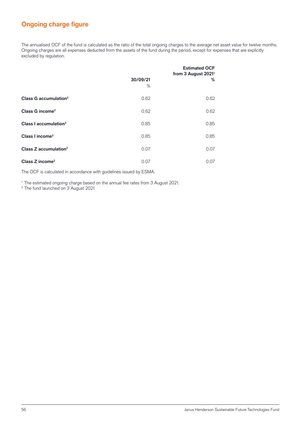### **Ongoing charge figure**

The annualised OCF of the fund is calculated as the ratio of the total ongoing charges to the average net asset value for twelve months. Ongoing charges are all expenses deducted from the assets of the fund during the period, except for expenses that are explicitly excluded by regulation.

|                                     | 30/09/21<br>$\%$ | <b>Estimated OCF</b><br>from 3 August 2021 <sup>1</sup><br>% |
|-------------------------------------|------------------|--------------------------------------------------------------|
| Class G accumulation <sup>2</sup>   | 0.62             | 0.62                                                         |
| Class G income <sup>2</sup>         | 0.62             | 0.62                                                         |
| Class I accumulation <sup>2</sup>   | 0.85             | 0.85                                                         |
| Class I income <sup>2</sup>         | 0.85             | 0.85                                                         |
| Class $Z$ accumulation <sup>2</sup> | 0.07             | 0.07                                                         |
| Class Z income <sup>2</sup>         | 0.07             | 0.07                                                         |

The OCF is calculated in accordance with guidelines issued by ESMA.

1 The estimated ongoing charge based on the annual fee rates from 3 August 2021.

2 The fund launched on 3 August 2021.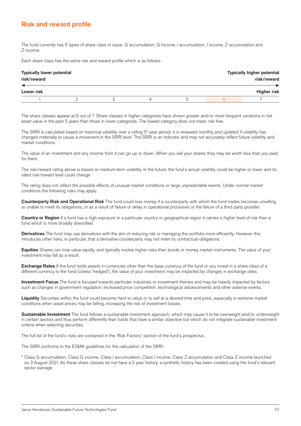### **Risk and reward profile**

The fund currently has 6 types of share class in issue: G accumulation, G income, I accumulation, I income, Z accumulation and Z income.

Each share class has the same risk and reward profile which is as follows:

| <b>Typically lower potential</b><br>risk/reward |  |  | <b>Typically higher potential</b><br>risk/reward |                    |
|-------------------------------------------------|--|--|--------------------------------------------------|--------------------|
| Lower risk                                      |  |  |                                                  | <b>Higher risk</b> |
|                                                 |  |  | n                                                |                    |

The share classes appear at 6 out of 7. Share classes in higher categories have shown greater and/or more frequent variations in net asset value in the past 5 years than those in lower categories. The lowest category does not mean risk free.

The SRRI is calculated based on historical volatility over a rolling 5\* year period, it is reviewed monthly and updated if volatility has changed materially to cause a movement in the SRRI level. The SRRI is an indicator and may not accurately reflect future volatility and market conditions.

The value of an investment and any income from it can go up or down. When you sell your shares they may be worth less than you paid for them.

The risk/reward rating above is based on medium-term volatility. In the future, the fund's actual volatility could be higher or lower and its rated risk/reward level could change.

The rating does not reflect the possible effects of unusual market conditions or large unpredictable events. Under normal market conditions the following risks may apply:

**Counterparty Risk and Operational Risk** The fund could lose money if a counterparty with which the fund trades becomes unwilling or unable to meet its obligations, or as a result of failure or delay in operational processes or the failure of a third party provider.

**Country or Region** If a fund has a high exposure to a particular country or geographical region it carries a higher level of risk than a fund which is more broadly diversified.

**Derivatives** The fund may use derivatives with the aim of reducing risk or managing the portfolio more efficiently. However this introduces other risks, in particular, that a derivative counterparty may not meet its contractual obligations.

**Equities** Shares can lose value rapidly, and typically involve higher risks than bonds or money market instruments. The value of your investment may fall as a result.

**Exchange Rates** If the fund holds assets in currencies other than the base currency of the fund or you invest in a share class of a different currency to the fund (unless 'hedged'), the value of your investment may be impacted by changes in exchange rates.

**Investment Focus** The fund is focused towards particular industries or investment themes and may be heavily impacted by factors such as changes in government regulation, increased price competition, technological advancements and other adverse events.

**Liquidity** Securities within the fund could become hard to value or to sell at a desired time and price, especially in extreme market conditions when asset prices may be falling, increasing the risk of investment losses.

**Sustainable Investment** The fund follows a sustainable investment approach, which may cause it to be overweight and/or underweight in certain sectors and thus perform differently than funds that have a similar objective but which do not integrate sustainable investment criteria when selecting securities.

The full list of the fund's risks are contained in the 'Risk Factors' section of the fund's prospectus.

The SRRI conforms to the ESMA guidelines for the calculation of the SRRI.

\* Class G accumulation, Class G income, Class I accumulation, Class I income, Class Z accumulation and Class Z income launched on 3 August 2021. As these share classes do not have a 5 year history, a synthetic history has been created using the fund's relevant sector average.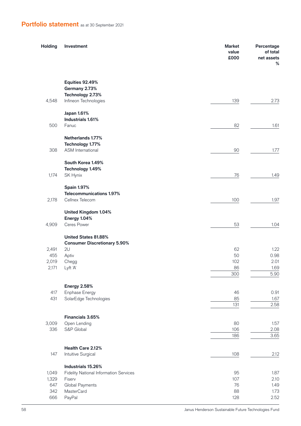## **Portfolio statement** as at 30 September 2021

| Holding        | Investment                                    | <b>Market</b><br>value<br>£000 | Percentage<br>of total<br>net assets<br>% |
|----------------|-----------------------------------------------|--------------------------------|-------------------------------------------|
|                | <b>Equities 92.49%</b>                        |                                |                                           |
|                | Germany 2.73%<br>Technology 2.73%             |                                |                                           |
| 4,548          | Infineon Technologies                         | 139                            | 2.73                                      |
|                | Japan 1.61%                                   |                                |                                           |
| 500            | Industrials 1.61%<br>Fanuc                    | 82                             | 1.61                                      |
|                |                                               |                                |                                           |
|                | Netherlands 1.77%                             |                                |                                           |
| 308            | Technology 1.77%<br><b>ASM</b> International  | 90                             | 1.77                                      |
|                | South Korea 1.49%                             |                                |                                           |
|                | Technology 1.49%                              |                                |                                           |
| 1,174          | SK Hynix                                      | 76                             | 1.49                                      |
|                | <b>Spain 1.97%</b>                            |                                |                                           |
|                | <b>Telecommunications 1.97%</b>               |                                |                                           |
| 2,178          | Cellnex Telecom                               | 100                            | 1.97                                      |
|                | <b>United Kingdom 1.04%</b>                   |                                |                                           |
|                | Energy 1.04%                                  |                                |                                           |
| 4,909          | Ceres Power                                   | 53                             | 1.04                                      |
|                | United States 81.88%                          |                                |                                           |
|                | <b>Consumer Discretionary 5.90%</b>           |                                |                                           |
| 2,491          | 2U                                            | 62                             | 1.22                                      |
| 455            | Aptiv                                         | 50                             | 0.98                                      |
| 2,019<br>2,171 | Chegg<br>Lyft 'A'                             | 102<br>86                      | 2.01<br>1.69                              |
|                |                                               | 300                            | 5.90                                      |
|                |                                               |                                |                                           |
|                | <b>Energy 2.58%</b>                           |                                |                                           |
| 417<br>431     | Enphase Energy<br>SolarEdge Technologies      | 46<br>85                       | 0.91<br>1.67                              |
|                |                                               | 131                            | 2.58                                      |
|                |                                               |                                |                                           |
|                | Financials 3.65%                              |                                |                                           |
| 3,009<br>336   | Open Lending<br>S&P Global                    | 80<br>106                      | 1.57<br>2.08                              |
|                |                                               | 186                            | 3.65                                      |
|                | Health Care 2.12%                             |                                |                                           |
| 147            | Intuitive Surgical                            | 108                            | 2.12                                      |
|                | Industrials 15.26%                            |                                |                                           |
| 1,049          | <b>Fidelity National Information Services</b> | 95                             | 1.87                                      |
| 1,329          | Fiserv                                        | 107                            | 2.10                                      |
| 647            | Global Payments                               | 76                             | 1.49                                      |
| 342            | <b>MasterCard</b>                             | 88                             | 1.73                                      |
| 666            | PayPal                                        | 128                            | 2.52                                      |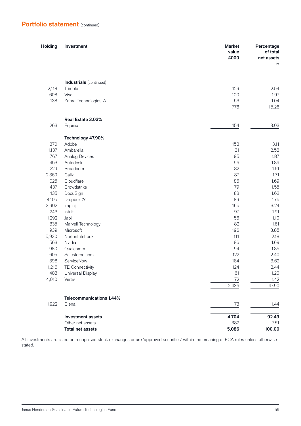| £000                                                            | of total<br>net assets<br>% |
|-----------------------------------------------------------------|-----------------------------|
|                                                                 |                             |
| <b>Industrials</b> (continued)                                  |                             |
| 129<br>2,118<br>Trimble                                         | 2.54                        |
| 608<br>100<br>Visa                                              | 1.97                        |
| 138<br>Zebra Technologies 'A'<br>53                             | 1.04                        |
| 776                                                             | 15.26                       |
| Real Estate 3.03%                                               |                             |
| 263<br>Equinix<br>154                                           | 3.03                        |
|                                                                 |                             |
| Technology 47.90%                                               |                             |
| 370<br>158<br>Adobe                                             | 3.11                        |
| 1,137<br>Ambarella<br>131<br>767<br>95<br><b>Analog Devices</b> | 2.58<br>1.87                |
| 453<br>96<br>Autodesk                                           | 1.89                        |
| 82<br>229<br>Broadcom                                           | 1.61                        |
| 87<br>2,369<br>Calix                                            | 1.71                        |
| 1,025<br>Cloudflare<br>86                                       | 1.69                        |
| 437<br>Crowdstrike<br>79                                        | 1.55                        |
| 435<br>DocuSign<br>83                                           | 1.63                        |
| 4,105<br>Dropbox 'A'<br>89                                      | 1.75                        |
| 165<br>3,902<br>Impinj                                          | 3.24                        |
| 97<br>243<br>Intuit                                             | 1.91                        |
| 1,292<br>Jabil<br>56                                            | 1.10                        |
| 82<br>1,835<br>Marvell Technology                               | 1.61                        |
| 939<br>Microsoft<br>196                                         | 3.85                        |
| 5,930<br>NortonLifeLock<br>111                                  | 2.18                        |
| 563<br>Nvidia<br>86                                             | 1.69                        |
| 980<br>Qualcomm<br>94                                           | 1.85                        |
| 605<br>Salesforce.com<br>122                                    | 2.40                        |
| 398<br>184<br>ServiceNow                                        | 3.62                        |
| 124<br>1,216<br><b>TE Connectivity</b>                          | 2.44                        |
| 483<br>Universal Display<br>61                                  | 1.20                        |
| 4,010<br>Vertiv<br>72                                           | 1.42                        |
| 2,436                                                           | 47.90                       |
| <b>Telecommunications 1.44%</b>                                 |                             |
| 1,922<br>Ciena<br>73                                            | 1.44                        |
| 4,704<br><b>Investment assets</b>                               | 92.49                       |
| 382<br>Other net assets                                         | 7.51                        |
| 5,086<br><b>Total net assets</b>                                | 100.00                      |

All investments are listed on recognised stock exchanges or are 'approved securities' within the meaning of FCA rules unless otherwise stated.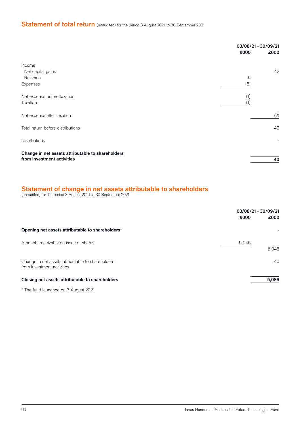## **Statement of total return** (unaudited) for the period 3 August 2021 to 30 September 2021

|                                                                                 | £000       | 03/08/21 - 30/09/21<br>£000 |
|---------------------------------------------------------------------------------|------------|-----------------------------|
| Income<br>Net capital gains<br>Revenue<br>Expenses                              | 5<br>(6)   | 42                          |
| Net expense before taxation<br>Taxation                                         | (1)<br>(1) |                             |
| Net expense after taxation                                                      |            | (2)                         |
| Total return before distributions                                               |            | 40                          |
| <b>Distributions</b>                                                            |            | $\overline{\phantom{a}}$    |
| Change in net assets attributable to shareholders<br>from investment activities |            | 40                          |

#### **Statement of change in net assets attributable to shareholders**

(unaudited) for the period 3 August 2021 to 30 September 2021

|                                                                                 | 03/08/21 - 30/09/21<br>£000 | £000  |
|---------------------------------------------------------------------------------|-----------------------------|-------|
| Opening net assets attributable to shareholders*                                |                             |       |
| Amounts receivable on issue of shares                                           | 5,046                       | 5,046 |
| Change in net assets attributable to shareholders<br>from investment activities |                             | 40    |
| Closing net assets attributable to shareholders                                 |                             | 5,086 |

\* The fund launched on 3 August 2021.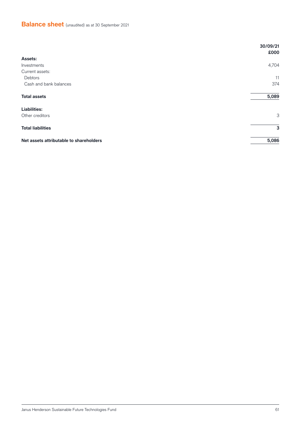## **Balance sheet** (unaudited) as at 30 September 2021

|                                         | 30/09/21<br>£000 |
|-----------------------------------------|------------------|
| Assets:                                 |                  |
| Investments                             | 4,704            |
| Current assets:                         |                  |
| Debtors                                 | 11               |
| Cash and bank balances                  | 374              |
| <b>Total assets</b>                     | 5,089            |
| <b>Liabilities:</b>                     |                  |
| Other creditors                         | 3                |
| <b>Total liabilities</b>                | 3                |
| Net assets attributable to shareholders | 5,086            |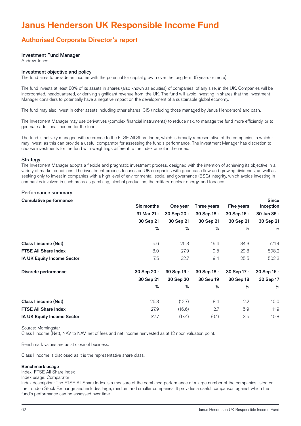# **Janus Henderson UK Responsible Income Fund**

### **Authorised Corporate Director's report**

#### Investment Fund Manager

Andrew Jones

#### Investment objective and policy

The fund aims to provide an income with the potential for capital growth over the long term (5 years or more).

The fund invests at least 80% of its assets in shares (also known as equities) of companies, of any size, in the UK. Companies will be incorporated, headquartered, or deriving significant revenue from, the UK. The fund will avoid investing in shares that the Investment Manager considers to potentially have a negative impact on the development of a sustainable global economy.

The fund may also invest in other assets including other shares, CIS (including those managed by Janus Henderson) and cash.

The Investment Manager may use derivatives (complex financial instruments) to reduce risk, to manage the fund more efficiently, or to generate additional income for the fund.

The fund is actively managed with reference to the FTSE All Share Index, which is broadly representative of the companies in which it may invest, as this can provide a useful comparator for assessing the fund's performance. The Investment Manager has discretion to choose investments for the fund with weightings different to the index or not in the index.

#### **Strategy**

The Investment Manager adopts a flexible and pragmatic investment process, designed with the intention of achieving its objective in a variety of market conditions. The investment process focuses on UK companies with good cash flow and growing dividends, as well as seeking only to invest in companies with a high level of environmental, social and governance (ESG) integrity, which avoids investing in companies involved in such areas as gambling, alcohol production, the military, nuclear energy, and tobacco.

#### Performance summary

| <b>Cumulative performance</b>     |                   |             |             |                   | <b>Since</b> |
|-----------------------------------|-------------------|-------------|-------------|-------------------|--------------|
|                                   | <b>Six months</b> | One year    | Three years | <b>Five years</b> | inception    |
|                                   | 31 Mar 21 -       | 30 Sep 20 - | 30 Sep 18 - | 30 Sep 16 -       | 30 Jun 85 -  |
|                                   | 30 Sep 21         | 30 Sep 21   | 30 Sep 21   | 30 Sep 21         | 30 Sep 21    |
|                                   | %                 | %           | %           | %                 | %            |
| Class I income (Net)              | 5.6               | 26.3        | 19.4        | 34.3              | 771.4        |
| <b>FTSE All Share Index</b>       | 8.0               | 27.9        | 9.5         | 29.8              | 508.2        |
| <b>IA UK Equity Income Sector</b> | 7.5               | 32.7        | 9.4         | 25.5              | 502.3        |
| Discrete performance              | 30 Sep 20 -       | 30 Sep 19 - | 30 Sep 18 - | 30 Sep 17 -       | 30 Sep 16 -  |
|                                   | 30 Sep 21         | 30 Sep 20   | 30 Sep 19   | 30 Sep 18         | 30 Sep 17    |
|                                   | %                 | %           | %           | %                 | %            |
| Class I income (Net)              | 26.3              | (12.7)      | 8.4         | 2.2               | 10.0         |
| <b>FTSE All Share Index</b>       | 27.9              | (16.6)      | 2.7         | 5.9               | 11.9         |
| <b>IA UK Equity Income Sector</b> | 32.7              | (17.4)      | (0.1)       | 3.5               | 10.8         |

#### Source: Morningstar

Class I income (Net), NAV to NAV, net of fees and net income reinvested as at 12 noon valuation point.

Benchmark values are as at close of business.

Class I income is disclosed as it is the representative share class.

#### **Benchmark usage**

Index: FTSE All Share Index

Index usage: Comparator

Index description: The FTSE All Share Index is a measure of the combined performance of a large number of the companies listed on the London Stock Exchange and includes large, medium and smaller companies. It provides a useful comparison against which the fund's performance can be assessed over time.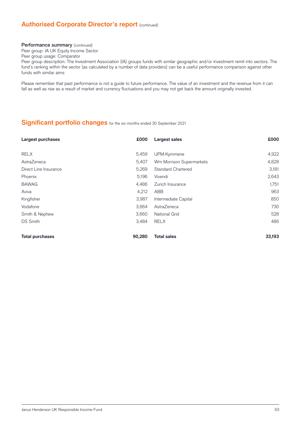### **Authorised Corporate Director's report (continued)**

#### Performance summary (continued)

Peer group: IA UK Equity Income Sector

Peer group usage: Comparator

Peer group description: The Investment Association (IA) groups funds with similar geographic and/or investment remit into sectors. The fund's ranking within the sector (as calculated by a number of data providers) can be a useful performance comparison against other funds with similar aims

Please remember that past performance is not a guide to future performance. The value of an investment and the revenue from it can fall as well as rise as a result of market and currency fluctuations and you may not get back the amount originally invested.

### **Significant portfolio changes** for the six months ended 30 September 2021

| Largest purchases      | £000   | Largest sales             | £000   |
|------------------------|--------|---------------------------|--------|
|                        |        |                           |        |
| <b>RELX</b>            | 5,459  | UPM-Kymmene               | 4,922  |
| AstraZeneca            | 5,407  | Wm Morrison Supermarkets  | 4,828  |
| Direct Line Insurance  | 5,269  | <b>Standard Chartered</b> | 3,181  |
| Phoenix                | 5,196  | Vivendi                   | 2,643  |
| <b>BAWAG</b>           | 4,486  | Zurich Insurance          | 1,751  |
| Aviva                  | 4,212  | ABB                       | 963    |
| Kingfisher             | 3,987  | Intermediate Capital      | 850    |
| Vodafone               | 3,664  | AstraZeneca               | 730    |
| Smith & Nephew         | 3,660  | <b>National Grid</b>      | 528    |
| <b>DS Smith</b>        | 3,484  | <b>RELX</b>               | 486    |
| <b>Total purchases</b> | 90,280 | <b>Total sales</b>        | 33,193 |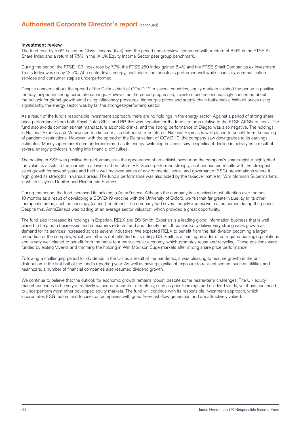### **Authorised Corporate Director's report (continued)**

#### Investment review

The fund rose by 5.6% based on Class I income (Net) over the period under review, compared with a return of 8.0% in the FTSE All Share Index and a return of 7.5% in the IA UK Equity Income Sector peer group benchmark.

During the period, the FTSE 100 Index rose by 7.7%, the FTSE 250 Index gained 8.4% and the FTSE Small Companies ex Investment Trusts Index was up by 13.5%. At a sector level, energy, healthcare and industrials performed well while financials, communication services and consumer staples underperformed.

Despite concerns about the spread of the Delta variant of COVID-19 in several countries, equity markets finished the period in positive territory, helped by strong corporate earnings. However, as the period progressed, investors became increasingly concerned about the outlook for global growth amid rising inflationary pressures, higher gas prices and supply-chain bottlenecks. With oil prices rising significantly, the energy sector was by far the strongest-performing sector.

As a result of the fund's responsible investment approach, there are no holdings in the energy sector. Against a period of strong share price performance from both Royal Dutch Shell and BP, this was negative for the fund's returns relative to the FTSE All Share Index. The fund also avoids companies that manufacture alcoholic drinks, and the strong performance of Diageo was also negative. The holdings in National Express and Moneysupermarket.com also detracted from returns. National Express is well placed to benefit from the easing of pandemic restrictions. However, with the spread of the Delta variant of COVID-19, the company saw downgrades to its earnings estimates. Moneysupermarket.com underperformed as its energy-switching business saw a significant decline in activity as a result of several energy providers running into financial difficulties.

The holding in SSE was positive for performance as the appearance of an activist investor on the company's share register highlighted the value its assets in the journey to a lower-carbon future. RELX also performed strongly, as it announced results with the strongest sales growth for several years and held a well-received series of environmental, social and governance (ESG) presentations where it highlighted its strengths in various areas. The fund's performance was also aided by the takeover battle for Wm Morrison Supermarkets, in which Clayton, Dubilier and Rice outbid Fortress.

During the period, the fund increased its holding in AstraZeneca. Although the company has received most attention over the past 18 months as a result of developing a COVID-19 vaccine with the University of Oxford, we felt that far greater value lay in its other therapeutic areas, such as oncology (cancer) treatment. The company had several hugely impressive trial outcomes during the period. Despite this, AstraZeneca was trading at an average sector valuation, which provided a great opportunity.

The fund also increased its holdings in Experian, RELX and DS Smith. Experian is a leading global information business that is well placed to help both businesses and consumers reduce fraud and identity theft. It continued to deliver very strong sales growth as demand for its services increased across several industries. We expected RELX to benefit from the risk division becoming a larger proportion of the company, which we felt was not reflected in its rating. DS Smith is a leading provider of corrugated packaging solutions and is very well placed to benefit from the move to a more circular economy, which promotes reuse and recycling. These positions were funded by exiting Vivendi and trimming the holding in Wm Morrison Supermarkets after strong share price performance.

Following a challenging period for dividends in the UK as a result of the pandemic, it was pleasing to resume growth in the unit distribution in the first half of the fund's reporting year. As well as having significant exposure to resilient sectors such as utilities and healthcare, a number of financial companies also resumed dividend growth.

We continue to believe that the outlook for economic growth remains robust, despite some nearer-term challenges. The UK equity market continues to be very attractively valued on a number of metrics, such as price/earnings and dividend yields, yet it has continued to underperform most other developed equity markets. The fund will continue with its responsible investment approach, which incorporates ESG factors and focuses on companies with good free-cash-flow generation and are attractively valued.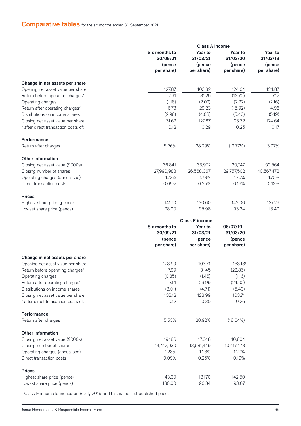### **Comparative tables** for the six months ended 30 September 2021

|                                                                     |                                     | <b>Class A income</b>         |                               |                               |
|---------------------------------------------------------------------|-------------------------------------|-------------------------------|-------------------------------|-------------------------------|
|                                                                     | Six months to<br>30/09/21<br>(pence | Year to<br>31/03/21<br>(pence | Year to<br>31/03/20<br>(pence | Year to<br>31/03/19<br>(pence |
|                                                                     | per share)                          | per share)                    | per share)                    | per share)                    |
| Change in net assets per share                                      |                                     |                               |                               |                               |
| Opening net asset value per share                                   | 127.87                              | 103.32                        | 124.64                        | 124.87                        |
| Return before operating charges*                                    | 7.91                                | 31.25                         | (13.70)                       | 7.12                          |
| Operating charges                                                   | (1.18)                              | (2.02)                        | (2.22)                        | (2.16)                        |
| Return after operating charges*                                     | 6.73                                | 29.23                         | (15.92)                       | 4.96                          |
| Distributions on income shares                                      | (2.98)                              | (4.68)                        | (5.40)                        | (5.19)                        |
| Closing net asset value per share                                   | 131.62                              | 127.87                        | 103.32                        | 124.64                        |
| * after direct transaction costs of:                                | 0.12                                | 0.29                          | 0.25                          | 0.17                          |
| <b>Performance</b>                                                  |                                     |                               |                               |                               |
| Return after charges                                                | 5.26%                               | 28.29%                        | (12.77%)                      | 3.97%                         |
| <b>Other information</b>                                            |                                     |                               |                               |                               |
| Closing net asset value (£000s)                                     | 36,841                              | 33,972                        | 30,747                        | 50,564                        |
| Closing number of shares                                            | 27,990,988                          | 26,568,067                    | 29,757,502                    | 40,567,478                    |
| Operating charges (annualised)                                      | 1.73%                               | 1.73%                         | 1.70%                         | 1.70%                         |
| Direct transaction costs                                            | 0.09%                               | 0.25%                         | 0.19%                         | 0.13%                         |
| <b>Prices</b>                                                       |                                     |                               |                               |                               |
| Highest share price (pence)                                         | 141.70                              | 130.60                        | 142.00                        | 137.29                        |
| Lowest share price (pence)                                          | 128.90                              | 95.98                         | 93.34                         | 113.40                        |
|                                                                     |                                     | <b>Class E income</b>         |                               |                               |
|                                                                     | Six months to                       | Year to                       | 08/07/19 -                    |                               |
|                                                                     | 30/09/21                            | 31/03/21                      | 31/03/20                      |                               |
|                                                                     | (pence<br>per share)                | (pence<br>per share)          | (pence<br>per share)          |                               |
|                                                                     |                                     |                               |                               |                               |
| Change in net assets per share<br>Opening net asset value per share | 128.99                              | 103.71                        | 133.131                       |                               |
| Return before operating charges*                                    | 7.99                                | 31.45                         | (22.86)                       |                               |
| Operating charges                                                   | (0.85)                              | (1.46)                        | (1.16)                        |                               |
| Return after operating charges*                                     | 7.14                                | 29.99                         | (24.02)                       |                               |
| Distributions on income shares                                      | (3.01)                              | (4.71)                        | (5.40)                        |                               |
| Closing net asset value per share                                   | 133.12                              | 128.99                        | 103.71                        |                               |
| after direct transaction costs of:                                  | 0.12                                | 0.30                          | 0.26                          |                               |
| Performance                                                         |                                     |                               |                               |                               |
| Return after charges                                                | 5.53%                               | 28.92%                        | $(18.04\%)$                   |                               |
| <b>Other information</b>                                            |                                     |                               |                               |                               |
| Closing net asset value (£000s)                                     | 19,186                              | 17,648                        | 10,804                        |                               |
| Closing number of shares                                            | 14,412,930                          | 13,681,449                    | 10,417,478                    |                               |
| Operating charges (annualised)                                      | 1.23%                               | 1.23%                         | 1.20%                         |                               |
| Direct transaction costs                                            | 0.09%                               | 0.25%                         | 0.19%                         |                               |
| <b>Prices</b>                                                       |                                     |                               |                               |                               |
| Highest share price (pence)                                         | 143.30                              | 131.70                        | 142.50                        |                               |
| Lowest share price (pence)                                          | 130.00                              | 96.34                         | 93.67                         |                               |

<sup>1</sup> Class E income launched on 8 July 2019 and this is the first published price.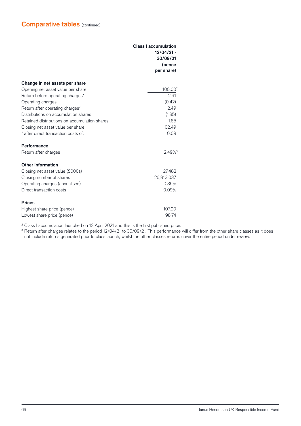|                                               | <b>Class I accumulation</b><br>$12/04/21 -$<br>30/09/21<br>(pence<br>per share) |  |
|-----------------------------------------------|---------------------------------------------------------------------------------|--|
|                                               |                                                                                 |  |
| Change in net assets per share                |                                                                                 |  |
| Opening net asset value per share             | 100.00 <sup>2</sup>                                                             |  |
| Return before operating charges*              | 2.91                                                                            |  |
| Operating charges                             | (0.42)                                                                          |  |
| Return after operating charges*               | 2.49                                                                            |  |
| Distributions on accumulation shares          | (1.85)                                                                          |  |
| Retained distributions on accumulation shares | 1.85                                                                            |  |
| Closing net asset value per share             | 102.49                                                                          |  |
| * after direct transaction costs of:          | 0.09                                                                            |  |
| Performance                                   |                                                                                 |  |
| Return after charges                          | 2.49% <sup>3</sup>                                                              |  |
| <b>Other information</b>                      |                                                                                 |  |
| Closing net asset value (£000s)               | 27,482                                                                          |  |
| Closing number of shares                      | 26,813,037                                                                      |  |
| Operating charges (annualised)                | 0.85%                                                                           |  |
| Direct transaction costs                      | 0.09%                                                                           |  |
| <b>Prices</b>                                 |                                                                                 |  |
| Highest share price (pence)                   | 107.90                                                                          |  |
| Lowest share price (pence)                    | 98.74                                                                           |  |

<sup>2</sup> Class I accumulation launched on 12 April 2021 and this is the first published price.

 $^{\rm 3}$  Return after charges relates to the period 12/04/21 to 30/09/21. This performance will differ from the other share classes as it does not include returns generated prior to class launch, whilst the other classes returns cover the entire period under review.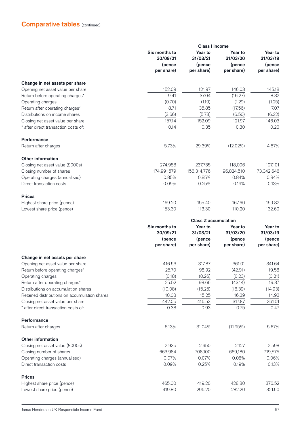|                                               | <b>Class I income</b>     |                             |                     |                     |
|-----------------------------------------------|---------------------------|-----------------------------|---------------------|---------------------|
|                                               | Six months to<br>30/09/21 | Year to<br>31/03/21         | Year to<br>31/03/20 | Year to<br>31/03/19 |
|                                               | (pence                    | (pence                      | (pence              | (pence              |
|                                               | per share)                | per share)                  | per share)          | per share)          |
| Change in net assets per share                |                           |                             |                     |                     |
| Opening net asset value per share             | 152.09                    | 121.97                      | 146.03              | 145.18              |
| Return before operating charges*              | 9.41                      | 37.04                       | (16.27)             | 8.32                |
| Operating charges                             | (0.70)                    | (1.19)                      | (1.29)              | (1.25)              |
| Return after operating charges*               | 8.71                      | 35.85                       | (17.56)             | 7.07                |
| Distributions on income shares                | (3.66)                    | (5.73)                      | (6.50)              | (6.22)              |
| Closing net asset value per share             | 157.14                    | 152.09                      | 121.97              | 146.03              |
| after direct transaction costs of:            | 0.14                      | 0.35                        | 0.30                | 0.20                |
| <b>Performance</b>                            |                           |                             |                     |                     |
| Return after charges                          | 5.73%                     | 29.39%                      | (12.02%)            | 4.87%               |
| <b>Other information</b>                      |                           |                             |                     |                     |
| Closing net asset value (£000s)               | 274,988                   | 237,735                     | 118,096             | 107,101             |
| Closing number of shares                      | 174,991,579               | 156,314,776                 | 96,824,510          | 73,342,646          |
| Operating charges (annualised)                | 0.85%                     | 0.85%                       | 0.84%               | 0.84%               |
| Direct transaction costs                      | 0.09%                     | 0.25%                       | 0.19%               | 0.13%               |
| <b>Prices</b>                                 |                           |                             |                     |                     |
| Highest share price (pence)                   | 169.20                    | 155.40                      | 167.60              | 159.82              |
| Lowest share price (pence)                    | 153.30                    | 113.30                      | 110.20              | 132.60              |
|                                               |                           | <b>Class Z accumulation</b> |                     |                     |
|                                               | Six months to             | Year to                     | Year to             | Year to             |
|                                               | 30/09/21                  | 31/03/21                    | 31/03/20            | 31/03/19            |
|                                               | (pence                    | (pence                      | (pence              | (pence              |
|                                               | per share)                | per share)                  | per share)          | per share)          |
| Change in net assets per share                |                           |                             |                     |                     |
| Opening net asset value per share             | 416.53                    | 317.87                      | 361.01              | 341.64              |
| Return before operating charges*              | 25.70                     | 98.92                       | (42.91)             | 19.58               |
| Operating charges                             | (0.18)                    | (0.26)                      | (0.23)              | (0.21)              |
| Return after operating charges*               | 25.52                     | 98.66                       | (43.14)             | 19.37               |
| Distributions on accumulation shares          | (10.08)                   | (15.25)                     | (16.39)             | (14.93)             |
| Retained distributions on accumulation shares | 10.08                     | 15.25                       | 16.39               | 14.93               |
| Closing net asset value per share             | 442.05                    | 416.53                      | 317.87              | 361.01              |
| after direct transaction costs of:            | 0.38                      | 0.93                        | 0.75                | 0.47                |
| Performance                                   |                           |                             |                     |                     |
| Return after charges                          | 6.13%                     | 31.04%                      | (11.95%)            | 5.67%               |
| <b>Other information</b>                      |                           |                             |                     |                     |
| Closing net asset value (£000s)               | 2,935                     | 2,950                       | 2,127               | 2,598               |
| Closing number of shares                      | 663,984                   | 708,100                     | 669,180             | 719,575             |
| Operating charges (annualised)                | 0.07%                     | 0.07%                       | 0.06%               | 0.06%               |
| Direct transaction costs                      | 0.09%                     | 0.25%                       | 0.19%               | 0.13%               |
| <b>Prices</b>                                 |                           |                             |                     |                     |
| Highest share price (pence)                   | 465.00                    | 419.20                      | 428.80              | 376.52              |
| Lowest share price (pence)                    | 419.80                    | 296.20                      | 282.20              | 321.50              |
|                                               |                           |                             |                     |                     |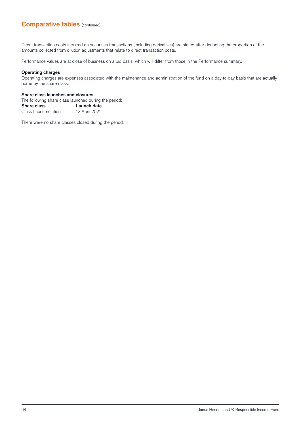Direct transaction costs incurred on securities transactions (including derivatives) are stated after deducting the proportion of the amounts collected from dilution adjustments that relate to direct transaction costs.

Performance values are at close of business on a bid basis, which will differ from those in the Performance summary.

#### **Operating charges**

Operating charges are expenses associated with the maintenance and administration of the fund on a day-to-day basis that are actually borne by the share class.

#### **Share class launches and closures**

The following share class launched during the period:

| <b>Share class</b>   | Launch date   |
|----------------------|---------------|
| Class I accumulation | 12 April 2021 |

There were no share classes closed during the period.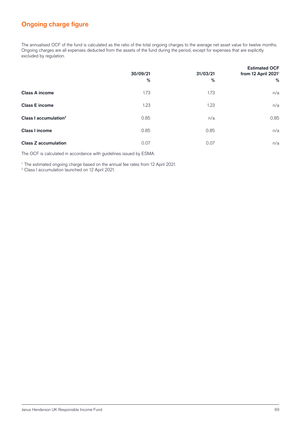# **Ongoing charge figure**

The annualised OCF of the fund is calculated as the ratio of the total ongoing charges to the average net asset value for twelve months. Ongoing charges are all expenses deducted from the assets of the fund during the period, except for expenses that are explicitly excluded by regulation.

|                                   | 30/09/21<br>% | 31/03/21<br>% | <b>Estimated OCF</b><br>from 12 April 2021 <sup>1</sup><br>% |
|-----------------------------------|---------------|---------------|--------------------------------------------------------------|
| <b>Class A income</b>             | 1.73          | 1.73          | n/a                                                          |
| <b>Class E income</b>             | 1.23          | 1.23          | n/a                                                          |
| Class I accumulation <sup>2</sup> | 0.85          | n/a           | 0.85                                                         |
| <b>Class I income</b>             | 0.85          | 0.85          | n/a                                                          |
| <b>Class Z accumulation</b>       | 0.07          | 0.07          | n/a                                                          |

The OCF is calculated in accordance with guidelines issued by ESMA.

<sup>1</sup> The estimated ongoing charge based on the annual fee rates from 12 April 2021.

2 Class I accumulation launched on 12 April 2021.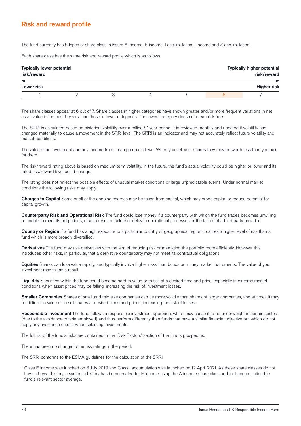### **Risk and reward profile**

The fund currently has 5 types of share class in issue: A income, E income, I accumulation, I income and Z accumulation.

Each share class has the same risk and reward profile which is as follows:

| <b>Typically lower potential</b><br>risk/reward<br>◢ |  |  |  | <b>Typically higher potential</b><br>risk/reward |
|------------------------------------------------------|--|--|--|--------------------------------------------------|
| Lower risk                                           |  |  |  | <b>Higher risk</b>                               |
|                                                      |  |  |  |                                                  |

The share classes appear at 6 out of 7. Share classes in higher categories have shown greater and/or more frequent variations in net asset value in the past 5 years than those in lower categories. The lowest category does not mean risk free.

The SRRI is calculated based on historical volatility over a rolling 5<sup>\*</sup> year period, it is reviewed monthly and updated if volatility has changed materially to cause a movement in the SRRI level. The SRRI is an indicator and may not accurately reflect future volatility and market conditions.

The value of an investment and any income from it can go up or down. When you sell your shares they may be worth less than you paid for them.

The risk/reward rating above is based on medium-term volatility. In the future, the fund's actual volatility could be higher or lower and its rated risk/reward level could change.

The rating does not reflect the possible effects of unusual market conditions or large unpredictable events. Under normal market conditions the following risks may apply:

**Charges to Capital** Some or all of the ongoing charges may be taken from capital, which may erode capital or reduce potential for capital growth.

**Counterparty Risk and Operational Risk** The fund could lose money if a counterparty with which the fund trades becomes unwilling or unable to meet its obligations, or as a result of failure or delay in operational processes or the failure of a third party provider.

**Country or Region** If a fund has a high exposure to a particular country or geographical region it carries a higher level of risk than a fund which is more broadly diversified.

**Derivatives** The fund may use derivatives with the aim of reducing risk or managing the portfolio more efficiently. However this introduces other risks, in particular, that a derivative counterparty may not meet its contractual obligations.

**Equities** Shares can lose value rapidly, and typically involve higher risks than bonds or money market instruments. The value of your investment may fall as a result.

**Liquidity** Securities within the fund could become hard to value or to sell at a desired time and price, especially in extreme market conditions when asset prices may be falling, increasing the risk of investment losses.

**Smaller Companies** Shares of small and mid-size companies can be more volatile than shares of larger companies, and at times it may be difficult to value or to sell shares at desired times and prices, increasing the risk of losses.

**Responsible Investment** The fund follows a responsible investment approach, which may cause it to be underweight in certain sectors (due to the avoidance criteria employed) and thus perform differently than funds that have a similar financial objective but which do not apply any avoidance criteria when selecting investments.

The full list of the fund's risks are contained in the 'Risk Factors' section of the fund's prospectus.

There has been no change to the risk ratings in the period.

The SRRI conforms to the ESMA guidelines for the calculation of the SRRI.

\* Class E income was lunched on 8 July 2019 and Class I accumulation was launched on 12 April 2021. As these share classes do not have a 5 year history, a synthetic history has been created for E income using the A income share class and for I accumulation the fund's relevant sector average.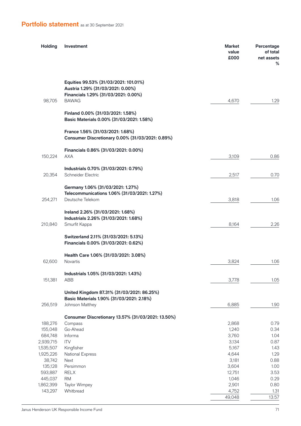# **Portfolio statement** as at 30 September 2021

| <b>Holding</b>     | Investment                                                                                                                         | <b>Market</b><br>value<br>£000 | Percentage<br>of total<br>net assets<br>% |
|--------------------|------------------------------------------------------------------------------------------------------------------------------------|--------------------------------|-------------------------------------------|
| 98,705             | Equities 99.53% (31/03/2021: 101.01%)<br>Austria 1.29% (31/03/2021: 0.00%)<br>Financials 1.29% (31/03/2021: 0.00%)<br><b>BAWAG</b> | 4,670                          | 1.29                                      |
|                    | Finland 0.00% (31/03/2021: 1.58%)<br>Basic Materials 0.00% (31/03/2021: 1.58%)                                                     |                                |                                           |
|                    | France 1.56% (31/03/2021: 1.68%)<br>Consumer Discretionary 0.00% (31/03/2021: 0.89%)                                               |                                |                                           |
| 150,224            | Financials 0.86% (31/03/2021: 0.00%)<br><b>AXA</b>                                                                                 | 3,109                          | 0.86                                      |
| 20,354             | Industrials 0.70% (31/03/2021: 0.79%)<br>Schneider Electric                                                                        | 2,517                          | 0.70                                      |
| 254,271            | Germany 1.06% (31/03/2021: 1.27%)<br>Telecommunications 1.06% (31/03/2021: 1.27%)<br>Deutsche Telekom                              | 3,818                          | 1.06                                      |
| 210,840            | Ireland 2.26% (31/03/2021: 1.68%)<br>Industrials 2.26% (31/03/2021: 1.68%)<br>Smurfit Kappa                                        | 8,164                          | 2.26                                      |
|                    | Switzerland 2.11% (31/03/2021: 5.13%)<br>Financials 0.00% (31/03/2021: 0.62%)                                                      |                                |                                           |
| 62,600             | Health Care 1.06% (31/03/2021: 3.08%)<br>Novartis                                                                                  | 3,824                          | 1.06                                      |
| 151,381            | Industrials 1.05% (31/03/2021: 1.43%)<br>ABB                                                                                       | 3,778                          | 1.05                                      |
|                    | United Kingdom 87.31% (31/03/2021: 86.25%)<br>Basic Materials 1.90% (31/03/2021: 2.18%)                                            |                                |                                           |
| 256,519            | Johnson Matthey                                                                                                                    | 6,885                          | 1.90                                      |
|                    | Consumer Discretionary 13.57% (31/03/2021: 13.50%)                                                                                 |                                |                                           |
| 188,276            | Compass<br>Go-Ahead                                                                                                                | 2,868                          | 0.79                                      |
| 155,048<br>684,748 | Informa                                                                                                                            | 1,240<br>3,760                 | 0.34<br>1.04                              |
| 2,939,715          | <b>ITV</b>                                                                                                                         | 3,134                          | 0.87                                      |
| 1,535,507          | Kingfisher                                                                                                                         | 5,167                          | 1.43                                      |
| 1,925,226          | <b>National Express</b>                                                                                                            | 4,644                          | 1.29                                      |
| 38,742             | <b>Next</b>                                                                                                                        | 3,181                          | 0.88                                      |
| 135,128            | Persimmon                                                                                                                          | 3,604                          | 1.00                                      |
| 593,887            | <b>RELX</b>                                                                                                                        | 12,751                         | 3.53                                      |
| 445,037            | <b>RM</b>                                                                                                                          | 1,046                          | 0.29                                      |
| 1,862,399          | Taylor Wimpey                                                                                                                      | 2,901                          | 0.80                                      |
| 143,297            | Whitbread                                                                                                                          | 4,752<br>49,048                | 1.31<br>13.57                             |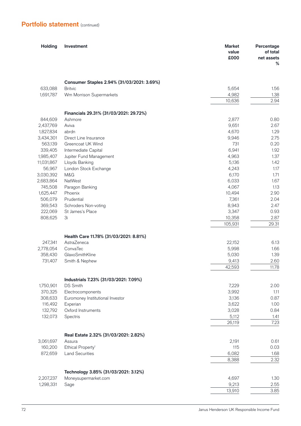### **Portfolio statement** (continued)

| <b>Holding</b>       | Investment                                            | <b>Market</b><br>value<br>£000 | Percentage<br>of total<br>net assets<br>℅ |
|----------------------|-------------------------------------------------------|--------------------------------|-------------------------------------------|
|                      |                                                       |                                |                                           |
|                      | Consumer Staples 2.94% (31/03/2021: 3.69%)            |                                |                                           |
| 633,088              | <b>Britvic</b>                                        | 5,654                          | 1.56                                      |
| 1,691,787            | Wm Morrison Supermarkets                              | 4,982<br>10,636                | 1.38<br>2.94                              |
|                      | Financials 29.31% (31/03/2021: 29.72%)                |                                |                                           |
| 844,609              | Ashmore                                               | 2,877                          | 0.80                                      |
| 2,437,769            | Aviva                                                 | 9,651                          | 2.67                                      |
| 1,827,834            | abrdn                                                 | 4,670                          | 1.29                                      |
| 3,434,301            | Direct Line Insurance                                 | 9,946                          | 2.75                                      |
| 563,139              | Greencoat UK Wind                                     | 731                            | 0.20                                      |
| 339,405              | Intermediate Capital                                  | 6,941                          | 1.92                                      |
| 1,985,407            | Jupiter Fund Management                               | 4,963                          | 1.37                                      |
| 11,031,867           | Lloyds Banking                                        | 5,136                          | 1.42                                      |
| 56,967               | London Stock Exchange                                 | 4,243                          | 1.17                                      |
| 3,030,392            | M&G                                                   | 6,170                          | 1.71                                      |
| 2,683,864            | NatWest                                               | 6,033                          | 1.67                                      |
| 745,508<br>1,625,447 | Paragon Banking<br>Phoenix                            | 4,067<br>10,494                | 1.13<br>2.90                              |
| 506,079              | Prudential                                            | 7,361                          | 2.04                                      |
| 369,543              | Schroders Non-voting                                  | 8,943                          | 2.47                                      |
| 222,069              | St James's Place                                      | 3,347                          | 0.93                                      |
| 808,625              | Зi                                                    | 10,358                         | 2.87                                      |
|                      |                                                       | 105,931                        | 29.31                                     |
|                      | Health Care 11.78% (31/03/2021: 8.81%)                |                                |                                           |
| 247,341              | AstraZeneca                                           | 22,152                         | 6.13                                      |
| 2,778,054            | ConvaTec                                              | 5,998                          | 1.66                                      |
| 358,430              | GlaxoSmithKline                                       | 5,030                          | 1.39                                      |
| 731,407              | Smith & Nephew                                        | 9,413                          | 2.60                                      |
|                      |                                                       | 42,593                         | 11.78                                     |
|                      | Industrials 7.23% (31/03/2021: 7.09%)                 |                                |                                           |
| 1,750,901            | <b>DS Smith</b>                                       | 7,229<br>3,992                 | 2.00<br>1.11                              |
| 370,325<br>308,633   | Electrocomponents<br>Euromoney Institutional Investor | 3,136                          | 0.87                                      |
| 116,492              | Experian                                              | 3,622                          | 1.00                                      |
| 132,792              | Oxford Instruments                                    | 3,028                          | 0.84                                      |
| 132,073              | Spectris                                              | 5,112                          | 1.41                                      |
|                      |                                                       | 26,119                         | 7.23                                      |
|                      | Real Estate 2.32% (31/03/2021: 2.82%)                 |                                |                                           |
| 3,061,697            | Assura                                                | 2,191                          | 0.61                                      |
| 160,200              | Ethical Property <sup>1</sup>                         | 115                            | 0.03                                      |
| 872,659              | <b>Land Securities</b>                                | 6,082                          | 1.68                                      |
|                      |                                                       | 8,388                          | 2.32                                      |
|                      | Technology 3.85% (31/03/2021: 3.12%)                  |                                |                                           |
| 2,207,237            | Moneysupermarket.com                                  | 4,697                          | 1.30                                      |
| 1,298,331            | Sage                                                  | 9,213                          | 2.55                                      |
|                      |                                                       | 13,910                         | 3.85                                      |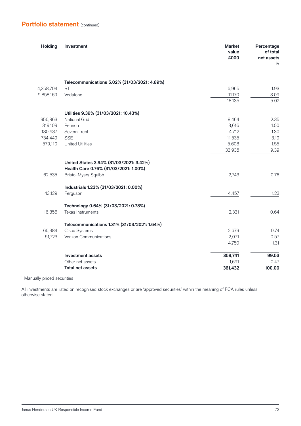## **Portfolio statement** (continued)

| Telecommunications 5.02% (31/03/2021: 4.89%)<br>4,358,704<br><b>BT</b><br>6,965<br>1.93<br>Vodafone<br>3.09<br>9,858,169<br>11,170<br>18,135<br>Utilities 9.39% (31/03/2021: 10.43%)<br><b>National Grid</b><br>956,863<br>8,464<br>2.35<br>3,616<br>319,109<br>Pennon<br>1.00<br>180,937<br>4,712<br>Severn Trent<br>1.30<br>734,449<br><b>SSE</b><br>11,535<br>3.19<br>579,110<br><b>United Utilities</b><br>5,608<br>1.55<br>9.39<br>33,935<br>United States 3.94% (31/03/2021: 3.42%)<br>Health Care 0.76% (31/03/2021: 1.00%)<br><b>Bristol-Myers Squibb</b><br>62,535<br>0.76<br>2,743<br>Industrials 1.23% (31/03/2021: 0.00%)<br>43,129<br>Ferguson<br>1.23<br>4,457<br>Technology 0.64% (31/03/2021: 0.78%)<br>16,356<br>Texas Instruments<br>2,331<br>0.64<br>Telecommunications 1.31% (31/03/2021: 1.64%)<br>66,384<br>Cisco Systems<br>2,679<br>0.74<br>Verizon Communications<br>51,723<br>2,071<br>0.57<br>1.31<br>4,750<br>359,741<br>99.53<br><b>Investment assets</b><br>Other net assets<br>1,691<br>361,432<br>100.00<br><b>Total net assets</b> | <b>Holding</b> | Investment | <b>Market</b><br>value<br>£000 | Percentage<br>of total<br>net assets<br>% |
|---------------------------------------------------------------------------------------------------------------------------------------------------------------------------------------------------------------------------------------------------------------------------------------------------------------------------------------------------------------------------------------------------------------------------------------------------------------------------------------------------------------------------------------------------------------------------------------------------------------------------------------------------------------------------------------------------------------------------------------------------------------------------------------------------------------------------------------------------------------------------------------------------------------------------------------------------------------------------------------------------------------------------------------------------------------------|----------------|------------|--------------------------------|-------------------------------------------|
|                                                                                                                                                                                                                                                                                                                                                                                                                                                                                                                                                                                                                                                                                                                                                                                                                                                                                                                                                                                                                                                                     |                |            |                                |                                           |
|                                                                                                                                                                                                                                                                                                                                                                                                                                                                                                                                                                                                                                                                                                                                                                                                                                                                                                                                                                                                                                                                     |                |            |                                |                                           |
|                                                                                                                                                                                                                                                                                                                                                                                                                                                                                                                                                                                                                                                                                                                                                                                                                                                                                                                                                                                                                                                                     |                |            |                                |                                           |
|                                                                                                                                                                                                                                                                                                                                                                                                                                                                                                                                                                                                                                                                                                                                                                                                                                                                                                                                                                                                                                                                     |                |            |                                | 5.02                                      |
|                                                                                                                                                                                                                                                                                                                                                                                                                                                                                                                                                                                                                                                                                                                                                                                                                                                                                                                                                                                                                                                                     |                |            |                                |                                           |
|                                                                                                                                                                                                                                                                                                                                                                                                                                                                                                                                                                                                                                                                                                                                                                                                                                                                                                                                                                                                                                                                     |                |            |                                |                                           |
|                                                                                                                                                                                                                                                                                                                                                                                                                                                                                                                                                                                                                                                                                                                                                                                                                                                                                                                                                                                                                                                                     |                |            |                                |                                           |
|                                                                                                                                                                                                                                                                                                                                                                                                                                                                                                                                                                                                                                                                                                                                                                                                                                                                                                                                                                                                                                                                     |                |            |                                |                                           |
|                                                                                                                                                                                                                                                                                                                                                                                                                                                                                                                                                                                                                                                                                                                                                                                                                                                                                                                                                                                                                                                                     |                |            |                                |                                           |
|                                                                                                                                                                                                                                                                                                                                                                                                                                                                                                                                                                                                                                                                                                                                                                                                                                                                                                                                                                                                                                                                     |                |            |                                |                                           |
|                                                                                                                                                                                                                                                                                                                                                                                                                                                                                                                                                                                                                                                                                                                                                                                                                                                                                                                                                                                                                                                                     |                |            |                                |                                           |
|                                                                                                                                                                                                                                                                                                                                                                                                                                                                                                                                                                                                                                                                                                                                                                                                                                                                                                                                                                                                                                                                     |                |            |                                |                                           |
|                                                                                                                                                                                                                                                                                                                                                                                                                                                                                                                                                                                                                                                                                                                                                                                                                                                                                                                                                                                                                                                                     |                |            |                                |                                           |
|                                                                                                                                                                                                                                                                                                                                                                                                                                                                                                                                                                                                                                                                                                                                                                                                                                                                                                                                                                                                                                                                     |                |            |                                |                                           |
|                                                                                                                                                                                                                                                                                                                                                                                                                                                                                                                                                                                                                                                                                                                                                                                                                                                                                                                                                                                                                                                                     |                |            |                                |                                           |
|                                                                                                                                                                                                                                                                                                                                                                                                                                                                                                                                                                                                                                                                                                                                                                                                                                                                                                                                                                                                                                                                     |                |            |                                |                                           |
|                                                                                                                                                                                                                                                                                                                                                                                                                                                                                                                                                                                                                                                                                                                                                                                                                                                                                                                                                                                                                                                                     |                |            |                                |                                           |
|                                                                                                                                                                                                                                                                                                                                                                                                                                                                                                                                                                                                                                                                                                                                                                                                                                                                                                                                                                                                                                                                     |                |            |                                |                                           |
|                                                                                                                                                                                                                                                                                                                                                                                                                                                                                                                                                                                                                                                                                                                                                                                                                                                                                                                                                                                                                                                                     |                |            |                                |                                           |
|                                                                                                                                                                                                                                                                                                                                                                                                                                                                                                                                                                                                                                                                                                                                                                                                                                                                                                                                                                                                                                                                     |                |            |                                |                                           |
|                                                                                                                                                                                                                                                                                                                                                                                                                                                                                                                                                                                                                                                                                                                                                                                                                                                                                                                                                                                                                                                                     |                |            |                                |                                           |
|                                                                                                                                                                                                                                                                                                                                                                                                                                                                                                                                                                                                                                                                                                                                                                                                                                                                                                                                                                                                                                                                     |                |            |                                |                                           |
|                                                                                                                                                                                                                                                                                                                                                                                                                                                                                                                                                                                                                                                                                                                                                                                                                                                                                                                                                                                                                                                                     |                |            |                                | 0.47                                      |
|                                                                                                                                                                                                                                                                                                                                                                                                                                                                                                                                                                                                                                                                                                                                                                                                                                                                                                                                                                                                                                                                     |                |            |                                |                                           |

1 Manually priced securities

All investments are listed on recognised stock exchanges or are 'approved securities' within the meaning of FCA rules unless otherwise stated.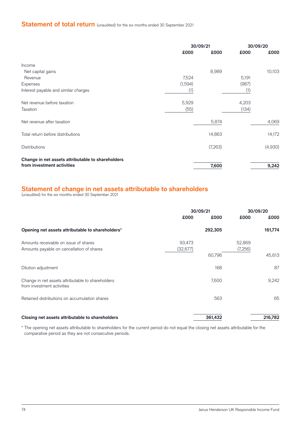# **Statement of total return** (unaudited) for the six months ended 30 September 2021

|                                                   |         | 30/09/21 |       | 30/09/20 |  |
|---------------------------------------------------|---------|----------|-------|----------|--|
|                                                   | £000    | £000     | £000  | £000     |  |
| Income                                            |         |          |       |          |  |
| Net capital gains                                 |         | 8,989    |       | 10,103   |  |
| Revenue                                           | 7,524   |          | 5,191 |          |  |
| Expenses                                          | (1,594) |          | (987) |          |  |
| Interest payable and similar charges              | (1)     |          | (1)   |          |  |
| Net revenue before taxation                       | 5,929   |          | 4,203 |          |  |
| Taxation                                          | (55)    |          | (134) |          |  |
| Net revenue after taxation                        |         | 5,874    |       | 4,069    |  |
| Total return before distributions                 |         | 14,863   |       | 14,172   |  |
| <b>Distributions</b>                              |         | (7,263)  |       | (4,930)  |  |
| Change in net assets attributable to shareholders |         |          |       |          |  |
| from investment activities                        |         | 7,600    |       | 9,242    |  |

### **Statement of change in net assets attributable to shareholders**

(unaudited) for the six months ended 30 September 2021

|                                                                                    | 30/09/21            |         | 30/09/20          |         |
|------------------------------------------------------------------------------------|---------------------|---------|-------------------|---------|
|                                                                                    | £000                | £000    | £000              | £000    |
| Opening net assets attributable to shareholders*                                   |                     | 292,305 |                   | 161,774 |
| Amounts receivable on issue of shares<br>Amounts payable on cancellation of shares | 93,473<br>(32, 677) |         | 52,869<br>(7,256) |         |
|                                                                                    |                     | 60,796  |                   | 45,613  |
| Dilution adjustment                                                                |                     | 168     |                   | 87      |
| Change in net assets attributable to shareholders<br>from investment activities    |                     | 7,600   |                   | 9,242   |
| Retained distributions on accumulation shares                                      |                     | 563     |                   | 65      |
| Closing net assets attributable to shareholders                                    |                     | 361,432 |                   | 216,782 |

\* The opening net assets attributable to shareholders for the current period do not equal the closing net assets attributable for the comparative period as they are not consecutive periods.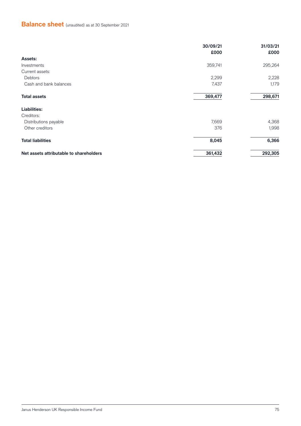# **Balance sheet** (unaudited) as at 30 September 2021

|                                         | 30/09/21<br>£000 | 31/03/21<br>£000 |
|-----------------------------------------|------------------|------------------|
| <b>Assets:</b>                          |                  |                  |
| Investments                             | 359,741          | 295,264          |
| Current assets:                         |                  |                  |
| Debtors                                 | 2,299            | 2,228            |
| Cash and bank balances                  | 7,437            | 1,179            |
| <b>Total assets</b>                     | 369,477          | 298,671          |
| <b>Liabilities:</b>                     |                  |                  |
| Creditors:                              |                  |                  |
| Distributions payable                   | 7,669            | 4,368            |
| Other creditors                         | 376              | 1,998            |
| <b>Total liabilities</b>                | 8,045            | 6,366            |
| Net assets attributable to shareholders | 361,432          | 292,305          |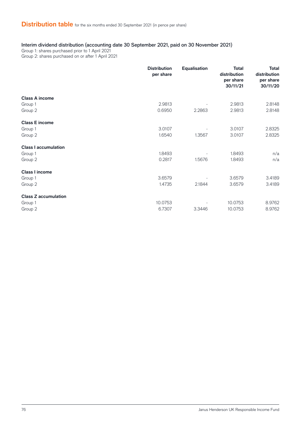### Interim dividend distribution (accounting date 30 September 2021, paid on 30 November 2021)

Group 1: shares purchased prior to 1 April 2021 Group 2: shares purchased on or after 1 April 2021

|                             | <b>Distribution</b><br>per share | <b>Equalisation</b> | <b>Total</b><br>distribution<br>per share<br>30/11/21 | <b>Total</b><br>distribution<br>per share<br>30/11/20 |
|-----------------------------|----------------------------------|---------------------|-------------------------------------------------------|-------------------------------------------------------|
| <b>Class A income</b>       |                                  |                     |                                                       |                                                       |
| Group 1                     | 2.9813                           |                     | 2.9813                                                | 2.8148                                                |
| Group 2                     | 0.6950                           | 2.2863              | 2.9813                                                | 2.8148                                                |
| <b>Class E income</b>       |                                  |                     |                                                       |                                                       |
| Group 1                     | 3.0107                           |                     | 3.0107                                                | 2.8325                                                |
| Group 2                     | 1.6540                           | 1.3567              | 3.0107                                                | 2.8325                                                |
| <b>Class I accumulation</b> |                                  |                     |                                                       |                                                       |
| Group 1                     | 1.8493                           |                     | 1.8493                                                | n/a                                                   |
| Group 2                     | 0.2817                           | 1.5676              | 1.8493                                                | n/a                                                   |
| <b>Class I income</b>       |                                  |                     |                                                       |                                                       |
| Group 1                     | 3.6579                           |                     | 3.6579                                                | 3.4189                                                |
| Group 2                     | 1.4735                           | 2.1844              | 3.6579                                                | 3.4189                                                |
| <b>Class Z accumulation</b> |                                  |                     |                                                       |                                                       |
| Group 1                     | 10.0753                          |                     | 10.0753                                               | 8.9762                                                |
| Group 2                     | 6.7307                           | 3.3446              | 10.0753                                               | 8.9762                                                |
|                             |                                  |                     |                                                       |                                                       |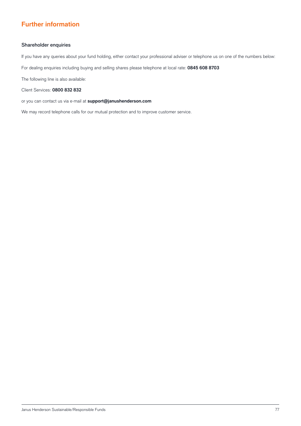### **Further information**

#### Shareholder enquiries

If you have any queries about your fund holding, either contact your professional adviser or telephone us on one of the numbers below:

For dealing enquiries including buying and selling shares please telephone at local rate: **0845 608 8703**

The following line is also available:

Client Services: **0800 832 832**

or you can contact us via e-mail at **support@janushenderson.com**

We may record telephone calls for our mutual protection and to improve customer service.